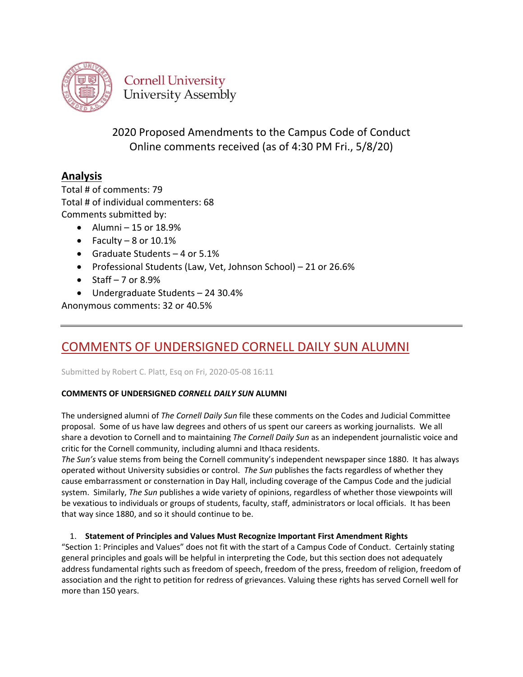

**Cornell University University Assembly** 

2020 Proposed Amendments to the Campus Code of Conduct Online comments received (as of 4:30 PM Fri., 5/8/20)

### **Analysis**

Total # of comments: 79 Total # of individual commenters: 68 Comments submitted by:

- $\bullet$  Alumni 15 or 18.9%
- Faculty  $-8$  or  $10.1\%$
- Graduate Students 4 or 5.1%
- Professional Students (Law, Vet, Johnson School) 21 or 26.6%
- $\bullet$  Staff 7 or 8.9%
- Undergraduate Students 24 30.4%

Anonymous comments: 32 or 40.5%

# [COMMENTS OF UNDERSIGNED CORNELL DAILY SUN ALUMNI](https://assembly.cornell.edu/comment/134#comment-134)

Submitted by Robert C. Platt, Esq on Fri, 2020-05-08 16:11

### **COMMENTS OF UNDERSIGNED** *CORNELL DAILY SUN* **ALUMNI**

The undersigned alumni of *The Cornell Daily Sun* file these comments on the Codes and Judicial Committee proposal. Some of us have law degrees and others of us spent our careers as working journalists. We all share a devotion to Cornell and to maintaining *The Cornell Daily Sun* as an independent journalistic voice and critic for the Cornell community, including alumni and Ithaca residents.

*The Sun's* value stems from being the Cornell community's independent newspaper since 1880. It has always operated without University subsidies or control. *The Sun* publishes the facts regardless of whether they cause embarrassment or consternation in Day Hall, including coverage of the Campus Code and the judicial system. Similarly, *The Sun* publishes a wide variety of opinions, regardless of whether those viewpoints will be vexatious to individuals or groups of students, faculty, staff, administrators or local officials. It has been that way since 1880, and so it should continue to be.

### 1. **Statement of Principles and Values Must Recognize Important First Amendment Rights**

"Section 1: Principles and Values" does not fit with the start of a Campus Code of Conduct. Certainly stating general principles and goals will be helpful in interpreting the Code, but this section does not adequately address fundamental rights such as freedom of speech, freedom of the press, freedom of religion, freedom of association and the right to petition for redress of grievances. Valuing these rights has served Cornell well for more than 150 years.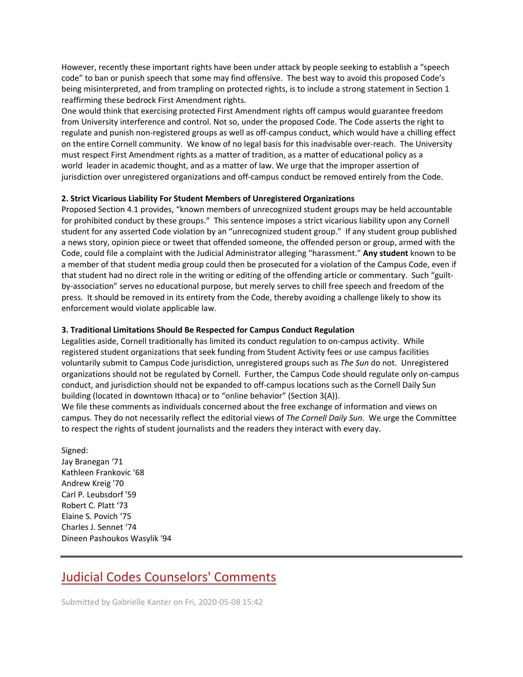However, recently these important rights have been under attack by people seeking to establish a "speech code" to ban or punish speech that some may find offensive. The best way to avoid this proposed Code's being misinterpreted, and from trampling on protected rights, is to include a strong statement in Section 1 reaffirming these bedrock First Amendment rights.

One would think that exercising protected First Amendment rights off campus would guarantee freedom from University interference and control. Not so, under the proposed Code. The Code asserts the right to regulate and punish non-registered groups as well as off-campus conduct, which would have a chilling effect on the entire Cornell community. We know of no legal basis for this inadvisable over-reach. The University must respect First Amendment rights as a matter of tradition, as a matter of educational policy as a world leader in academic thought, and as a matter of law. We urge that the improper assertion of jurisdiction over unregistered organizations and off-campus conduct be removed entirely from the Code.

### **2. Strict Vicarious Liability For Student Members of Unregistered Organizations**

Proposed Section 4.1 provides, "known members of unrecognized student groups may be held accountable for prohibited conduct by these groups." This sentence imposes a strict vicarious liability upon any Cornell student for any asserted Code violation by an "unrecognized student group." If any student group published a news story, opinion piece or tweet that offended someone, the offended person or group, armed with the Code, could file a complaint with the Judicial Administrator alleging "harassment." **Any student** known to be a member of that student media group could then be prosecuted for a violation of the Campus Code, even if that student had no direct role in the writing or editing of the offending article or commentary. Such "guiltby-association" serves no educational purpose, but merely serves to chill free speech and freedom of the press. It should be removed in its entirety from the Code, thereby avoiding a challenge likely to show its enforcement would violate applicable law.

### **3. Traditional Limitations Should Be Respected for Campus Conduct Regulation**

Legalities aside, Cornell traditionally has limited its conduct regulation to on-campus activity. While registered student organizations that seek funding from Student Activity fees or use campus facilities voluntarily submit to Campus Code jurisdiction, unregistered groups such as *The Sun* do not. Unregistered organizations should not be regulated by Cornell. Further, the Campus Code should regulate only on-campus conduct, and jurisdiction should not be expanded to off-campus locations such as the Cornell Daily Sun building (located in downtown Ithaca) or to "online behavior" (Section 3(A)).

We file these comments as individuals concerned about the free exchange of information and views on campus. They do not necessarily reflect the editorial views of *The Cornell Daily Sun.* We urge the Committee to respect the rights of student journalists and the readers they interact with every day.

Signed: Jay Branegan '71 Kathleen Frankovic '68 Andrew Kreig '70 Carl P. Leubsdorf '59 Robert C. Platt '73 Elaine S. Povich '75 Charles J. Sennet '74 Dineen Pashoukos Wasylik '94

# [Judicial Codes Counselors' Comments](https://assembly.cornell.edu/comment/133#comment-133)

Submitted by Gabrielle Kanter on Fri, 2020-05-08 15:42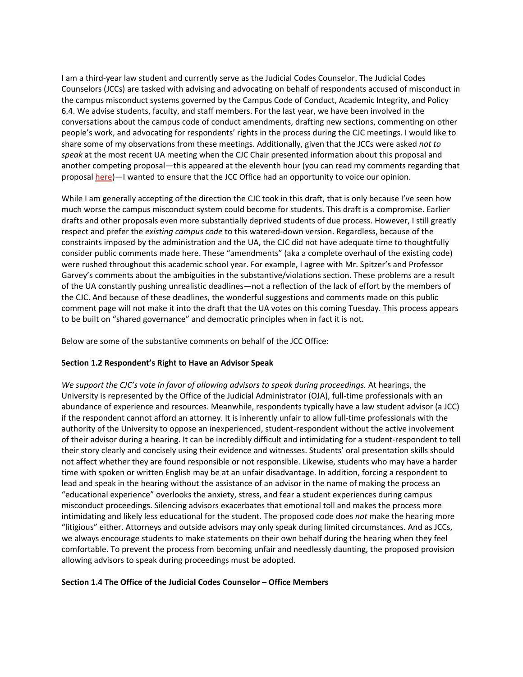I am a third-year law student and currently serve as the Judicial Codes Counselor. The Judicial Codes Counselors (JCCs) are tasked with advising and advocating on behalf of respondents accused of misconduct in the campus misconduct systems governed by the Campus Code of Conduct, Academic Integrity, and Policy 6.4. We advise students, faculty, and staff members. For the last year, we have been involved in the conversations about the campus code of conduct amendments, drafting new sections, commenting on other people's work, and advocating for respondents' rights in the process during the CJC meetings. I would like to share some of my observations from these meetings. Additionally, given that the JCCs were asked *not to speak* at the most recent UA meeting when the CJC Chair presented information about this proposal and another competing proposal—this appeared at the eleventh hour (you can read my comments regarding that proposal [here\)](https://assembly.cornell.edu/get-involved/input-issues/office-student-advocate-recommendations-community-life)—I wanted to ensure that the JCC Office had an opportunity to voice our opinion.

While I am generally accepting of the direction the CJC took in this draft, that is only because I've seen how much worse the campus misconduct system could become for students. This draft is a compromise. Earlier drafts and other proposals even more substantially deprived students of due process. However, I still greatly respect and prefer the *existing campus code* to this watered-down version. Regardless, because of the constraints imposed by the administration and the UA, the CJC did not have adequate time to thoughtfully consider public comments made here. These "amendments" (aka a complete overhaul of the existing code) were rushed throughout this academic school year. For example, I agree with Mr. Spitzer's and Professor Garvey's comments about the ambiguities in the substantive/violations section. These problems are a result of the UA constantly pushing unrealistic deadlines—not a reflection of the lack of effort by the members of the CJC. And because of these deadlines, the wonderful suggestions and comments made on this public comment page will not make it into the draft that the UA votes on this coming Tuesday. This process appears to be built on "shared governance" and democratic principles when in fact it is not.

Below are some of the substantive comments on behalf of the JCC Office:

### **Section 1.2 Respondent's Right to Have an Advisor Speak**

*We support the CJC's vote in favor of allowing advisors to speak during proceedings.* At hearings, the University is represented by the Office of the Judicial Administrator (OJA), full-time professionals with an abundance of experience and resources. Meanwhile, respondents typically have a law student advisor (a JCC) if the respondent cannot afford an attorney. It is inherently unfair to allow full-time professionals with the authority of the University to oppose an inexperienced, student-respondent without the active involvement of their advisor during a hearing. It can be incredibly difficult and intimidating for a student-respondent to tell their story clearly and concisely using their evidence and witnesses. Students' oral presentation skills should not affect whether they are found responsible or not responsible. Likewise, students who may have a harder time with spoken or written English may be at an unfair disadvantage. In addition, forcing a respondent to lead and speak in the hearing without the assistance of an advisor in the name of making the process an "educational experience" overlooks the anxiety, stress, and fear a student experiences during campus misconduct proceedings. Silencing advisors exacerbates that emotional toll and makes the process more intimidating and likely less educational for the student. The proposed code does *not* make the hearing more "litigious" either. Attorneys and outside advisors may only speak during limited circumstances. And as JCCs, we always encourage students to make statements on their own behalf during the hearing when they feel comfortable. To prevent the process from becoming unfair and needlessly daunting, the proposed provision allowing advisors to speak during proceedings must be adopted.

### **Section 1.4 The Office of the Judicial Codes Counselor – Office Members**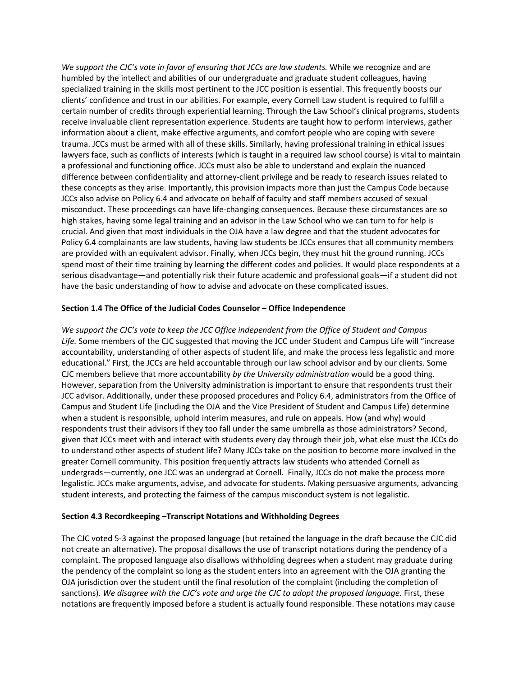*We support the CJC's vote in favor of ensuring that JCCs are law students.* While we recognize and are humbled by the intellect and abilities of our undergraduate and graduate student colleagues, having specialized training in the skills most pertinent to the JCC position is essential. This frequently boosts our clients' confidence and trust in our abilities. For example, every Cornell Law student is required to fulfill a certain number of credits through experiential learning. Through the Law School's clinical programs, students receive invaluable client representation experience. Students are taught how to perform interviews, gather information about a client, make effective arguments, and comfort people who are coping with severe trauma. JCCs must be armed with all of these skills. Similarly, having professional training in ethical issues lawyers face, such as conflicts of interests (which is taught in a required law school course) is vital to maintain a professional and functioning office. JCCs must also be able to understand and explain the nuanced difference between confidentiality and attorney-client privilege and be ready to research issues related to these concepts as they arise. Importantly, this provision impacts more than just the Campus Code because JCCs also advise on Policy 6.4 and advocate on behalf of faculty and staff members accused of sexual misconduct. These proceedings can have life-changing consequences. Because these circumstances are so high stakes, having some legal training and an advisor in the Law School who we can turn to for help is crucial. And given that most individuals in the OJA have a law degree and that the student advocates for Policy 6.4 complainants are law students, having law students be JCCs ensures that all community members are provided with an equivalent advisor. Finally, when JCCs begin, they must hit the ground running. JCCs spend most of their time training by learning the different codes and policies. It would place respondents at a serious disadvantage—and potentially risk their future academic and professional goals—if a student did not have the basic understanding of how to advise and advocate on these complicated issues.

### **Section 1.4 The Office of the Judicial Codes Counselor – Office Independence**

*We support the CJC's vote to keep the JCC Office independent from the Office of Student and Campus Life.* Some members of the CJC suggested that moving the JCC under Student and Campus Life will "increase accountability, understanding of other aspects of student life, and make the process less legalistic and more educational." First, the JCCs are held accountable through our law school advisor and by our clients. Some CJC members believe that more accountability *by the University administration* would be a good thing. However, separation from the University administration is important to ensure that respondents trust their JCC advisor. Additionally, under these proposed procedures and Policy 6.4, administrators from the Office of Campus and Student Life (including the OJA and the Vice President of Student and Campus Life) determine when a student is responsible, uphold interim measures, and rule on appeals. How (and why) would respondents trust their advisors if they too fall under the same umbrella as those administrators? Second, given that JCCs meet with and interact with students every day through their job, what else must the JCCs do to understand other aspects of student life? Many JCCs take on the position to become more involved in the greater Cornell community. This position frequently attracts law students who attended Cornell as undergrads—currently, one JCC was an undergrad at Cornell. Finally, JCCs do not make the process more legalistic. JCCs make arguments, advise, and advocate for students. Making persuasive arguments, advancing student interests, and protecting the fairness of the campus misconduct system is not legalistic.

### **Section 4.3 Recordkeeping –Transcript Notations and Withholding Degrees**

The CJC voted 5-3 against the proposed language (but retained the language in the draft because the CJC did not create an alternative). The proposal disallows the use of transcript notations during the pendency of a complaint. The proposed language also disallows withholding degrees when a student may graduate during the pendency of the complaint so long as the student enters into an agreement with the OJA granting the OJA jurisdiction over the student until the final resolution of the complaint (including the completion of sanctions). *We disagree with the CJC's vote and urge the CJC to adopt the proposed language.* First, these notations are frequently imposed before a student is actually found responsible. These notations may cause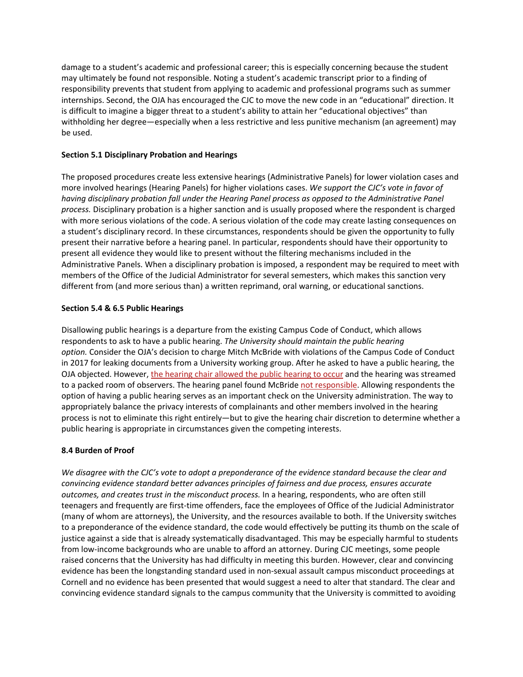damage to a student's academic and professional career; this is especially concerning because the student may ultimately be found not responsible. Noting a student's academic transcript prior to a finding of responsibility prevents that student from applying to academic and professional programs such as summer internships. Second, the OJA has encouraged the CJC to move the new code in an "educational" direction. It is difficult to imagine a bigger threat to a student's ability to attain her "educational objectives" than withholding her degree—especially when a less restrictive and less punitive mechanism (an agreement) may be used.

### **Section 5.1 Disciplinary Probation and Hearings**

The proposed procedures create less extensive hearings (Administrative Panels) for lower violation cases and more involved hearings (Hearing Panels) for higher violations cases. *We support the CJC's vote in favor of having disciplinary probation fall under the Hearing Panel process as opposed to the Administrative Panel process.* Disciplinary probation is a higher sanction and is usually proposed where the respondent is charged with more serious violations of the code. A serious violation of the code may create lasting consequences on a student's disciplinary record. In these circumstances, respondents should be given the opportunity to fully present their narrative before a hearing panel. In particular, respondents should have their opportunity to present all evidence they would like to present without the filtering mechanisms included in the Administrative Panels. When a disciplinary probation is imposed, a respondent may be required to meet with members of the Office of the Judicial Administrator for several semesters, which makes this sanction very different from (and more serious than) a written reprimand, oral warning, or educational sanctions.

### **Section 5.4 & 6.5 Public Hearings**

Disallowing public hearings is a departure from the existing Campus Code of Conduct, which allows respondents to ask to have a public hearing. *The University should maintain the public hearing option.* Consider the OJA's decision to charge Mitch McBride with violations of the Campus Code of Conduct in 2017 for leaking documents from a University working group. After he asked to have a public hearing, the OJA objected. However, [the hearing chair allowed the public hearing to occur](https://cornellsun.com/2017/04/19/mcbride-17-charged-for-leaking-documents-to-face-hearing-board-wednesday/) and the hearing was streamed to a packed room of observers. The hearing panel found McBride [not responsible.](https://cornellsun.com/2017/04/20/hearing-board-clears-cornell-student-who-leaked-documents/) Allowing respondents the option of having a public hearing serves as an important check on the University administration. The way to appropriately balance the privacy interests of complainants and other members involved in the hearing process is not to eliminate this right entirely—but to give the hearing chair discretion to determine whether a public hearing is appropriate in circumstances given the competing interests.

### **8.4 Burden of Proof**

*We disagree with the CJC's vote to adopt a preponderance of the evidence standard because the clear and convincing evidence standard better advances principles of fairness and due process, ensures accurate outcomes, and creates trust in the misconduct process.* In a hearing, respondents, who are often still teenagers and frequently are first-time offenders, face the employees of Office of the Judicial Administrator (many of whom are attorneys), the University, and the resources available to both. If the University switches to a preponderance of the evidence standard, the code would effectively be putting its thumb on the scale of justice against a side that is already systematically disadvantaged. This may be especially harmful to students from low-income backgrounds who are unable to afford an attorney. During CJC meetings, some people raised concerns that the University has had difficulty in meeting this burden. However, clear and convincing evidence has been the longstanding standard used in non-sexual assault campus misconduct proceedings at Cornell and no evidence has been presented that would suggest a need to alter that standard. The clear and convincing evidence standard signals to the campus community that the University is committed to avoiding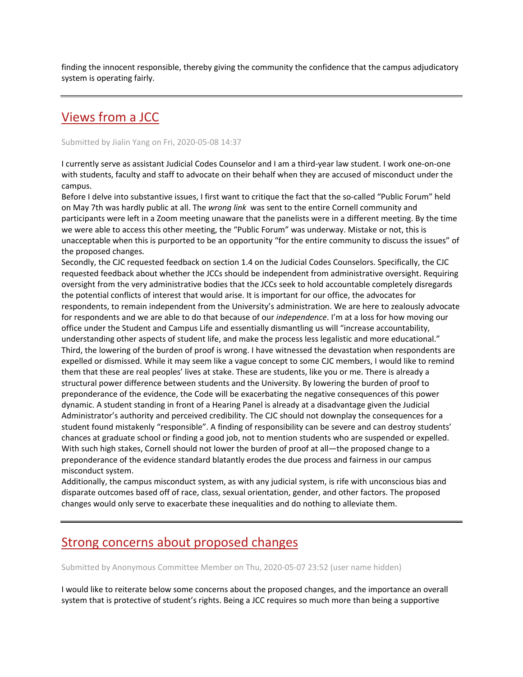finding the innocent responsible, thereby giving the community the confidence that the campus adjudicatory system is operating fairly.

## [Views from a JCC](https://assembly.cornell.edu/comment/132#comment-132)

Submitted by Jialin Yang on Fri, 2020-05-08 14:37

I currently serve as assistant Judicial Codes Counselor and I am a third-year law student. I work one-on-one with students, faculty and staff to advocate on their behalf when they are accused of misconduct under the campus.

Before I delve into substantive issues, I first want to critique the fact that the so-called "Public Forum" held on May 7th was hardly public at all. The *wrong link* was sent to the entire Cornell community and participants were left in a Zoom meeting unaware that the panelists were in a different meeting. By the time we were able to access this other meeting, the "Public Forum" was underway. Mistake or not, this is unacceptable when this is purported to be an opportunity "for the entire community to discuss the issues" of the proposed changes.

Secondly, the CJC requested feedback on section 1.4 on the Judicial Codes Counselors. Specifically, the CJC requested feedback about whether the JCCs should be independent from administrative oversight. Requiring oversight from the very administrative bodies that the JCCs seek to hold accountable completely disregards the potential conflicts of interest that would arise. It is important for our office, the advocates for respondents, to remain independent from the University's administration. We are here to zealously advocate for respondents and we are able to do that because of our *independence*. I'm at a loss for how moving our office under the Student and Campus Life and essentially dismantling us will "increase accountability, understanding other aspects of student life, and make the process less legalistic and more educational." Third, the lowering of the burden of proof is wrong. I have witnessed the devastation when respondents are expelled or dismissed. While it may seem like a vague concept to some CJC members, I would like to remind them that these are real peoples' lives at stake. These are students, like you or me. There is already a structural power difference between students and the University. By lowering the burden of proof to preponderance of the evidence, the Code will be exacerbating the negative consequences of this power dynamic. A student standing in front of a Hearing Panel is already at a disadvantage given the Judicial Administrator's authority and perceived credibility. The CJC should not downplay the consequences for a student found mistakenly "responsible". A finding of responsibility can be severe and can destroy students' chances at graduate school or finding a good job, not to mention students who are suspended or expelled. With such high stakes, Cornell should not lower the burden of proof at all—the proposed change to a preponderance of the evidence standard blatantly erodes the due process and fairness in our campus misconduct system.

Additionally, the campus misconduct system, as with any judicial system, is rife with unconscious bias and disparate outcomes based off of race, class, sexual orientation, gender, and other factors. The proposed changes would only serve to exacerbate these inequalities and do nothing to alleviate them.

### [Strong concerns about proposed changes](https://assembly.cornell.edu/comment/129#comment-129)

Submitted by Anonymous Committee Member on Thu, 2020-05-07 23:52 (user name hidden)

I would like to reiterate below some concerns about the proposed changes, and the importance an overall system that is protective of student's rights. Being a JCC requires so much more than being a supportive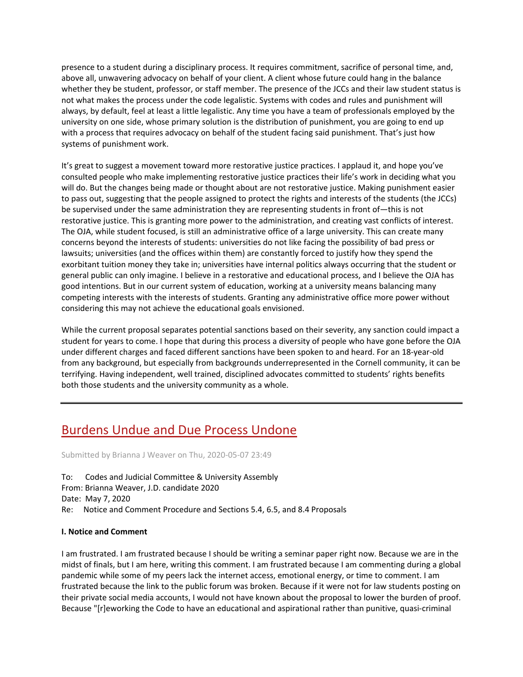presence to a student during a disciplinary process. It requires commitment, sacrifice of personal time, and, above all, unwavering advocacy on behalf of your client. A client whose future could hang in the balance whether they be student, professor, or staff member. The presence of the JCCs and their law student status is not what makes the process under the code legalistic. Systems with codes and rules and punishment will always, by default, feel at least a little legalistic. Any time you have a team of professionals employed by the university on one side, whose primary solution is the distribution of punishment, you are going to end up with a process that requires advocacy on behalf of the student facing said punishment. That's just how systems of punishment work.

It's great to suggest a movement toward more restorative justice practices. I applaud it, and hope you've consulted people who make implementing restorative justice practices their life's work in deciding what you will do. But the changes being made or thought about are not restorative justice. Making punishment easier to pass out, suggesting that the people assigned to protect the rights and interests of the students (the JCCs) be supervised under the same administration they are representing students in front of—this is not restorative justice. This is granting more power to the administration, and creating vast conflicts of interest. The OJA, while student focused, is still an administrative office of a large university. This can create many concerns beyond the interests of students: universities do not like facing the possibility of bad press or lawsuits; universities (and the offices within them) are constantly forced to justify how they spend the exorbitant tuition money they take in; universities have internal politics always occurring that the student or general public can only imagine. I believe in a restorative and educational process, and I believe the OJA has good intentions. But in our current system of education, working at a university means balancing many competing interests with the interests of students. Granting any administrative office more power without considering this may not achieve the educational goals envisioned.

While the current proposal separates potential sanctions based on their severity, any sanction could impact a student for years to come. I hope that during this process a diversity of people who have gone before the OJA under different charges and faced different sanctions have been spoken to and heard. For an 18-year-old from any background, but especially from backgrounds underrepresented in the Cornell community, it can be terrifying. Having independent, well trained, disciplined advocates committed to students' rights benefits both those students and the university community as a whole.

## [Burdens Undue and Due Process Undone](https://assembly.cornell.edu/comment/128#comment-128)

Submitted by Brianna J Weaver on Thu, 2020-05-07 23:49

To: Codes and Judicial Committee & University Assembly From: Brianna Weaver, J.D. candidate 2020 Date: May 7, 2020 Re: Notice and Comment Procedure and Sections 5.4, 6.5, and 8.4 Proposals

### **I. Notice and Comment**

I am frustrated. I am frustrated because I should be writing a seminar paper right now. Because we are in the midst of finals, but I am here, writing this comment. I am frustrated because I am commenting during a global pandemic while some of my peers lack the internet access, emotional energy, or time to comment. I am frustrated because the link to the public forum was broken. Because if it were not for law students posting on their private social media accounts, I would not have known about the proposal to lower the burden of proof. Because "[r]eworking the Code to have an educational and aspirational rather than punitive, quasi-criminal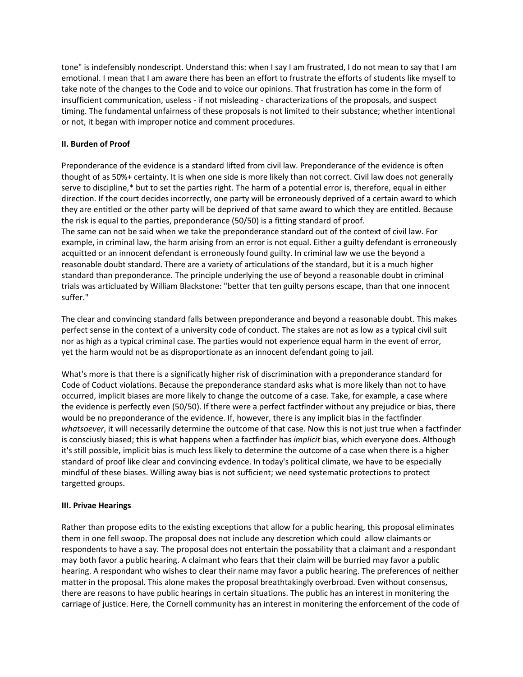tone" is indefensibly nondescript. Understand this: when I say I am frustrated, I do not mean to say that I am emotional. I mean that I am aware there has been an effort to frustrate the efforts of students like myself to take note of the changes to the Code and to voice our opinions. That frustration has come in the form of insufficient communication, useless - if not misleading - characterizations of the proposals, and suspect timing. The fundamental unfairness of these proposals is not limited to their substance; whether intentional or not, it began with improper notice and comment procedures.

### **II. Burden of Proof**

Preponderance of the evidence is a standard lifted from civil law. Preponderance of the evidence is often thought of as 50%+ certainty. It is when one side is more likely than not correct. Civil law does not generally serve to discipline,\* but to set the parties right. The harm of a potential error is, therefore, equal in either direction. If the court decides incorrectly, one party will be erroneously deprived of a certain award to which they are entitled or the other party will be deprived of that same award to which they are entitled. Because the risk is equal to the parties, preponderance (50/50) is a fitting standard of proof. The same can not be said when we take the preponderance standard out of the context of civil law. For example, in criminal law, the harm arising from an error is not equal. Either a guilty defendant is erroneously acquitted or an innocent defendant is erroneously found guilty. In criminal law we use the beyond a reasonable doubt standard. There are a variety of articulations of the standard, but it is a much higher

standard than preponderance. The principle underlying the use of beyond a reasonable doubt in criminal trials was articluated by William Blackstone: "better that ten guilty persons escape, than that one innocent suffer."

The clear and convincing standard falls between preponderance and beyond a reasonable doubt. This makes perfect sense in the context of a university code of conduct. The stakes are not as low as a typical civil suit nor as high as a typical criminal case. The parties would not experience equal harm in the event of error, yet the harm would not be as disproportionate as an innocent defendant going to jail.

What's more is that there is a significatly higher risk of discrimination with a preponderance standard for Code of Coduct violations. Because the preponderance standard asks what is more likely than not to have occurred, implicit biases are more likely to change the outcome of a case. Take, for example, a case where the evidence is perfectly even (50/50). If there were a perfect factfinder without any prejudice or bias, there would be no preponderance of the evidence. If, however, there is any implicit bias in the factfinder *whatsoever*, it will necessarily determine the outcome of that case. Now this is not just true when a factfinder is consciusly biased; this is what happens when a factfinder has *implicit* bias, which everyone does. Although it's still possible, implicit bias is much less likely to determine the outcome of a case when there is a higher standard of proof like clear and convincing evdence. In today's political climate, we have to be especially mindful of these biases. Willing away bias is not sufficient; we need systematic protections to protect targetted groups.

### **III. Privae Hearings**

Rather than propose edits to the existing exceptions that allow for a public hearing, this proposal eliminates them in one fell swoop. The proposal does not include any descretion which could allow claimants or respondents to have a say. The proposal does not entertain the possability that a claimant and a respondant may both favor a public hearing. A claimant who fears that their claim will be burried may favor a public hearing. A respondant who wishes to clear their name may favor a public hearing. The preferences of neither matter in the proposal. This alone makes the proposal breathtakingly overbroad. Even without consensus, there are reasons to have public hearings in certain situations. The public has an interest in monitering the carriage of justice. Here, the Cornell community has an interest in monitering the enforcement of the code of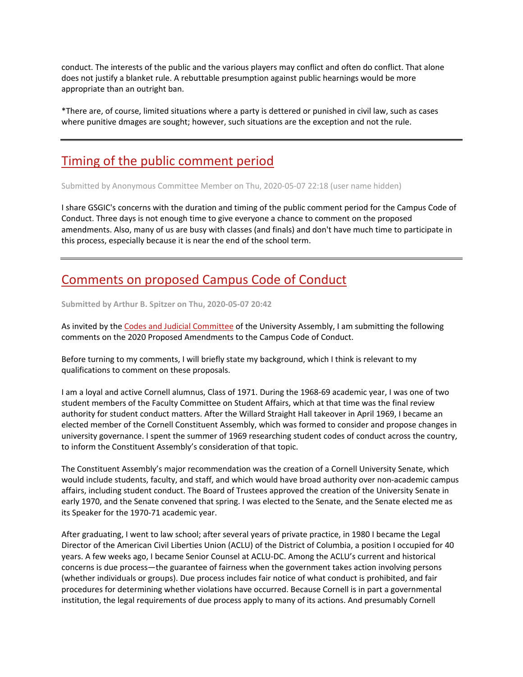conduct. The interests of the public and the various players may conflict and often do conflict. That alone does not justify a blanket rule. A rebuttable presumption against public hearnings would be more appropriate than an outright ban.

\*There are, of course, limited situations where a party is dettered or punished in civil law, such as cases where punitive dmages are sought; however, such situations are the exception and not the rule.

## [Timing of the public comment period](https://assembly.cornell.edu/comment/127#comment-127)

Submitted by Anonymous Committee Member on Thu, 2020-05-07 22:18 (user name hidden)

I share GSGIC's concerns with the duration and timing of the public comment period for the Campus Code of Conduct. Three days is not enough time to give everyone a chance to comment on the proposed amendments. Also, many of us are busy with classes (and finals) and don't have much time to participate in this process, especially because it is near the end of the school term.

## [Comments on proposed Campus Code of Conduct](https://assembly.cornell.edu/comment/124#comment-124)

**Submitted by Arthur B. Spitzer on Thu, 2020-05-07 20:42**

As invited by the [Codes and Judicial Committee](https://assembly.cornell.edu/committees/university-assembly-codes-and-judicial-committee) of the University Assembly, I am submitting the following comments on the 2020 Proposed Amendments to the Campus Code of Conduct.

Before turning to my comments, I will briefly state my background, which I think is relevant to my qualifications to comment on these proposals.

I am a loyal and active Cornell alumnus, Class of 1971. During the 1968-69 academic year, I was one of two student members of the Faculty Committee on Student Affairs, which at that time was the final review authority for student conduct matters. After the Willard Straight Hall takeover in April 1969, I became an elected member of the Cornell Constituent Assembly, which was formed to consider and propose changes in university governance. I spent the summer of 1969 researching student codes of conduct across the country, to inform the Constituent Assembly's consideration of that topic.

The Constituent Assembly's major recommendation was the creation of a Cornell University Senate, which would include students, faculty, and staff, and which would have broad authority over non-academic campus affairs, including student conduct. The Board of Trustees approved the creation of the University Senate in early 1970, and the Senate convened that spring. I was elected to the Senate, and the Senate elected me as its Speaker for the 1970-71 academic year.

After graduating, I went to law school; after several years of private practice, in 1980 I became the Legal Director of the American Civil Liberties Union (ACLU) of the District of Columbia, a position I occupied for 40 years. A few weeks ago, I became Senior Counsel at ACLU-DC. Among the ACLU's current and historical concerns is due process—the guarantee of fairness when the government takes action involving persons (whether individuals or groups). Due process includes fair notice of what conduct is prohibited, and fair procedures for determining whether violations have occurred. Because Cornell is in part a governmental institution, the legal requirements of due process apply to many of its actions. And presumably Cornell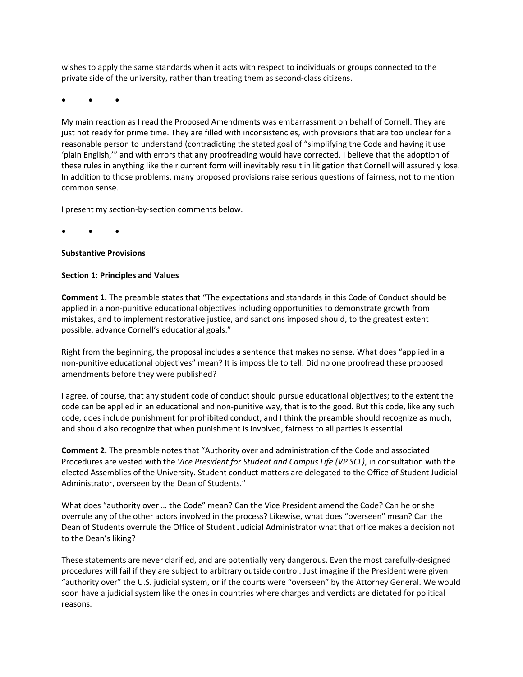wishes to apply the same standards when it acts with respect to individuals or groups connected to the private side of the university, rather than treating them as second-class citizens.

**• • •**

My main reaction as I read the Proposed Amendments was embarrassment on behalf of Cornell. They are just not ready for prime time. They are filled with inconsistencies, with provisions that are too unclear for a reasonable person to understand (contradicting the stated goal of "simplifying the Code and having it use 'plain English,'" and with errors that any proofreading would have corrected. I believe that the adoption of these rules in anything like their current form will inevitably result in litigation that Cornell will assuredly lose. In addition to those problems, many proposed provisions raise serious questions of fairness, not to mention common sense.

I present my section-by-section comments below.

**• • •**

### **Substantive Provisions**

### **Section 1: Principles and Values**

**Comment 1.** The preamble states that "The expectations and standards in this Code of Conduct should be applied in a non-punitive educational objectives including opportunities to demonstrate growth from mistakes, and to implement restorative justice, and sanctions imposed should, to the greatest extent possible, advance Cornell's educational goals."

Right from the beginning, the proposal includes a sentence that makes no sense. What does "applied in a non-punitive educational objectives" mean? It is impossible to tell. Did no one proofread these proposed amendments before they were published?

I agree, of course, that any student code of conduct should pursue educational objectives; to the extent the code can be applied in an educational and non-punitive way, that is to the good. But this code, like any such code, does include punishment for prohibited conduct, and I think the preamble should recognize as much, and should also recognize that when punishment is involved, fairness to all parties is essential.

**Comment 2.** The preamble notes that "Authority over and administration of the Code and associated Procedures are vested with the *Vice President for Student and Campus Life (VP SCL)*, in consultation with the elected Assemblies of the University. Student conduct matters are delegated to the Office of Student Judicial Administrator, overseen by the Dean of Students."

What does "authority over … the Code" mean? Can the Vice President amend the Code? Can he or she overrule any of the other actors involved in the process? Likewise, what does "overseen" mean? Can the Dean of Students overrule the Office of Student Judicial Administrator what that office makes a decision not to the Dean's liking?

These statements are never clarified, and are potentially very dangerous. Even the most carefully-designed procedures will fail if they are subject to arbitrary outside control. Just imagine if the President were given "authority over" the U.S. judicial system, or if the courts were "overseen" by the Attorney General. We would soon have a judicial system like the ones in countries where charges and verdicts are dictated for political reasons.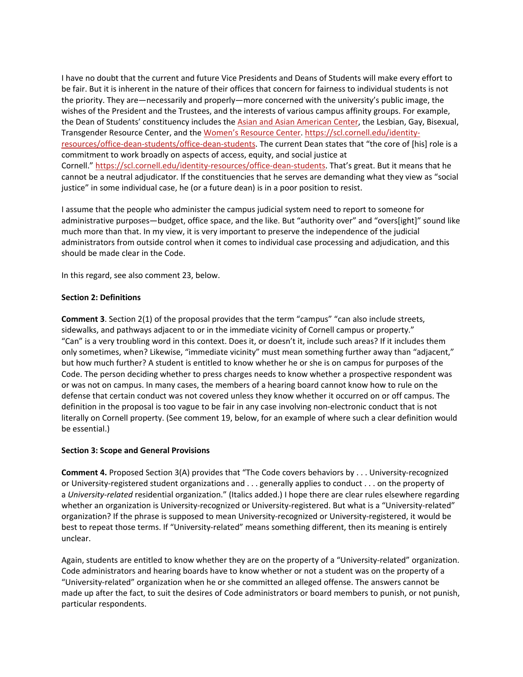I have no doubt that the current and future Vice Presidents and Deans of Students will make every effort to be fair. But it is inherent in the nature of their offices that concern for fairness to individual students is not the priority. They are—necessarily and properly—more concerned with the university's public image, the wishes of the President and the Trustees, and the interests of various campus affinity groups. For example, the Dean of Students' constituency includes the [Asian and Asian American Center,](https://scl.cornell.edu/identity-resources/asian-asian-american-center-a3c) the Lesbian, Gay, Bisexual, Transgender Resource Center, and the [Women's Resource Center.](https://scl.cornell.edu/identity-resources/womens-resource-center) [https://scl.cornell.edu/identity](https://scl.cornell.edu/identity-resources/office-dean-students/office-dean-students)[resources/office-dean-students/office-dean-students.](https://scl.cornell.edu/identity-resources/office-dean-students/office-dean-students) The current Dean states that "the core of [his] role is a commitment to work broadly on aspects of access, equity, and social justice at Cornell." [https://scl.cornell.edu/identity-resources/office-dean-students.](https://scl.cornell.edu/identity-resources/office-dean-students) That's great. But it means that he cannot be a neutral adjudicator. If the constituencies that he serves are demanding what they view as "social justice" in some individual case, he (or a future dean) is in a poor position to resist.

I assume that the people who administer the campus judicial system need to report to someone for administrative purposes—budget, office space, and the like. But "authority over" and "overs[ight]" sound like much more than that. In my view, it is very important to preserve the independence of the judicial administrators from outside control when it comes to individual case processing and adjudication, and this should be made clear in the Code.

In this regard, see also comment 23, below.

### **Section 2: Definitions**

**Comment 3**. Section 2(1) of the proposal provides that the term "campus" "can also include streets, sidewalks, and pathways adjacent to or in the immediate vicinity of Cornell campus or property." "Can" is a very troubling word in this context. Does it, or doesn't it, include such areas? If it includes them only sometimes, when? Likewise, "immediate vicinity" must mean something further away than "adjacent," but how much further? A student is entitled to know whether he or she is on campus for purposes of the Code. The person deciding whether to press charges needs to know whether a prospective respondent was or was not on campus. In many cases, the members of a hearing board cannot know how to rule on the defense that certain conduct was not covered unless they know whether it occurred on or off campus. The definition in the proposal is too vague to be fair in any case involving non-electronic conduct that is not literally on Cornell property. (See comment 19, below, for an example of where such a clear definition would be essential.)

### **Section 3: Scope and General Provisions**

**Comment 4.** Proposed Section 3(A) provides that "The Code covers behaviors by . . . University-recognized or University-registered student organizations and . . . generally applies to conduct . . . on the property of a *University-related* residential organization." (Italics added.) I hope there are clear rules elsewhere regarding whether an organization is University-recognized or University-registered. But what is a "University-related" organization? If the phrase is supposed to mean University-recognized or University-registered, it would be best to repeat those terms. If "University-related" means something different, then its meaning is entirely unclear.

Again, students are entitled to know whether they are on the property of a "University-related" organization. Code administrators and hearing boards have to know whether or not a student was on the property of a "University-related" organization when he or she committed an alleged offense. The answers cannot be made up after the fact, to suit the desires of Code administrators or board members to punish, or not punish, particular respondents.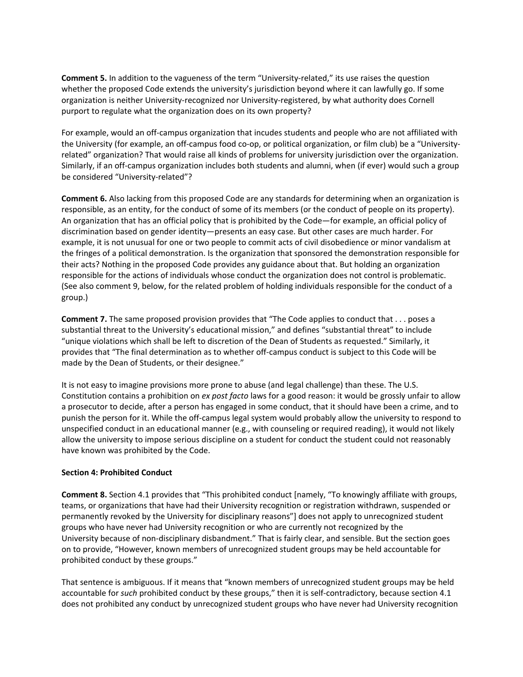**Comment 5.** In addition to the vagueness of the term "University-related," its use raises the question whether the proposed Code extends the university's jurisdiction beyond where it can lawfully go. If some organization is neither University-recognized nor University-registered, by what authority does Cornell purport to regulate what the organization does on its own property?

For example, would an off-campus organization that incudes students and people who are not affiliated with the University (for example, an off-campus food co-op, or political organization, or film club) be a "Universityrelated" organization? That would raise all kinds of problems for university jurisdiction over the organization. Similarly, if an off-campus organization includes both students and alumni, when (if ever) would such a group be considered "University-related"?

**Comment 6.** Also lacking from this proposed Code are any standards for determining when an organization is responsible, as an entity, for the conduct of some of its members (or the conduct of people on its property). An organization that has an official policy that is prohibited by the Code—for example, an official policy of discrimination based on gender identity—presents an easy case. But other cases are much harder. For example, it is not unusual for one or two people to commit acts of civil disobedience or minor vandalism at the fringes of a political demonstration. Is the organization that sponsored the demonstration responsible for their acts? Nothing in the proposed Code provides any guidance about that. But holding an organization responsible for the actions of individuals whose conduct the organization does not control is problematic. (See also comment 9, below, for the related problem of holding individuals responsible for the conduct of a group.)

**Comment 7.** The same proposed provision provides that "The Code applies to conduct that . . . poses a substantial threat to the University's educational mission," and defines "substantial threat" to include "unique violations which shall be left to discretion of the Dean of Students as requested." Similarly, it provides that "The final determination as to whether off-campus conduct is subject to this Code will be made by the Dean of Students, or their designee."

It is not easy to imagine provisions more prone to abuse (and legal challenge) than these. The U.S. Constitution contains a prohibition on *ex post facto* laws for a good reason: it would be grossly unfair to allow a prosecutor to decide, after a person has engaged in some conduct, that it should have been a crime, and to punish the person for it. While the off-campus legal system would probably allow the university to respond to unspecified conduct in an educational manner (e.g., with counseling or required reading), it would not likely allow the university to impose serious discipline on a student for conduct the student could not reasonably have known was prohibited by the Code.

### **Section 4: Prohibited Conduct**

**Comment 8.** Section 4.1 provides that "This prohibited conduct [namely, "To knowingly affiliate with groups, teams, or organizations that have had their University recognition or registration withdrawn, suspended or permanently revoked by the University for disciplinary reasons"] does not apply to unrecognized student groups who have never had University recognition or who are currently not recognized by the University because of non-disciplinary disbandment." That is fairly clear, and sensible. But the section goes on to provide, "However, known members of unrecognized student groups may be held accountable for prohibited conduct by these groups."

That sentence is ambiguous. If it means that "known members of unrecognized student groups may be held accountable for *such* prohibited conduct by these groups," then it is self-contradictory, because section 4.1 does not prohibited any conduct by unrecognized student groups who have never had University recognition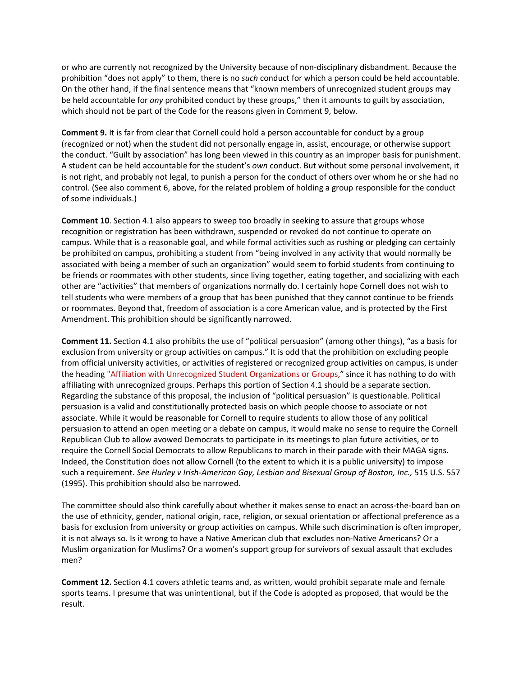or who are currently not recognized by the University because of non-disciplinary disbandment. Because the prohibition "does not apply" to them, there is no *such* conduct for which a person could be held accountable. On the other hand, if the final sentence means that "known members of unrecognized student groups may be held accountable for *any* prohibited conduct by these groups," then it amounts to guilt by association, which should not be part of the Code for the reasons given in Comment 9, below.

**Comment 9.** It is far from clear that Cornell could hold a person accountable for conduct by a group (recognized or not) when the student did not personally engage in, assist, encourage, or otherwise support the conduct. "Guilt by association" has long been viewed in this country as an improper basis for punishment. A student can be held accountable for the student's *own* conduct. But without some personal involvement, it is not right, and probably not legal, to punish a person for the conduct of others over whom he or she had no control. (See also comment 6, above, for the related problem of holding a group responsible for the conduct of some individuals.)

**Comment 10**. Section 4.1 also appears to sweep too broadly in seeking to assure that groups whose recognition or registration has been withdrawn, suspended or revoked do not continue to operate on campus. While that is a reasonable goal, and while formal activities such as rushing or pledging can certainly be prohibited on campus, prohibiting a student from "being involved in any activity that would normally be associated with being a member of such an organization" would seem to forbid students from continuing to be friends or roommates with other students, since living together, eating together, and socializing with each other are "activities" that members of organizations normally do. I certainly hope Cornell does not wish to tell students who were members of a group that has been punished that they cannot continue to be friends or roommates. Beyond that, freedom of association is a core American value, and is protected by the First Amendment. This prohibition should be significantly narrowed.

**Comment 11.** Section 4.1 also prohibits the use of "political persuasion" (among other things), "as a basis for exclusion from university or group activities on campus." It is odd that the prohibition on excluding people from official university activities, or activities of registered or recognized group activities on campus, is under the heading "Affiliation with Unrecognized Student Organizations or Groups," since it has nothing to do with affiliating with unrecognized groups. Perhaps this portion of Section 4.1 should be a separate section. Regarding the substance of this proposal, the inclusion of "political persuasion" is questionable. Political persuasion is a valid and constitutionally protected basis on which people choose to associate or not associate. While it would be reasonable for Cornell to require students to allow those of any political persuasion to attend an open meeting or a debate on campus, it would make no sense to require the Cornell Republican Club to allow avowed Democrats to participate in its meetings to plan future activities, or to require the Cornell Social Democrats to allow Republicans to march in their parade with their MAGA signs. Indeed, the Constitution does not allow Cornell (to the extent to which it is a public university) to impose such a requirement. *See Hurley v Irish-American Gay, Lesbian and Bisexual Group of Boston, Inc.,* 515 U.S. 557 (1995). This prohibition should also be narrowed.

The committee should also think carefully about whether it makes sense to enact an across-the-board ban on the use of ethnicity, gender, national origin, race, religion, or sexual orientation or affectional preference as a basis for exclusion from university or group activities on campus. While such discrimination is often improper, it is not always so. Is it wrong to have a Native American club that excludes non-Native Americans? Or a Muslim organization for Muslims? Or a women's support group for survivors of sexual assault that excludes men?

**Comment 12.** Section 4.1 covers athletic teams and, as written, would prohibit separate male and female sports teams. I presume that was unintentional, but if the Code is adopted as proposed, that would be the result.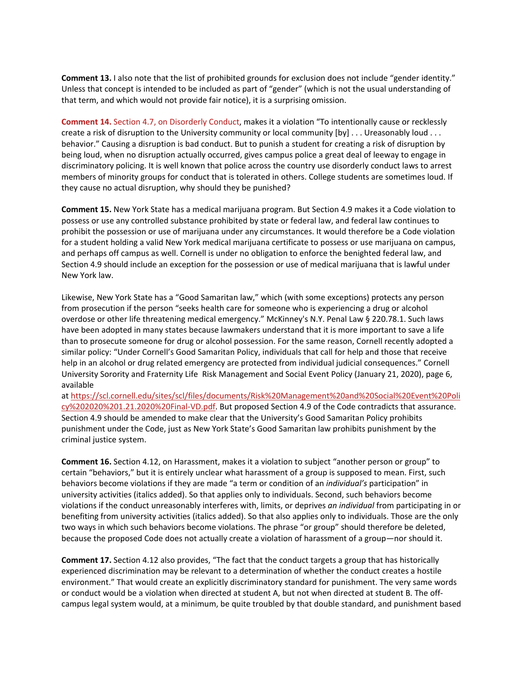**Comment 13.** I also note that the list of prohibited grounds for exclusion does not include "gender identity." Unless that concept is intended to be included as part of "gender" (which is not the usual understanding of that term, and which would not provide fair notice), it is a surprising omission.

**Comment 14.** Section 4.7, on Disorderly Conduct, makes it a violation "To intentionally cause or recklessly create a risk of disruption to the University community or local community [by] . . . Ureasonably loud . . . behavior." Causing a disruption is bad conduct. But to punish a student for creating a risk of disruption by being loud, when no disruption actually occurred, gives campus police a great deal of leeway to engage in discriminatory policing. It is well known that police across the country use disorderly conduct laws to arrest members of minority groups for conduct that is tolerated in others. College students are sometimes loud. If they cause no actual disruption, why should they be punished?

**Comment 15.** New York State has a medical marijuana program. But Section 4.9 makes it a Code violation to possess or use any controlled substance prohibited by state or federal law, and federal law continues to prohibit the possession or use of marijuana under any circumstances. It would therefore be a Code violation for a student holding a valid New York medical marijuana certificate to possess or use marijuana on campus, and perhaps off campus as well. Cornell is under no obligation to enforce the benighted federal law, and Section 4.9 should include an exception for the possession or use of medical marijuana that is lawful under New York law.

Likewise, New York State has a "Good Samaritan law," which (with some exceptions) protects any person from prosecution if the person "seeks health care for someone who is experiencing a drug or alcohol overdose or other life threatening medical emergency." McKinney's N.Y. Penal Law § 220.78.1. Such laws have been adopted in many states because lawmakers understand that it is more important to save a life than to prosecute someone for drug or alcohol possession. For the same reason, Cornell recently adopted a similar policy: "Under Cornell's Good Samaritan Policy, individuals that call for help and those that receive help in an alcohol or drug related emergency are protected from individual judicial consequences." Cornell University Sorority and Fraternity Life Risk Management and Social Event Policy (January 21, 2020), page 6, available

at [https://scl.cornell.edu/sites/scl/files/documents/Risk%20Management%20and%20Social%20Event%20Poli](https://scl.cornell.edu/sites/scl/files/documents/Risk%20Management%20and%20Social%20E%20vent%20Policy%202020%201.21.2020%20Final-VD.pdf) [cy%202020%201.21.2020%20Final-VD.pdf.](https://scl.cornell.edu/sites/scl/files/documents/Risk%20Management%20and%20Social%20E%20vent%20Policy%202020%201.21.2020%20Final-VD.pdf) But proposed Section 4.9 of the Code contradicts that assurance. Section 4.9 should be amended to make clear that the University's Good Samaritan Policy prohibits punishment under the Code, just as New York State's Good Samaritan law prohibits punishment by the criminal justice system.

**Comment 16.** Section 4.12, on Harassment, makes it a violation to subject "another person or group" to certain "behaviors," but it is entirely unclear what harassment of a group is supposed to mean. First, such behaviors become violations if they are made "a term or condition of an *individual's* participation" in university activities (italics added). So that applies only to individuals. Second, such behaviors become violations if the conduct unreasonably interferes with, limits, or deprives *an individual* from participating in or benefiting from university activities (italics added). So that also applies only to individuals. Those are the only two ways in which such behaviors become violations. The phrase "or group" should therefore be deleted, because the proposed Code does not actually create a violation of harassment of a group—nor should it.

**Comment 17.** Section 4.12 also provides, "The fact that the conduct targets a group that has historically experienced discrimination may be relevant to a determination of whether the conduct creates a hostile environment." That would create an explicitly discriminatory standard for punishment. The very same words or conduct would be a violation when directed at student A, but not when directed at student B. The offcampus legal system would, at a minimum, be quite troubled by that double standard, and punishment based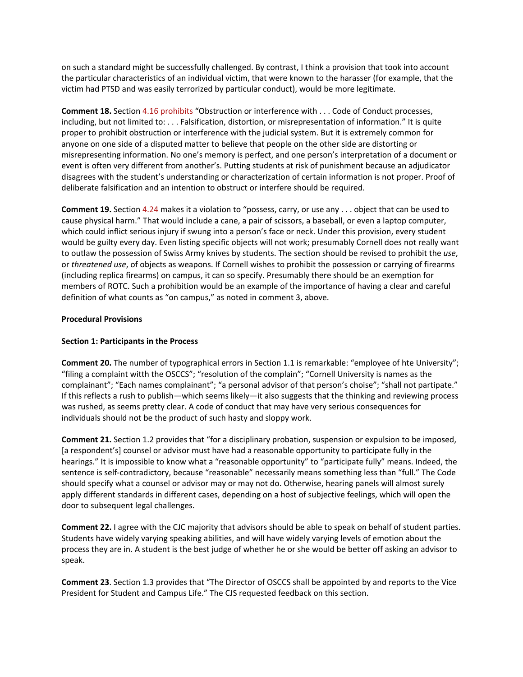on such a standard might be successfully challenged. By contrast, I think a provision that took into account the particular characteristics of an individual victim, that were known to the harasser (for example, that the victim had PTSD and was easily terrorized by particular conduct), would be more legitimate.

**Comment 18.** Section 4.16 prohibits "Obstruction or interference with . . . Code of Conduct processes, including, but not limited to: . . . Falsification, distortion, or misrepresentation of information." It is quite proper to prohibit obstruction or interference with the judicial system. But it is extremely common for anyone on one side of a disputed matter to believe that people on the other side are distorting or misrepresenting information. No one's memory is perfect, and one person's interpretation of a document or event is often very different from another's. Putting students at risk of punishment because an adjudicator disagrees with the student's understanding or characterization of certain information is not proper. Proof of deliberate falsification and an intention to obstruct or interfere should be required.

**Comment 19.** Section 4.24 makes it a violation to "possess, carry, or use any . . . object that can be used to cause physical harm." That would include a cane, a pair of scissors, a baseball, or even a laptop computer, which could inflict serious injury if swung into a person's face or neck. Under this provision, every student would be guilty every day. Even listing specific objects will not work; presumably Cornell does not really want to outlaw the possession of Swiss Army knives by students. The section should be revised to prohibit the *use*, or *threatened use*, of objects as weapons. If Cornell wishes to prohibit the possession or carrying of firearms (including replica firearms) on campus, it can so specify. Presumably there should be an exemption for members of ROTC. Such a prohibition would be an example of the importance of having a clear and careful definition of what counts as "on campus," as noted in comment 3, above.

### **Procedural Provisions**

### **Section 1: Participants in the Process**

**Comment 20.** The number of typographical errors in Section 1.1 is remarkable: "employee of hte University"; "filing a complaint witth the OSCCS"; "resolution of the complain"; "Cornell University is names as the complainant"; "Each names complainant"; "a personal advisor of that person's choise"; "shall not partipate." If this reflects a rush to publish—which seems likely—it also suggests that the thinking and reviewing process was rushed, as seems pretty clear. A code of conduct that may have very serious consequences for individuals should not be the product of such hasty and sloppy work.

**Comment 21.** Section 1.2 provides that "for a disciplinary probation, suspension or expulsion to be imposed, [a respondent's] counsel or advisor must have had a reasonable opportunity to participate fully in the hearings." It is impossible to know what a "reasonable opportunity" to "participate fully" means. Indeed, the sentence is self-contradictory, because "reasonable" necessarily means something less than "full." The Code should specify what a counsel or advisor may or may not do. Otherwise, hearing panels will almost surely apply different standards in different cases, depending on a host of subjective feelings, which will open the door to subsequent legal challenges.

**Comment 22.** I agree with the CJC majority that advisors should be able to speak on behalf of student parties. Students have widely varying speaking abilities, and will have widely varying levels of emotion about the process they are in. A student is the best judge of whether he or she would be better off asking an advisor to speak.

**Comment 23**. Section 1.3 provides that "The Director of OSCCS shall be appointed by and reports to the Vice President for Student and Campus Life." The CJS requested feedback on this section.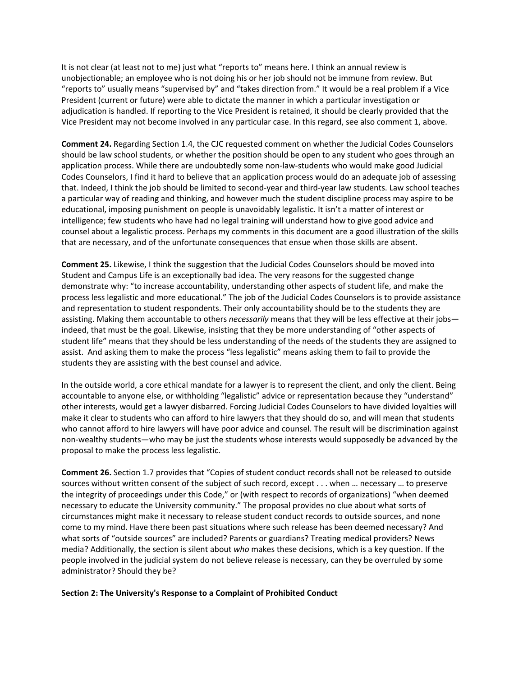It is not clear (at least not to me) just what "reports to" means here. I think an annual review is unobjectionable; an employee who is not doing his or her job should not be immune from review. But "reports to" usually means "supervised by" and "takes direction from." It would be a real problem if a Vice President (current or future) were able to dictate the manner in which a particular investigation or adjudication is handled. If reporting to the Vice President is retained, it should be clearly provided that the Vice President may not become involved in any particular case. In this regard, see also comment 1, above.

**Comment 24.** Regarding Section 1.4, the CJC requested comment on whether the Judicial Codes Counselors should be law school students, or whether the position should be open to any student who goes through an application process. While there are undoubtedly some non-law-students who would make good Judicial Codes Counselors, I find it hard to believe that an application process would do an adequate job of assessing that. Indeed, I think the job should be limited to second-year and third-year law students. Law school teaches a particular way of reading and thinking, and however much the student discipline process may aspire to be educational, imposing punishment on people is unavoidably legalistic. It isn't a matter of interest or intelligence; few students who have had no legal training will understand how to give good advice and counsel about a legalistic process. Perhaps my comments in this document are a good illustration of the skills that are necessary, and of the unfortunate consequences that ensue when those skills are absent.

**Comment 25.** Likewise, I think the suggestion that the Judicial Codes Counselors should be moved into Student and Campus Life is an exceptionally bad idea. The very reasons for the suggested change demonstrate why: "to increase accountability, understanding other aspects of student life, and make the process less legalistic and more educational." The job of the Judicial Codes Counselors is to provide assistance and representation to student respondents. Their only accountability should be to the students they are assisting. Making them accountable to others *necessarily* means that they will be less effective at their jobs indeed, that must be the goal. Likewise, insisting that they be more understanding of "other aspects of student life" means that they should be less understanding of the needs of the students they are assigned to assist. And asking them to make the process "less legalistic" means asking them to fail to provide the students they are assisting with the best counsel and advice.

In the outside world, a core ethical mandate for a lawyer is to represent the client, and only the client. Being accountable to anyone else, or withholding "legalistic" advice or representation because they "understand" other interests, would get a lawyer disbarred. Forcing Judicial Codes Counselors to have divided loyalties will make it clear to students who can afford to hire lawyers that they should do so, and will mean that students who cannot afford to hire lawyers will have poor advice and counsel. The result will be discrimination against non-wealthy students—who may be just the students whose interests would supposedly be advanced by the proposal to make the process less legalistic.

**Comment 26.** Section 1.7 provides that "Copies of student conduct records shall not be released to outside sources without written consent of the subject of such record, except . . . when … necessary … to preserve the integrity of proceedings under this Code," or (with respect to records of organizations) "when deemed necessary to educate the University community." The proposal provides no clue about what sorts of circumstances might make it necessary to release student conduct records to outside sources, and none come to my mind. Have there been past situations where such release has been deemed necessary? And what sorts of "outside sources" are included? Parents or guardians? Treating medical providers? News media? Additionally, the section is silent about *who* makes these decisions, which is a key question. If the people involved in the judicial system do not believe release is necessary, can they be overruled by some administrator? Should they be?

### **Section 2: The University's Response to a Complaint of Prohibited Conduct**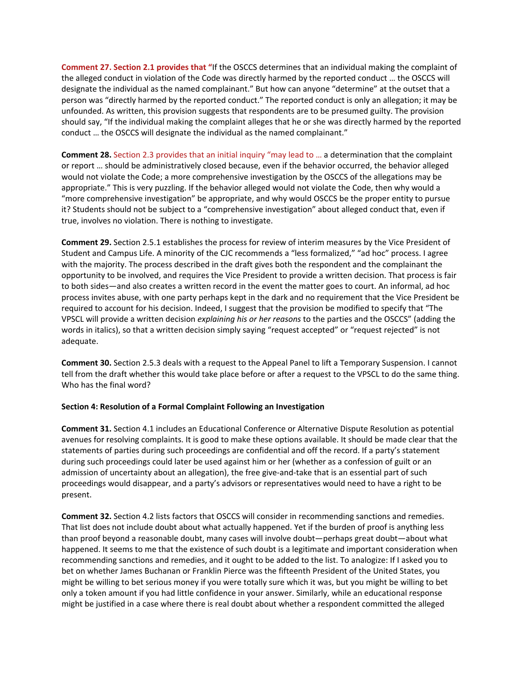**Comment 27. Section 2.1 provides that "**If the OSCCS determines that an individual making the complaint of the alleged conduct in violation of the Code was directly harmed by the reported conduct … the OSCCS will designate the individual as the named complainant." But how can anyone "determine" at the outset that a person was "directly harmed by the reported conduct." The reported conduct is only an allegation; it may be unfounded. As written, this provision suggests that respondents are to be presumed guilty. The provision should say, "If the individual making the complaint alleges that he or she was directly harmed by the reported conduct … the OSCCS will designate the individual as the named complainant."

**Comment 28.** Section 2.3 provides that an initial inquiry "may lead to … a determination that the complaint or report … should be administratively closed because, even if the behavior occurred, the behavior alleged would not violate the Code; a more comprehensive investigation by the OSCCS of the allegations may be appropriate." This is very puzzling. If the behavior alleged would not violate the Code, then why would a "more comprehensive investigation" be appropriate, and why would OSCCS be the proper entity to pursue it? Students should not be subject to a "comprehensive investigation" about alleged conduct that, even if true, involves no violation. There is nothing to investigate.

**Comment 29.** Section 2.5.1 establishes the process for review of interim measures by the Vice President of Student and Campus Life. A minority of the CJC recommends a "less formalized," "ad hoc" process. I agree with the majority. The process described in the draft gives both the respondent and the complainant the opportunity to be involved, and requires the Vice President to provide a written decision. That process is fair to both sides—and also creates a written record in the event the matter goes to court. An informal, ad hoc process invites abuse, with one party perhaps kept in the dark and no requirement that the Vice President be required to account for his decision. Indeed, I suggest that the provision be modified to specify that "The VPSCL will provide a written decision *explaining his or her reasons* to the parties and the OSCCS" (adding the words in italics), so that a written decision simply saying "request accepted" or "request rejected" is not adequate.

**Comment 30.** Section 2.5.3 deals with a request to the Appeal Panel to lift a Temporary Suspension. I cannot tell from the draft whether this would take place before or after a request to the VPSCL to do the same thing. Who has the final word?

### **Section 4: Resolution of a Formal Complaint Following an Investigation**

**Comment 31.** Section 4.1 includes an Educational Conference or Alternative Dispute Resolution as potential avenues for resolving complaints. It is good to make these options available. It should be made clear that the statements of parties during such proceedings are confidential and off the record. If a party's statement during such proceedings could later be used against him or her (whether as a confession of guilt or an admission of uncertainty about an allegation), the free give-and-take that is an essential part of such proceedings would disappear, and a party's advisors or representatives would need to have a right to be present.

**Comment 32.** Section 4.2 lists factors that OSCCS will consider in recommending sanctions and remedies. That list does not include doubt about what actually happened. Yet if the burden of proof is anything less than proof beyond a reasonable doubt, many cases will involve doubt—perhaps great doubt—about what happened. It seems to me that the existence of such doubt is a legitimate and important consideration when recommending sanctions and remedies, and it ought to be added to the list. To analogize: If I asked you to bet on whether James Buchanan or Franklin Pierce was the fifteenth President of the United States, you might be willing to bet serious money if you were totally sure which it was, but you might be willing to bet only a token amount if you had little confidence in your answer. Similarly, while an educational response might be justified in a case where there is real doubt about whether a respondent committed the alleged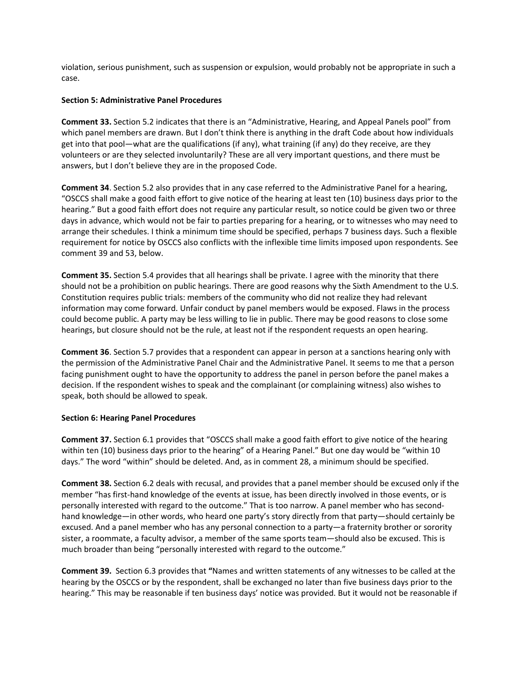violation, serious punishment, such as suspension or expulsion, would probably not be appropriate in such a case.

### **Section 5: Administrative Panel Procedures**

**Comment 33.** Section 5.2 indicates that there is an "Administrative, Hearing, and Appeal Panels pool" from which panel members are drawn. But I don't think there is anything in the draft Code about how individuals get into that pool—what are the qualifications (if any), what training (if any) do they receive, are they volunteers or are they selected involuntarily? These are all very important questions, and there must be answers, but I don't believe they are in the proposed Code.

**Comment 34**. Section 5.2 also provides that in any case referred to the Administrative Panel for a hearing, "OSCCS shall make a good faith effort to give notice of the hearing at least ten (10) business days prior to the hearing." But a good faith effort does not require any particular result, so notice could be given two or three days in advance, which would not be fair to parties preparing for a hearing, or to witnesses who may need to arrange their schedules. I think a minimum time should be specified, perhaps 7 business days. Such a flexible requirement for notice by OSCCS also conflicts with the inflexible time limits imposed upon respondents. See comment 39 and 53, below.

**Comment 35.** Section 5.4 provides that all hearings shall be private. I agree with the minority that there should not be a prohibition on public hearings. There are good reasons why the Sixth Amendment to the U.S. Constitution requires public trials: members of the community who did not realize they had relevant information may come forward. Unfair conduct by panel members would be exposed. Flaws in the process could become public. A party may be less willing to lie in public. There may be good reasons to close some hearings, but closure should not be the rule, at least not if the respondent requests an open hearing.

**Comment 36**. Section 5.7 provides that a respondent can appear in person at a sanctions hearing only with the permission of the Administrative Panel Chair and the Administrative Panel. It seems to me that a person facing punishment ought to have the opportunity to address the panel in person before the panel makes a decision. If the respondent wishes to speak and the complainant (or complaining witness) also wishes to speak, both should be allowed to speak.

### **Section 6: Hearing Panel Procedures**

**Comment 37.** Section 6.1 provides that "OSCCS shall make a good faith effort to give notice of the hearing within ten (10) business days prior to the hearing" of a Hearing Panel." But one day would be "within 10 days." The word "within" should be deleted. And, as in comment 28, a minimum should be specified.

**Comment 38.** Section 6.2 deals with recusal, and provides that a panel member should be excused only if the member "has first-hand knowledge of the events at issue, has been directly involved in those events, or is personally interested with regard to the outcome." That is too narrow. A panel member who has secondhand knowledge—in other words, who heard one party's story directly from that party—should certainly be excused. And a panel member who has any personal connection to a party—a fraternity brother or sorority sister, a roommate, a faculty advisor, a member of the same sports team—should also be excused. This is much broader than being "personally interested with regard to the outcome."

**Comment 39.** Section 6.3 provides that **"**Names and written statements of any witnesses to be called at the hearing by the OSCCS or by the respondent, shall be exchanged no later than five business days prior to the hearing." This may be reasonable if ten business days' notice was provided. But it would not be reasonable if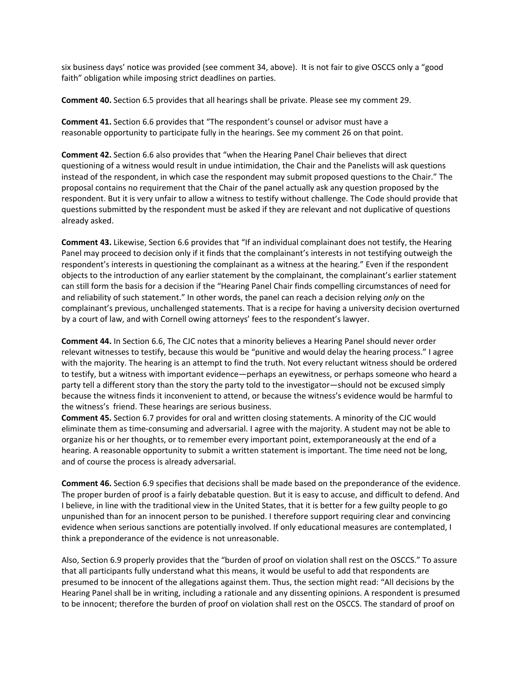six business days' notice was provided (see comment 34, above). It is not fair to give OSCCS only a "good faith" obligation while imposing strict deadlines on parties.

**Comment 40.** Section 6.5 provides that all hearings shall be private. Please see my comment 29.

**Comment 41.** Section 6.6 provides that "The respondent's counsel or advisor must have a reasonable opportunity to participate fully in the hearings. See my comment 26 on that point.

**Comment 42.** Section 6.6 also provides that "when the Hearing Panel Chair believes that direct questioning of a witness would result in undue intimidation, the Chair and the Panelists will ask questions instead of the respondent, in which case the respondent may submit proposed questions to the Chair." The proposal contains no requirement that the Chair of the panel actually ask any question proposed by the respondent. But it is very unfair to allow a witness to testify without challenge. The Code should provide that questions submitted by the respondent must be asked if they are relevant and not duplicative of questions already asked.

**Comment 43.** Likewise, Section 6.6 provides that "If an individual complainant does not testify, the Hearing Panel may proceed to decision only if it finds that the complainant's interests in not testifying outweigh the respondent's interests in questioning the complainant as a witness at the hearing." Even if the respondent objects to the introduction of any earlier statement by the complainant, the complainant's earlier statement can still form the basis for a decision if the "Hearing Panel Chair finds compelling circumstances of need for and reliability of such statement." In other words, the panel can reach a decision relying *only* on the complainant's previous, unchallenged statements. That is a recipe for having a university decision overturned by a court of law, and with Cornell owing attorneys' fees to the respondent's lawyer.

**Comment 44.** In Section 6.6, The CJC notes that a minority believes a Hearing Panel should never order relevant witnesses to testify, because this would be "punitive and would delay the hearing process." I agree with the majority. The hearing is an attempt to find the truth. Not every reluctant witness should be ordered to testify, but a witness with important evidence—perhaps an eyewitness, or perhaps someone who heard a party tell a different story than the story the party told to the investigator—should not be excused simply because the witness finds it inconvenient to attend, or because the witness's evidence would be harmful to the witness's friend. These hearings are serious business.

**Comment 45.** Section 6.7 provides for oral and written closing statements. A minority of the CJC would eliminate them as time-consuming and adversarial. I agree with the majority. A student may not be able to organize his or her thoughts, or to remember every important point, extemporaneously at the end of a hearing. A reasonable opportunity to submit a written statement is important. The time need not be long, and of course the process is already adversarial.

**Comment 46.** Section 6.9 specifies that decisions shall be made based on the preponderance of the evidence. The proper burden of proof is a fairly debatable question. But it is easy to accuse, and difficult to defend. And I believe, in line with the traditional view in the United States, that it is better for a few guilty people to go unpunished than for an innocent person to be punished. I therefore support requiring clear and convincing evidence when serious sanctions are potentially involved. If only educational measures are contemplated, I think a preponderance of the evidence is not unreasonable.

Also, Section 6.9 properly provides that the "burden of proof on violation shall rest on the OSCCS." To assure that all participants fully understand what this means, it would be useful to add that respondents are presumed to be innocent of the allegations against them. Thus, the section might read: "All decisions by the Hearing Panel shall be in writing, including a rationale and any dissenting opinions. A respondent is presumed to be innocent; therefore the burden of proof on violation shall rest on the OSCCS. The standard of proof on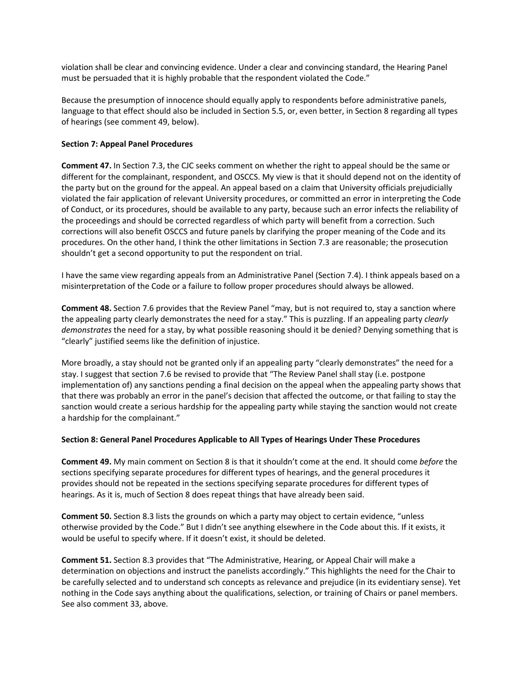violation shall be clear and convincing evidence. Under a clear and convincing standard, the Hearing Panel must be persuaded that it is highly probable that the respondent violated the Code."

Because the presumption of innocence should equally apply to respondents before administrative panels, language to that effect should also be included in Section 5.5, or, even better, in Section 8 regarding all types of hearings (see comment 49, below).

### **Section 7: Appeal Panel Procedures**

**Comment 47.** In Section 7.3, the CJC seeks comment on whether the right to appeal should be the same or different for the complainant, respondent, and OSCCS. My view is that it should depend not on the identity of the party but on the ground for the appeal. An appeal based on a claim that University officials prejudicially violated the fair application of relevant University procedures, or committed an error in interpreting the Code of Conduct, or its procedures, should be available to any party, because such an error infects the reliability of the proceedings and should be corrected regardless of which party will benefit from a correction. Such corrections will also benefit OSCCS and future panels by clarifying the proper meaning of the Code and its procedures. On the other hand, I think the other limitations in Section 7.3 are reasonable; the prosecution shouldn't get a second opportunity to put the respondent on trial.

I have the same view regarding appeals from an Administrative Panel (Section 7.4). I think appeals based on a misinterpretation of the Code or a failure to follow proper procedures should always be allowed.

**Comment 48.** Section 7.6 provides that the Review Panel "may, but is not required to, stay a sanction where the appealing party clearly demonstrates the need for a stay." This is puzzling. If an appealing party *clearly demonstrates* the need for a stay, by what possible reasoning should it be denied? Denying something that is "clearly" justified seems like the definition of injustice.

More broadly, a stay should not be granted only if an appealing party "clearly demonstrates" the need for a stay. I suggest that section 7.6 be revised to provide that "The Review Panel shall stay (i.e. postpone implementation of) any sanctions pending a final decision on the appeal when the appealing party shows that that there was probably an error in the panel's decision that affected the outcome, or that failing to stay the sanction would create a serious hardship for the appealing party while staying the sanction would not create a hardship for the complainant."

### **Section 8: General Panel Procedures Applicable to All Types of Hearings Under These Procedures**

**Comment 49.** My main comment on Section 8 is that it shouldn't come at the end. It should come *before* the sections specifying separate procedures for different types of hearings, and the general procedures it provides should not be repeated in the sections specifying separate procedures for different types of hearings. As it is, much of Section 8 does repeat things that have already been said.

**Comment 50.** Section 8.3 lists the grounds on which a party may object to certain evidence, "unless otherwise provided by the Code." But I didn't see anything elsewhere in the Code about this. If it exists, it would be useful to specify where. If it doesn't exist, it should be deleted.

**Comment 51.** Section 8.3 provides that "The Administrative, Hearing, or Appeal Chair will make a determination on objections and instruct the panelists accordingly." This highlights the need for the Chair to be carefully selected and to understand sch concepts as relevance and prejudice (in its evidentiary sense). Yet nothing in the Code says anything about the qualifications, selection, or training of Chairs or panel members. See also comment 33, above.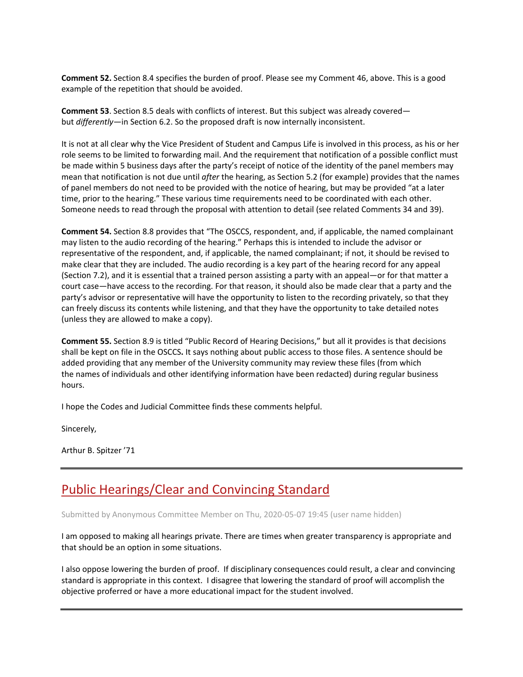**Comment 52.** Section 8.4 specifies the burden of proof. Please see my Comment 46, above. This is a good example of the repetition that should be avoided.

**Comment 53**. Section 8.5 deals with conflicts of interest. But this subject was already covered but *differently*—in Section 6.2. So the proposed draft is now internally inconsistent.

It is not at all clear why the Vice President of Student and Campus Life is involved in this process, as his or her role seems to be limited to forwarding mail. And the requirement that notification of a possible conflict must be made within 5 business days after the party's receipt of notice of the identity of the panel members may mean that notification is not due until *after* the hearing, as Section 5.2 (for example) provides that the names of panel members do not need to be provided with the notice of hearing, but may be provided "at a later time, prior to the hearing." These various time requirements need to be coordinated with each other. Someone needs to read through the proposal with attention to detail (see related Comments 34 and 39).

**Comment 54.** Section 8.8 provides that "The OSCCS, respondent, and, if applicable, the named complainant may listen to the audio recording of the hearing." Perhaps this is intended to include the advisor or representative of the respondent, and, if applicable, the named complainant; if not, it should be revised to make clear that they are included. The audio recording is a key part of the hearing record for any appeal (Section 7.2), and it is essential that a trained person assisting a party with an appeal—or for that matter a court case—have access to the recording. For that reason, it should also be made clear that a party and the party's advisor or representative will have the opportunity to listen to the recording privately, so that they can freely discuss its contents while listening, and that they have the opportunity to take detailed notes (unless they are allowed to make a copy).

**Comment 55.** Section 8.9 is titled "Public Record of Hearing Decisions," but all it provides is that decisions shall be kept on file in the OSCCS**.** It says nothing about public access to those files. A sentence should be added providing that any member of the University community may review these files (from which the names of individuals and other identifying information have been redacted) during regular business hours.

I hope the Codes and Judicial Committee finds these comments helpful.

Sincerely,

Arthur B. Spitzer '71

## [Public Hearings/Clear and Convincing Standard](https://assembly.cornell.edu/comment/123#comment-123)

Submitted by Anonymous Committee Member on Thu, 2020-05-07 19:45 (user name hidden)

I am opposed to making all hearings private. There are times when greater transparency is appropriate and that should be an option in some situations.

I also oppose lowering the burden of proof. If disciplinary consequences could result, a clear and convincing standard is appropriate in this context. I disagree that lowering the standard of proof will accomplish the objective proferred or have a more educational impact for the student involved.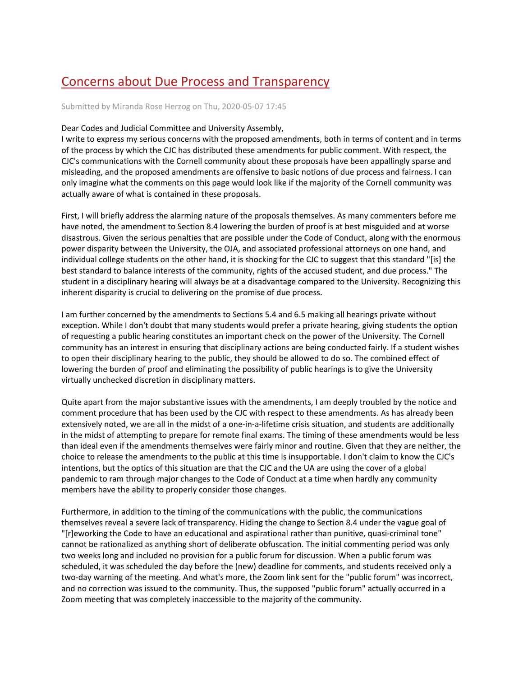# [Concerns about Due Process and Transparency](https://assembly.cornell.edu/comment/122#comment-122)

Submitted by Miranda Rose Herzog on Thu, 2020-05-07 17:45

#### Dear Codes and Judicial Committee and University Assembly,

I write to express my serious concerns with the proposed amendments, both in terms of content and in terms of the process by which the CJC has distributed these amendments for public comment. With respect, the CJC's communications with the Cornell community about these proposals have been appallingly sparse and misleading, and the proposed amendments are offensive to basic notions of due process and fairness. I can only imagine what the comments on this page would look like if the majority of the Cornell community was actually aware of what is contained in these proposals.

First, I will briefly address the alarming nature of the proposals themselves. As many commenters before me have noted, the amendment to Section 8.4 lowering the burden of proof is at best misguided and at worse disastrous. Given the serious penalties that are possible under the Code of Conduct, along with the enormous power disparity between the University, the OJA, and associated professional attorneys on one hand, and individual college students on the other hand, it is shocking for the CJC to suggest that this standard "[is] the best standard to balance interests of the community, rights of the accused student, and due process." The student in a disciplinary hearing will always be at a disadvantage compared to the University. Recognizing this inherent disparity is crucial to delivering on the promise of due process.

I am further concerned by the amendments to Sections 5.4 and 6.5 making all hearings private without exception. While I don't doubt that many students would prefer a private hearing, giving students the option of requesting a public hearing constitutes an important check on the power of the University. The Cornell community has an interest in ensuring that disciplinary actions are being conducted fairly. If a student wishes to open their disciplinary hearing to the public, they should be allowed to do so. The combined effect of lowering the burden of proof and eliminating the possibility of public hearings is to give the University virtually unchecked discretion in disciplinary matters.

Quite apart from the major substantive issues with the amendments, I am deeply troubled by the notice and comment procedure that has been used by the CJC with respect to these amendments. As has already been extensively noted, we are all in the midst of a one-in-a-lifetime crisis situation, and students are additionally in the midst of attempting to prepare for remote final exams. The timing of these amendments would be less than ideal even if the amendments themselves were fairly minor and routine. Given that they are neither, the choice to release the amendments to the public at this time is insupportable. I don't claim to know the CJC's intentions, but the optics of this situation are that the CJC and the UA are using the cover of a global pandemic to ram through major changes to the Code of Conduct at a time when hardly any community members have the ability to properly consider those changes.

Furthermore, in addition to the timing of the communications with the public, the communications themselves reveal a severe lack of transparency. Hiding the change to Section 8.4 under the vague goal of "[r]eworking the Code to have an educational and aspirational rather than punitive, quasi-criminal tone" cannot be rationalized as anything short of deliberate obfuscation. The initial commenting period was only two weeks long and included no provision for a public forum for discussion. When a public forum was scheduled, it was scheduled the day before the (new) deadline for comments, and students received only a two-day warning of the meeting. And what's more, the Zoom link sent for the "public forum" was incorrect, and no correction was issued to the community. Thus, the supposed "public forum" actually occurred in a Zoom meeting that was completely inaccessible to the majority of the community.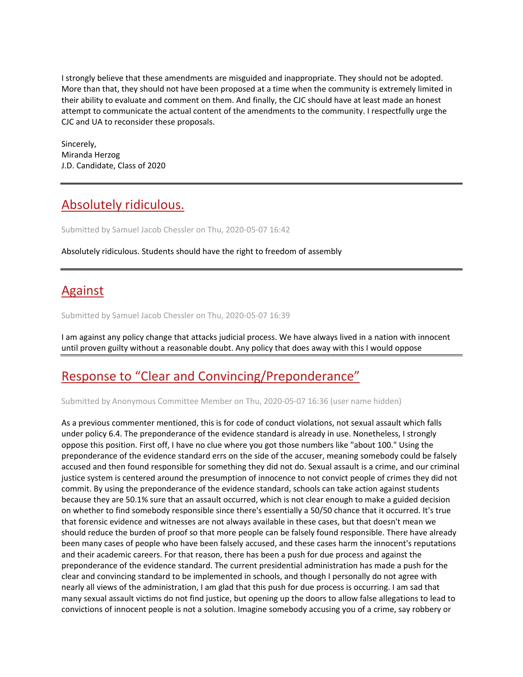I strongly believe that these amendments are misguided and inappropriate. They should not be adopted. More than that, they should not have been proposed at a time when the community is extremely limited in their ability to evaluate and comment on them. And finally, the CJC should have at least made an honest attempt to communicate the actual content of the amendments to the community. I respectfully urge the CJC and UA to reconsider these proposals.

Sincerely, Miranda Herzog J.D. Candidate, Class of 2020

## [Absolutely ridiculous.](https://assembly.cornell.edu/comment/121#comment-121)

Submitted by Samuel Jacob Chessler on Thu, 2020-05-07 16:42

Absolutely ridiculous. Students should have the right to freedom of assembly

# [Against](https://assembly.cornell.edu/comment/120#comment-120)

Submitted by Samuel Jacob Chessler on Thu, 2020-05-07 16:39

I am against any policy change that attacks judicial process. We have always lived in a nation with innocent until proven guilty without a reasonable doubt. Any policy that does away with this I would oppose

# [Response to "Clear and Convincing/Preponderance"](https://assembly.cornell.edu/comment/119#comment-119)

Submitted by Anonymous Committee Member on Thu, 2020-05-07 16:36 (user name hidden)

As a previous commenter mentioned, this is for code of conduct violations, not sexual assault which falls under policy 6.4. The preponderance of the evidence standard is already in use. Nonetheless, I strongly oppose this position. First off, I have no clue where you got those numbers like "about 100." Using the preponderance of the evidence standard errs on the side of the accuser, meaning somebody could be falsely accused and then found responsible for something they did not do. Sexual assault is a crime, and our criminal justice system is centered around the presumption of innocence to not convict people of crimes they did not commit. By using the preponderance of the evidence standard, schools can take action against students because they are 50.1% sure that an assault occurred, which is not clear enough to make a guided decision on whether to find somebody responsible since there's essentially a 50/50 chance that it occurred. It's true that forensic evidence and witnesses are not always available in these cases, but that doesn't mean we should reduce the burden of proof so that more people can be falsely found responsible. There have already been many cases of people who have been falsely accused, and these cases harm the innocent's reputations and their academic careers. For that reason, there has been a push for due process and against the preponderance of the evidence standard. The current presidential administration has made a push for the clear and convincing standard to be implemented in schools, and though I personally do not agree with nearly all views of the administration, I am glad that this push for due process is occurring. I am sad that many sexual assault victims do not find justice, but opening up the doors to allow false allegations to lead to convictions of innocent people is not a solution. Imagine somebody accusing you of a crime, say robbery or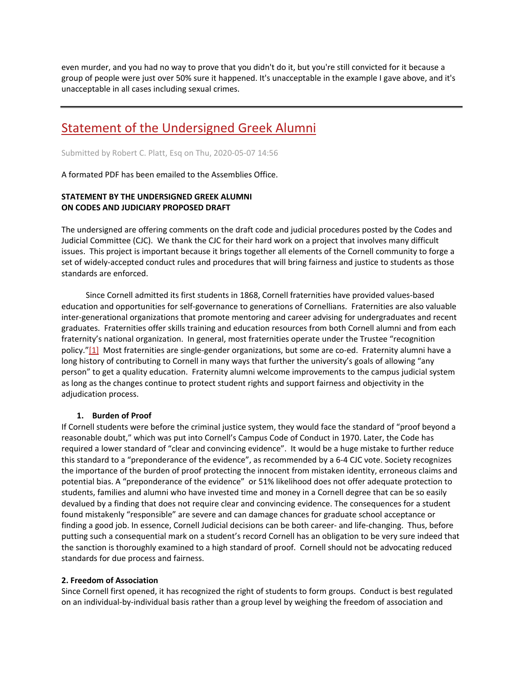even murder, and you had no way to prove that you didn't do it, but you're still convicted for it because a group of people were just over 50% sure it happened. It's unacceptable in the example I gave above, and it's unacceptable in all cases including sexual crimes.

## [Statement of the Undersigned Greek Alumni](https://assembly.cornell.edu/comment/117#comment-117)

Submitted by Robert C. Platt, Esq on Thu, 2020-05-07 14:56

A formated PDF has been emailed to the Assemblies Office.

### **STATEMENT BY THE UNDERSIGNED GREEK ALUMNI ON CODES AND JUDICIARY PROPOSED DRAFT**

The undersigned are offering comments on the draft code and judicial procedures posted by the Codes and Judicial Committee (CJC). We thank the CJC for their hard work on a project that involves many difficult issues. This project is important because it brings together all elements of the Cornell community to forge a set of widely-accepted conduct rules and procedures that will bring fairness and justice to students as those standards are enforced.

 Since Cornell admitted its first students in 1868, Cornell fraternities have provided values-based education and opportunities for self-governance to generations of Cornellians. Fraternities are also valuable inter-generational organizations that promote mentoring and career advising for undergraduates and recent graduates. Fraternities offer skills training and education resources from both Cornell alumni and from each fraternity's national organization. In general, most fraternities operate under the Trustee "recognition policy.["\[1\]](https://assembly.cornell.edu/get-involved/input-issues/2020-proposed-amendments-campus-code-conduct#_ftn1) Most fraternities are single-gender organizations, but some are co-ed. Fraternity alumni have a long history of contributing to Cornell in many ways that further the university's goals of allowing "any person" to get a quality education. Fraternity alumni welcome improvements to the campus judicial system as long as the changes continue to protect student rights and support fairness and objectivity in the adjudication process.

### **1. Burden of Proof**

If Cornell students were before the criminal justice system, they would face the standard of "proof beyond a reasonable doubt," which was put into Cornell's Campus Code of Conduct in 1970. Later, the Code has required a lower standard of "clear and convincing evidence". It would be a huge mistake to further reduce this standard to a "preponderance of the evidence", as recommended by a 6-4 CJC vote. Society recognizes the importance of the burden of proof protecting the innocent from mistaken identity, erroneous claims and potential bias. A "preponderance of the evidence" or 51% likelihood does not offer adequate protection to students, families and alumni who have invested time and money in a Cornell degree that can be so easily devalued by a finding that does not require clear and convincing evidence. The consequences for a student found mistakenly "responsible" are severe and can damage chances for graduate school acceptance or finding a good job. In essence, Cornell Judicial decisions can be both career- and life-changing. Thus, before putting such a consequential mark on a student's record Cornell has an obligation to be very sure indeed that the sanction is thoroughly examined to a high standard of proof. Cornell should not be advocating reduced standards for due process and fairness.

### **2. Freedom of Association**

Since Cornell first opened, it has recognized the right of students to form groups. Conduct is best regulated on an individual-by-individual basis rather than a group level by weighing the freedom of association and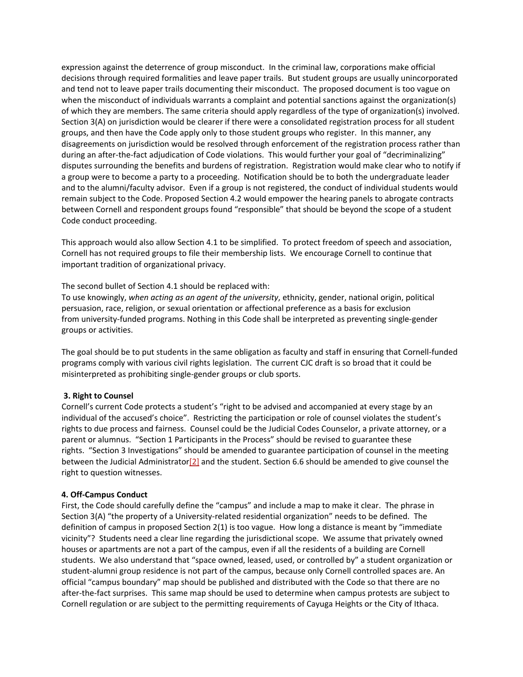expression against the deterrence of group misconduct. In the criminal law, corporations make official decisions through required formalities and leave paper trails. But student groups are usually unincorporated and tend not to leave paper trails documenting their misconduct. The proposed document is too vague on when the misconduct of individuals warrants a complaint and potential sanctions against the organization(s) of which they are members. The same criteria should apply regardless of the type of organization(s) involved. Section 3(A) on jurisdiction would be clearer if there were a consolidated registration process for all student groups, and then have the Code apply only to those student groups who register. In this manner, any disagreements on jurisdiction would be resolved through enforcement of the registration process rather than during an after-the-fact adjudication of Code violations. This would further your goal of "decriminalizing" disputes surrounding the benefits and burdens of registration. Registration would make clear who to notify if a group were to become a party to a proceeding. Notification should be to both the undergraduate leader and to the alumni/faculty advisor. Even if a group is not registered, the conduct of individual students would remain subject to the Code. Proposed Section 4.2 would empower the hearing panels to abrogate contracts between Cornell and respondent groups found "responsible" that should be beyond the scope of a student Code conduct proceeding.

This approach would also allow Section 4.1 to be simplified. To protect freedom of speech and association, Cornell has not required groups to file their membership lists. We encourage Cornell to continue that important tradition of organizational privacy.

The second bullet of Section 4.1 should be replaced with:

To use knowingly, *when acting as an agent of the university*, ethnicity, gender, national origin, political persuasion, race, religion, or sexual orientation or affectional preference as a basis for exclusion from university-funded programs. Nothing in this Code shall be interpreted as preventing single-gender groups or activities.

The goal should be to put students in the same obligation as faculty and staff in ensuring that Cornell-funded programs comply with various civil rights legislation. The current CJC draft is so broad that it could be misinterpreted as prohibiting single-gender groups or club sports.

### **3. Right to Counsel**

Cornell's current Code protects a student's "right to be advised and accompanied at every stage by an individual of the accused's choice". Restricting the participation or role of counsel violates the student's rights to due process and fairness. Counsel could be the Judicial Codes Counselor, a private attorney, or a parent or alumnus. "Section 1 Participants in the Process" should be revised to guarantee these rights. "Section 3 Investigations" should be amended to guarantee participation of counsel in the meeting between the Judicial Administrato[r\[2\]](https://assembly.cornell.edu/get-involved/input-issues/2020-proposed-amendments-campus-code-conduct#_ftn2) and the student. Section 6.6 should be amended to give counsel the right to question witnesses.

### **4. Off-Campus Conduct**

First, the Code should carefully define the "campus" and include a map to make it clear. The phrase in Section 3(A) "the property of a University-related residential organization" needs to be defined. The definition of campus in proposed Section 2(1) is too vague. How long a distance is meant by "immediate vicinity"? Students need a clear line regarding the jurisdictional scope. We assume that privately owned houses or apartments are not a part of the campus, even if all the residents of a building are Cornell students. We also understand that "space owned, leased, used, or controlled by" a student organization or student-alumni group residence is not part of the campus, because only Cornell controlled spaces are. An official "campus boundary" map should be published and distributed with the Code so that there are no after-the-fact surprises. This same map should be used to determine when campus protests are subject to Cornell regulation or are subject to the permitting requirements of Cayuga Heights or the City of Ithaca.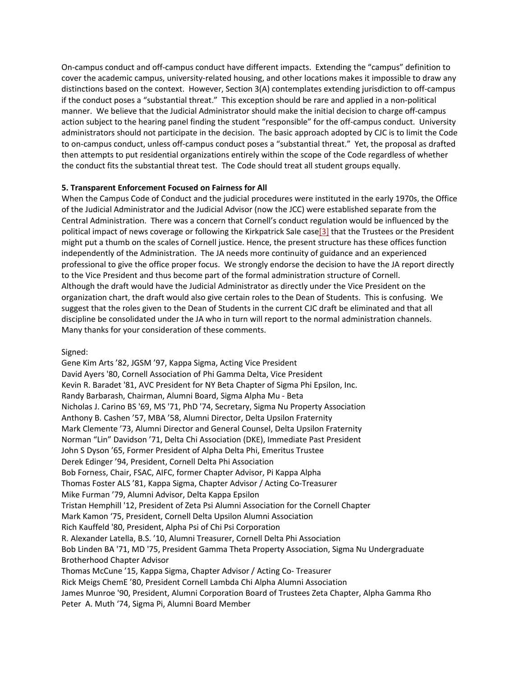On-campus conduct and off-campus conduct have different impacts. Extending the "campus" definition to cover the academic campus, university-related housing, and other locations makes it impossible to draw any distinctions based on the context. However, Section 3(A) contemplates extending jurisdiction to off-campus if the conduct poses a "substantial threat." This exception should be rare and applied in a non-political manner. We believe that the Judicial Administrator should make the initial decision to charge off-campus action subject to the hearing panel finding the student "responsible" for the off-campus conduct. University administrators should not participate in the decision. The basic approach adopted by CJC is to limit the Code to on-campus conduct, unless off-campus conduct poses a "substantial threat." Yet, the proposal as drafted then attempts to put residential organizations entirely within the scope of the Code regardless of whether the conduct fits the substantial threat test. The Code should treat all student groups equally.

### **5. Transparent Enforcement Focused on Fairness for All**

When the Campus Code of Conduct and the judicial procedures were instituted in the early 1970s, the Office of the Judicial Administrator and the Judicial Advisor (now the JCC) were established separate from the Central Administration. There was a concern that Cornell's conduct regulation would be influenced by the political impact of news coverage or following the Kirkpatrick Sale case<sup>[3]</sup> that the Trustees or the President might put a thumb on the scales of Cornell justice. Hence, the present structure has these offices function independently of the Administration. The JA needs more continuity of guidance and an experienced professional to give the office proper focus. We strongly endorse the decision to have the JA report directly to the Vice President and thus become part of the formal administration structure of Cornell. Although the draft would have the Judicial Administrator as directly under the Vice President on the organization chart, the draft would also give certain roles to the Dean of Students. This is confusing. We suggest that the roles given to the Dean of Students in the current CJC draft be eliminated and that all discipline be consolidated under the JA who in turn will report to the normal administration channels. Many thanks for your consideration of these comments.

Signed:

Gene Kim Arts '82, JGSM '97, Kappa Sigma, Acting Vice President David Ayers '80, Cornell Association of Phi Gamma Delta, Vice President Kevin R. Baradet '81, AVC President for NY Beta Chapter of Sigma Phi Epsilon, Inc. Randy Barbarash, Chairman, Alumni Board, Sigma Alpha Mu - Beta Nicholas J. Carino BS '69, MS '71, PhD '74, Secretary, Sigma Nu Property Association Anthony B. Cashen '57, MBA '58, Alumni Director, Delta Upsilon Fraternity Mark Clemente '73, Alumni Director and General Counsel, Delta Upsilon Fraternity Norman "Lin" Davidson '71, Delta Chi Association (DKE), Immediate Past President John S Dyson '65, Former President of Alpha Delta Phi, Emeritus Trustee Derek Edinger '94, President, Cornell Delta Phi Association Bob Forness, Chair, FSAC, AIFC, former Chapter Advisor, Pi Kappa Alpha Thomas Foster ALS '81, Kappa Sigma, Chapter Advisor / Acting Co-Treasurer Mike Furman '79, Alumni Advisor, Delta Kappa Epsilon Tristan Hemphill '12, President of Zeta Psi Alumni Association for the Cornell Chapter Mark Kamon '75, President, Cornell Delta Upsilon Alumni Association Rich Kauffeld '80, President, Alpha Psi of Chi Psi Corporation R. Alexander Latella, B.S. '10, Alumni Treasurer, Cornell Delta Phi Association Bob Linden BA '71, MD '75, President Gamma Theta Property Association, Sigma Nu Undergraduate Brotherhood Chapter Advisor Thomas McCune '15, Kappa Sigma, Chapter Advisor / Acting Co- Treasurer Rick Meigs ChemE '80, President Cornell Lambda Chi Alpha Alumni Association James Munroe '90, President, Alumni Corporation Board of Trustees Zeta Chapter, Alpha Gamma Rho Peter A. Muth '74, Sigma Pi, Alumni Board Member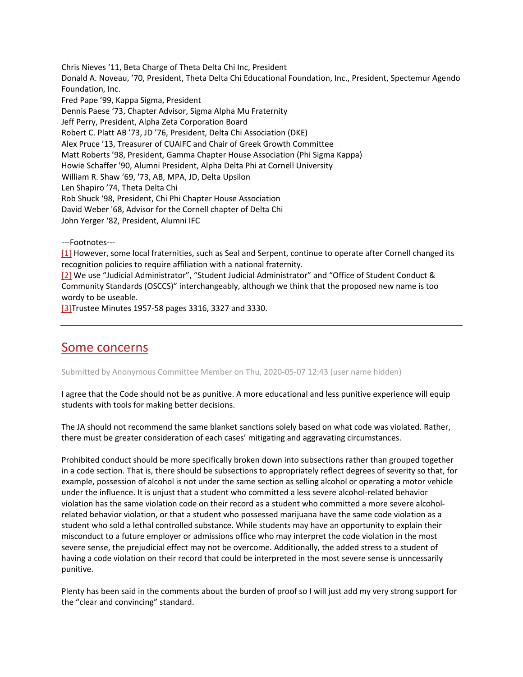Chris Nieves '11, Beta Charge of Theta Delta Chi Inc, President Donald A. Noveau, '70, President, Theta Delta Chi Educational Foundation, Inc., President, Spectemur Agendo Foundation, Inc. Fred Pape '99, Kappa Sigma, President Dennis Paese '73, Chapter Advisor, Sigma Alpha Mu Fraternity Jeff Perry, President, Alpha Zeta Corporation Board Robert C. Platt AB '73, JD '76, President, Delta Chi Association (DKE) Alex Pruce '13, Treasurer of CUAIFC and Chair of Greek Growth Committee Matt Roberts '98, President, Gamma Chapter House Association (Phi Sigma Kappa) Howie Schaffer '90, Alumni President, Alpha Delta Phi at Cornell University William R. Shaw '69, '73, AB, MPA, JD, Delta Upsilon Len Shapiro '74, Theta Delta Chi Rob Shuck '98, President, Chi Phi Chapter House Association David Weber '68, Advisor for the Cornell chapter of Delta Chi John Yerger '82, President, Alumni IFC

---Footnotes---

[\[1\]](https://assembly.cornell.edu/get-involved/input-issues/2020-proposed-amendments-campus-code-conduct#_ftnref1) However, some local fraternities, such as Seal and Serpent, continue to operate after Cornell changed its recognition policies to require affiliation with a national fraternity.

[\[2\]](https://assembly.cornell.edu/get-involved/input-issues/2020-proposed-amendments-campus-code-conduct#_ftnref2) We use "Judicial Administrator", "Student Judicial Administrator" and "Office of Student Conduct & Community Standards (OSCCS)" interchangeably, although we think that the proposed new name is too wordy to be useable.

[\[3\]T](https://assembly.cornell.edu/get-involved/input-issues/2020-proposed-amendments-campus-code-conduct#_ftnref3)rustee Minutes 1957-58 pages 3316, 3327 and 3330.

### [Some concerns](https://assembly.cornell.edu/comment/116#comment-116)

Submitted by Anonymous Committee Member on Thu, 2020-05-07 12:43 (user name hidden)

I agree that the Code should not be as punitive. A more educational and less punitive experience will equip students with tools for making better decisions.

The JA should not recommend the same blanket sanctions solely based on what code was violated. Rather, there must be greater consideration of each cases' mitigating and aggravating circumstances.

Prohibited conduct should be more specifically broken down into subsections rather than grouped together in a code section. That is, there should be subsections to appropriately reflect degrees of severity so that, for example, possession of alcohol is not under the same section as selling alcohol or operating a motor vehicle under the influence. It is unjust that a student who committed a less severe alcohol-related behavior violation has the same violation code on their record as a student who committed a more severe alcoholrelated behavior violation, or that a student who possessed marijuana have the same code violation as a student who sold a lethal controlled substance. While students may have an opportunity to explain their misconduct to a future employer or admissions office who may interpret the code violation in the most severe sense, the prejudicial effect may not be overcome. Additionally, the added stress to a student of having a code violation on their record that could be interpreted in the most severe sense is unncessarily punitive.

Plenty has been said in the comments about the burden of proof so I will just add my very strong support for the "clear and convincing" standard.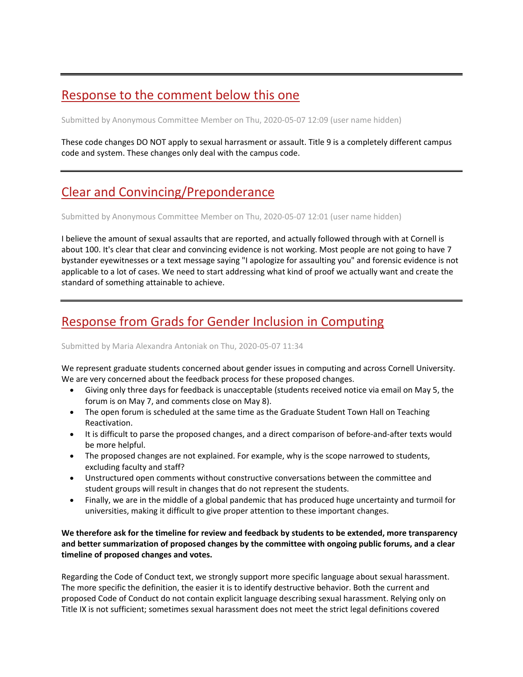# [Response to the comment below this one](https://assembly.cornell.edu/comment/115#comment-115)

Submitted by Anonymous Committee Member on Thu, 2020-05-07 12:09 (user name hidden)

These code changes DO NOT apply to sexual harrasment or assault. Title 9 is a completely different campus code and system. These changes only deal with the campus code.

# [Clear and Convincing/Preponderance](https://assembly.cornell.edu/comment/114#comment-114)

Submitted by Anonymous Committee Member on Thu, 2020-05-07 12:01 (user name hidden)

I believe the amount of sexual assaults that are reported, and actually followed through with at Cornell is about 100. It's clear that clear and convincing evidence is not working. Most people are not going to have 7 bystander eyewitnesses or a text message saying "I apologize for assaulting you" and forensic evidence is not applicable to a lot of cases. We need to start addressing what kind of proof we actually want and create the standard of something attainable to achieve.

# [Response from Grads for Gender Inclusion in Computing](https://assembly.cornell.edu/comment/113#comment-113)

### Submitted by Maria Alexandra Antoniak on Thu, 2020-05-07 11:34

We represent graduate students concerned about gender issues in computing and across Cornell University. We are very concerned about the feedback process for these proposed changes.

- Giving only three days for feedback is unacceptable (students received notice via email on May 5, the forum is on May 7, and comments close on May 8).
- The open forum is scheduled at the same time as the Graduate Student Town Hall on Teaching Reactivation.
- It is difficult to parse the proposed changes, and a direct comparison of before-and-after texts would be more helpful.
- The proposed changes are not explained. For example, why is the scope narrowed to students, excluding faculty and staff?
- Unstructured open comments without constructive conversations between the committee and student groups will result in changes that do not represent the students.
- Finally, we are in the middle of a global pandemic that has produced huge uncertainty and turmoil for universities, making it difficult to give proper attention to these important changes.

### **We therefore ask for the timeline for review and feedback by students to be extended, more transparency and better summarization of proposed changes by the committee with ongoing public forums, and a clear timeline of proposed changes and votes.**

Regarding the Code of Conduct text, we strongly support more specific language about sexual harassment. The more specific the definition, the easier it is to identify destructive behavior. Both the current and proposed Code of Conduct do not contain explicit language describing sexual harassment. Relying only on Title IX is not sufficient; sometimes sexual harassment does not meet the strict legal definitions covered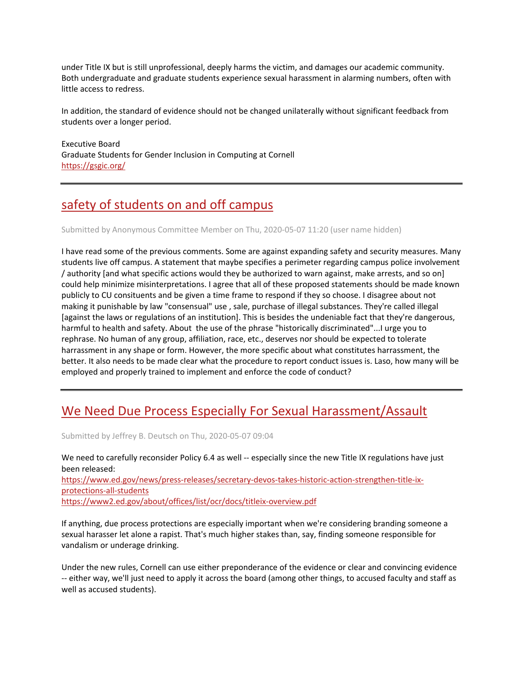under Title IX but is still unprofessional, deeply harms the victim, and damages our academic community. Both undergraduate and graduate students experience sexual harassment in alarming numbers, often with little access to redress.

In addition, the standard of evidence should not be changed unilaterally without significant feedback from students over a longer period.

Executive Board Graduate Students for Gender Inclusion in Computing at Cornell <https://gsgic.org/>

# [safety of students on and off campus](https://assembly.cornell.edu/comment/112#comment-112)

Submitted by Anonymous Committee Member on Thu, 2020-05-07 11:20 (user name hidden)

I have read some of the previous comments. Some are against expanding safety and security measures. Many students live off campus. A statement that maybe specifies a perimeter regarding campus police involvement / authority [and what specific actions would they be authorized to warn against, make arrests, and so on] could help minimize misinterpretations. I agree that all of these proposed statements should be made known publicly to CU consituents and be given a time frame to respond if they so choose. I disagree about not making it punishable by law "consensual" use , sale, purchase of illegal substances. They're called illegal [against the laws or regulations of an institution]. This is besides the undeniable fact that they're dangerous, harmful to health and safety. About the use of the phrase "historically discriminated"...I urge you to rephrase. No human of any group, affiliation, race, etc., deserves nor should be expected to tolerate harrassment in any shape or form. However, the more specific about what constitutes harrassment, the better. It also needs to be made clear what the procedure to report conduct issues is. Laso, how many will be employed and properly trained to implement and enforce the code of conduct?

## [We Need Due Process Especially For Sexual Harassment/Assault](https://assembly.cornell.edu/comment/110#comment-110)

Submitted by Jeffrey B. Deutsch on Thu, 2020-05-07 09:04

We need to carefully reconsider Policy 6.4 as well -- especially since the new Title IX regulations have just been released: [https://www.ed.gov/news/press-releases/secretary-devos-takes-historic-action-strengthen-title-ix](https://www.ed.gov/news/press-releases/secretary-devos-takes-historic-action-strengthen-title-ix-protections-all-students)[protections-all-students](https://www.ed.gov/news/press-releases/secretary-devos-takes-historic-action-strengthen-title-ix-protections-all-students) <https://www2.ed.gov/about/offices/list/ocr/docs/titleix-overview.pdf>

If anything, due process protections are especially important when we're considering branding someone a sexual harasser let alone a rapist. That's much higher stakes than, say, finding someone responsible for vandalism or underage drinking.

Under the new rules, Cornell can use either preponderance of the evidence or clear and convincing evidence -- either way, we'll just need to apply it across the board (among other things, to accused faculty and staff as well as accused students).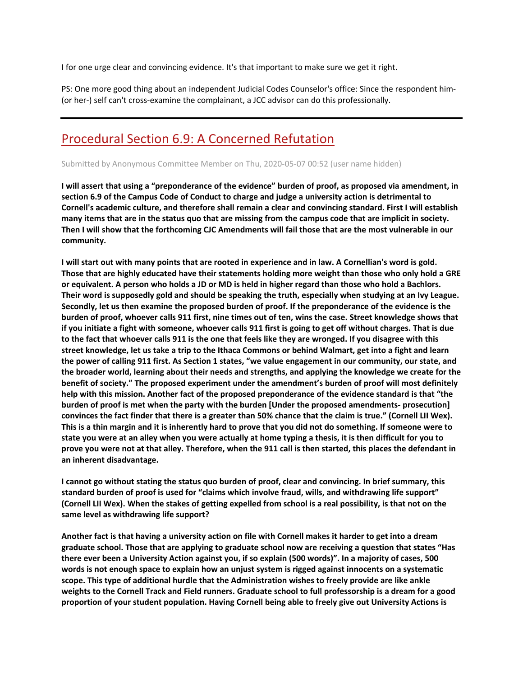I for one urge clear and convincing evidence. It's that important to make sure we get it right.

PS: One more good thing about an independent Judicial Codes Counselor's office: Since the respondent him- (or her-) self can't cross-examine the complainant, a JCC advisor can do this professionally.

## [Procedural Section 6.9: A Concerned Refutation](https://assembly.cornell.edu/comment/109#comment-109)

Submitted by Anonymous Committee Member on Thu, 2020-05-07 00:52 (user name hidden)

**I will assert that using a "preponderance of the evidence" burden of proof, as proposed via amendment, in section 6.9 of the Campus Code of Conduct to charge and judge a university action is detrimental to Cornell's academic culture, and therefore shall remain a clear and convincing standard. First I will establish many items that are in the status quo that are missing from the campus code that are implicit in society. Then I will show that the forthcoming CJC Amendments will fail those that are the most vulnerable in our community.**

**I will start out with many points that are rooted in experience and in law. A Cornellian's word is gold. Those that are highly educated have their statements holding more weight than those who only hold a GRE or equivalent. A person who holds a JD or MD is held in higher regard than those who hold a Bachlors. Their word is supposedly gold and should be speaking the truth, especially when studying at an Ivy League. Secondly, let us then examine the proposed burden of proof. If the preponderance of the evidence is the burden of proof, whoever calls 911 first, nine times out of ten, wins the case. Street knowledge shows that if you initiate a fight with someone, whoever calls 911 first is going to get off without charges. That is due to the fact that whoever calls 911 is the one that feels like they are wronged. If you disagree with this street knowledge, let us take a trip to the Ithaca Commons or behind Walmart, get into a fight and learn the power of calling 911 first. As Section 1 states, "we value engagement in our community, our state, and the broader world, learning about their needs and strengths, and applying the knowledge we create for the benefit of society." The proposed experiment under the amendment's burden of proof will most definitely help with this mission. Another fact of the proposed preponderance of the evidence standard is that "the burden of proof is met when the party with the burden [Under the proposed amendments- prosecution] convinces the fact finder that there is a greater than 50% chance that the claim is true." (Cornell LII Wex). This is a thin margin and it is inherently hard to prove that you did not do something. If someone were to state you were at an alley when you were actually at home typing a thesis, it is then difficult for you to prove you were not at that alley. Therefore, when the 911 call is then started, this places the defendant in an inherent disadvantage.**

**I cannot go without stating the status quo burden of proof, clear and convincing. In brief summary, this standard burden of proof is used for "claims which involve fraud, wills, and withdrawing life support" (Cornell LII Wex). When the stakes of getting expelled from school is a real possibility, is that not on the same level as withdrawing life support?**

**Another fact is that having a university action on file with Cornell makes it harder to get into a dream graduate school. Those that are applying to graduate school now are receiving a question that states "Has there ever been a University Action against you, if so explain (500 words)". In a majority of cases, 500 words is not enough space to explain how an unjust system is rigged against innocents on a systematic scope. This type of additional hurdle that the Administration wishes to freely provide are like ankle weights to the Cornell Track and Field runners. Graduate school to full professorship is a dream for a good proportion of your student population. Having Cornell being able to freely give out University Actions is**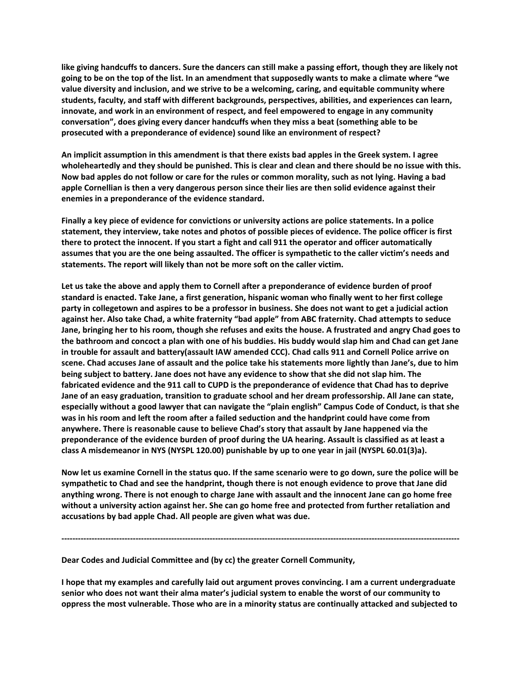**like giving handcuffs to dancers. Sure the dancers can still make a passing effort, though they are likely not going to be on the top of the list. In an amendment that supposedly wants to make a climate where "we value diversity and inclusion, and we strive to be a welcoming, caring, and equitable community where students, faculty, and staff with different backgrounds, perspectives, abilities, and experiences can learn, innovate, and work in an environment of respect, and feel empowered to engage in any community conversation", does giving every dancer handcuffs when they miss a beat (something able to be prosecuted with a preponderance of evidence) sound like an environment of respect?**

**An implicit assumption in this amendment is that there exists bad apples in the Greek system. I agree wholeheartedly and they should be punished. This is clear and clean and there should be no issue with this. Now bad apples do not follow or care for the rules or common morality, such as not lying. Having a bad apple Cornellian is then a very dangerous person since their lies are then solid evidence against their enemies in a preponderance of the evidence standard.**

**Finally a key piece of evidence for convictions or university actions are police statements. In a police statement, they interview, take notes and photos of possible pieces of evidence. The police officer is first there to protect the innocent. If you start a fight and call 911 the operator and officer automatically assumes that you are the one being assaulted. The officer is sympathetic to the caller victim's needs and statements. The report will likely than not be more soft on the caller victim.**

**Let us take the above and apply them to Cornell after a preponderance of evidence burden of proof standard is enacted. Take Jane, a first generation, hispanic woman who finally went to her first college party in collegetown and aspires to be a professor in business. She does not want to get a judicial action against her. Also take Chad, a white fraternity "bad apple" from ABC fraternity. Chad attempts to seduce Jane, bringing her to his room, though she refuses and exits the house. A frustrated and angry Chad goes to the bathroom and concoct a plan with one of his buddies. His buddy would slap him and Chad can get Jane in trouble for assault and battery(assault IAW amended CCC). Chad calls 911 and Cornell Police arrive on scene. Chad accuses Jane of assault and the police take his statements more lightly than Jane's, due to him being subject to battery. Jane does not have any evidence to show that she did not slap him. The fabricated evidence and the 911 call to CUPD is the preponderance of evidence that Chad has to deprive Jane of an easy graduation, transition to graduate school and her dream professorship. All Jane can state, especially without a good lawyer that can navigate the "plain english" Campus Code of Conduct, is that she was in his room and left the room after a failed seduction and the handprint could have come from anywhere. There is reasonable cause to believe Chad's story that assault by Jane happened via the preponderance of the evidence burden of proof during the UA hearing. Assault is classified as at least a class A misdemeanor in NYS (NYSPL 120.00) punishable by up to one year in jail (NYSPL 60.01(3)a).**

**Now let us examine Cornell in the status quo. If the same scenario were to go down, sure the police will be sympathetic to Chad and see the handprint, though there is not enough evidence to prove that Jane did anything wrong. There is not enough to charge Jane with assault and the innocent Jane can go home free without a university action against her. She can go home free and protected from further retaliation and accusations by bad apple Chad. All people are given what was due.**

**-------------------------------------------------------------------------------------------------------------------------------------------------**

**Dear Codes and Judicial Committee and (by cc) the greater Cornell Community,**

**I hope that my examples and carefully laid out argument proves convincing. I am a current undergraduate senior who does not want their alma mater's judicial system to enable the worst of our community to oppress the most vulnerable. Those who are in a minority status are continually attacked and subjected to**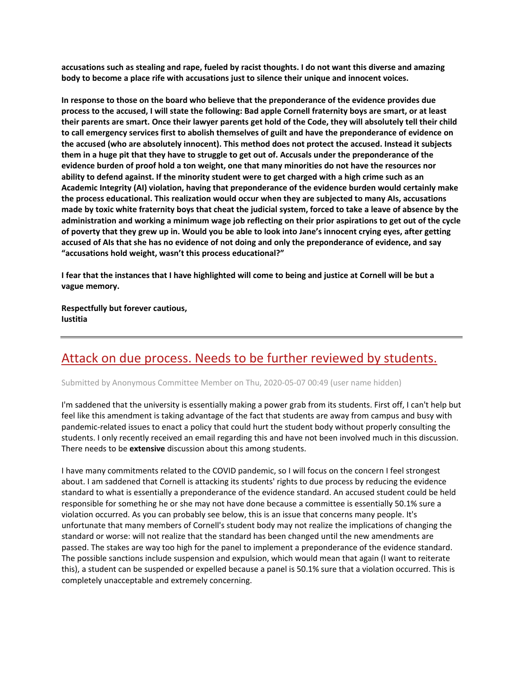**accusations such as stealing and rape, fueled by racist thoughts. I do not want this diverse and amazing body to become a place rife with accusations just to silence their unique and innocent voices.**

**In response to those on the board who believe that the preponderance of the evidence provides due process to the accused, I will state the following: Bad apple Cornell fraternity boys are smart, or at least their parents are smart. Once their lawyer parents get hold of the Code, they will absolutely tell their child to call emergency services first to abolish themselves of guilt and have the preponderance of evidence on the accused (who are absolutely innocent). This method does not protect the accused. Instead it subjects them in a huge pit that they have to struggle to get out of. Accusals under the preponderance of the evidence burden of proof hold a ton weight, one that many minorities do not have the resources nor ability to defend against. If the minority student were to get charged with a high crime such as an Academic Integrity (AI) violation, having that preponderance of the evidence burden would certainly make the process educational. This realization would occur when they are subjected to many AIs, accusations made by toxic white fraternity boys that cheat the judicial system, forced to take a leave of absence by the administration and working a minimum wage job reflecting on their prior aspirations to get out of the cycle of poverty that they grew up in. Would you be able to look into Jane's innocent crying eyes, after getting accused of AIs that she has no evidence of not doing and only the preponderance of evidence, and say "accusations hold weight, wasn't this process educational?"**

**I fear that the instances that I have highlighted will come to being and justice at Cornell will be but a vague memory.** 

**Respectfully but forever cautious, Iustitia**

## [Attack on due process. Needs to be further reviewed by students.](https://assembly.cornell.edu/comment/108#comment-108)

Submitted by Anonymous Committee Member on Thu, 2020-05-07 00:49 (user name hidden)

I'm saddened that the university is essentially making a power grab from its students. First off, I can't help but feel like this amendment is taking advantage of the fact that students are away from campus and busy with pandemic-related issues to enact a policy that could hurt the student body without properly consulting the students. I only recently received an email regarding this and have not been involved much in this discussion. There needs to be **extensive** discussion about this among students.

I have many commitments related to the COVID pandemic, so I will focus on the concern I feel strongest about. I am saddened that Cornell is attacking its students' rights to due process by reducing the evidence standard to what is essentially a preponderance of the evidence standard. An accused student could be held responsible for something he or she may not have done because a committee is essentially 50.1% sure a violation occurred. As you can probably see below, this is an issue that concerns many people. It's unfortunate that many members of Cornell's student body may not realize the implications of changing the standard or worse: will not realize that the standard has been changed until the new amendments are passed. The stakes are way too high for the panel to implement a preponderance of the evidence standard. The possible sanctions include suspension and expulsion, which would mean that again (I want to reiterate this), a student can be suspended or expelled because a panel is 50.1% sure that a violation occurred. This is completely unacceptable and extremely concerning.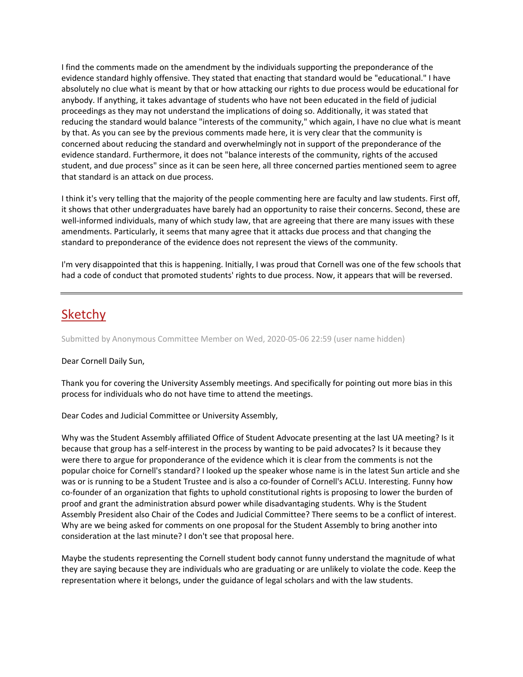I find the comments made on the amendment by the individuals supporting the preponderance of the evidence standard highly offensive. They stated that enacting that standard would be "educational." I have absolutely no clue what is meant by that or how attacking our rights to due process would be educational for anybody. If anything, it takes advantage of students who have not been educated in the field of judicial proceedings as they may not understand the implications of doing so. Additionally, it was stated that reducing the standard would balance "interests of the community," which again, I have no clue what is meant by that. As you can see by the previous comments made here, it is very clear that the community is concerned about reducing the standard and overwhelmingly not in support of the preponderance of the evidence standard. Furthermore, it does not "balance interests of the community, rights of the accused student, and due process" since as it can be seen here, all three concerned parties mentioned seem to agree that standard is an attack on due process.

I think it's very telling that the majority of the people commenting here are faculty and law students. First off, it shows that other undergraduates have barely had an opportunity to raise their concerns. Second, these are well-informed individuals, many of which study law, that are agreeing that there are many issues with these amendments. Particularly, it seems that many agree that it attacks due process and that changing the standard to preponderance of the evidence does not represent the views of the community.

I'm very disappointed that this is happening. Initially, I was proud that Cornell was one of the few schools that had a code of conduct that promoted students' rights to due process. Now, it appears that will be reversed.

## [Sketchy](https://assembly.cornell.edu/comment/107#comment-107)

Submitted by Anonymous Committee Member on Wed, 2020-05-06 22:59 (user name hidden)

### Dear Cornell Daily Sun,

Thank you for covering the University Assembly meetings. And specifically for pointing out more bias in this process for individuals who do not have time to attend the meetings.

Dear Codes and Judicial Committee or University Assembly,

Why was the Student Assembly affiliated Office of Student Advocate presenting at the last UA meeting? Is it because that group has a self-interest in the process by wanting to be paid advocates? Is it because they were there to argue for proponderance of the evidence which it is clear from the comments is not the popular choice for Cornell's standard? I looked up the speaker whose name is in the latest Sun article and she was or is running to be a Student Trustee and is also a co-founder of Cornell's ACLU. Interesting. Funny how co-founder of an organization that fights to uphold constitutional rights is proposing to lower the burden of proof and grant the administration absurd power while disadvantaging students. Why is the Student Assembly President also Chair of the Codes and Judicial Committee? There seems to be a conflict of interest. Why are we being asked for comments on one proposal for the Student Assembly to bring another into consideration at the last minute? I don't see that proposal here.

Maybe the students representing the Cornell student body cannot funny understand the magnitude of what they are saying because they are individuals who are graduating or are unlikely to violate the code. Keep the representation where it belongs, under the guidance of legal scholars and with the law students.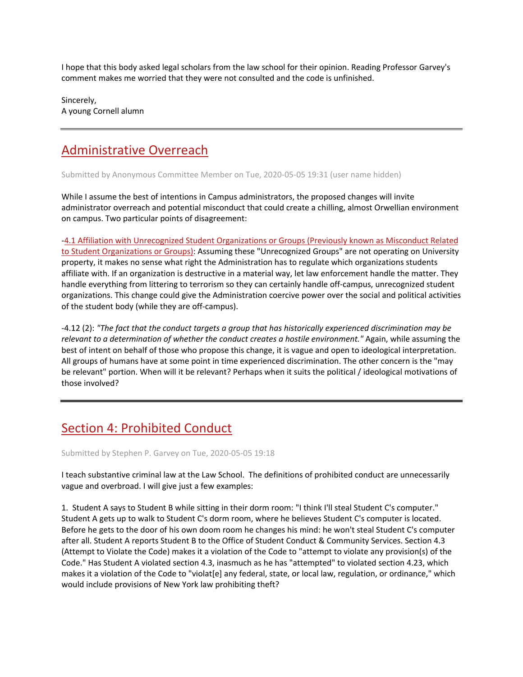I hope that this body asked legal scholars from the law school for their opinion. Reading Professor Garvey's comment makes me worried that they were not consulted and the code is unfinished.

Sincerely, A young Cornell alumn

# [Administrative Overreach](https://assembly.cornell.edu/comment/106#comment-106)

Submitted by Anonymous Committee Member on Tue, 2020-05-05 19:31 (user name hidden)

While I assume the best of intentions in Campus administrators, the proposed changes will invite administrator overreach and potential misconduct that could create a chilling, almost Orwellian environment on campus. Two particular points of disagreement:

[-4.1 Affiliation with Unrecognized Student Organizations or Groups \(Previously known as](https://assembly.cornell.edu/get-involved/input-issues/2020-proposed-amendments-campus-code-conduct/section-4-prohibited-conduct#4.1%20Affiliation%20with%20Unrecognized%20Student%20Organizations%20or%20Groups) Misconduct Related [to Student Organizations or Groups\):](https://assembly.cornell.edu/get-involved/input-issues/2020-proposed-amendments-campus-code-conduct/section-4-prohibited-conduct#4.1%20Affiliation%20with%20Unrecognized%20Student%20Organizations%20or%20Groups) Assuming these "Unrecognized Groups" are not operating on University property, it makes no sense what right the Administration has to regulate which organizations students affiliate with. If an organization is destructive in a material way, let law enforcement handle the matter. They handle everything from littering to terrorism so they can certainly handle off-campus, unrecognized student organizations. This change could give the Administration coercive power over the social and political activities of the student body (while they are off-campus).

-4.12 (2): *"The fact that the conduct targets a group that has historically experienced discrimination may be relevant to a determination of whether the conduct creates a hostile environment."* Again, while assuming the best of intent on behalf of those who propose this change, it is vague and open to ideological interpretation. All groups of humans have at some point in time experienced discrimination. The other concern is the "may be relevant" portion. When will it be relevant? Perhaps when it suits the political / ideological motivations of those involved?

# [Section 4: Prohibited Conduct](https://assembly.cornell.edu/comment/105#comment-105)

Submitted by Stephen P. Garvey on Tue, 2020-05-05 19:18

I teach substantive criminal law at the Law School. The definitions of prohibited conduct are unnecessarily vague and overbroad. I will give just a few examples:

1. Student A says to Student B while sitting in their dorm room: "I think I'll steal Student C's computer." Student A gets up to walk to Student C's dorm room, where he believes Student C's computer is located. Before he gets to the door of his own doom room he changes his mind: he won't steal Student C's computer after all. Student A reports Student B to the Office of Student Conduct & Community Services. Section 4.3 (Attempt to Violate the Code) makes it a violation of the Code to "attempt to violate any provision(s) of the Code." Has Student A violated section 4.3, inasmuch as he has "attempted" to violated section 4.23, which makes it a violation of the Code to "violat[e] any federal, state, or local law, regulation, or ordinance," which would include provisions of New York law prohibiting theft?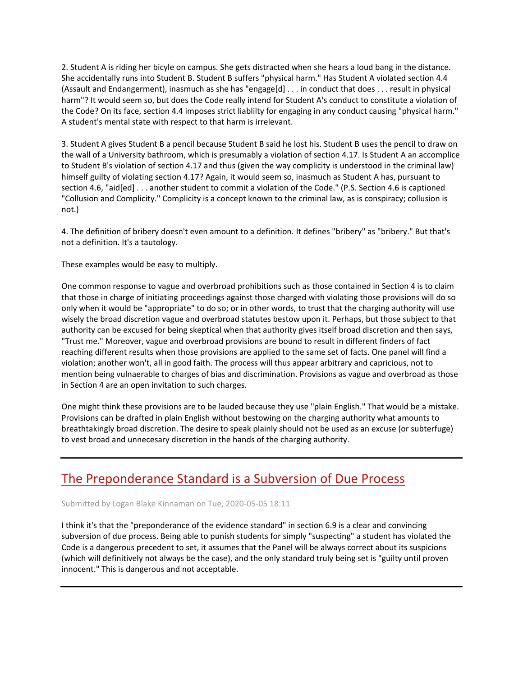2. Student A is riding her bicyle on campus. She gets distracted when she hears a loud bang in the distance. She accidentally runs into Student B. Student B suffers "physical harm." Has Student A violated section 4.4 (Assault and Endangerment), inasmuch as she has "engage[d] . . . in conduct that does . . . result in physical harm"? It would seem so, but does the Code really intend for Student A's conduct to constitute a violation of the Code? On its face, section 4.4 imposes strict liablilty for engaging in any conduct causing "physical harm." A student's mental state with respect to that harm is irrelevant.

3. Student A gives Student B a pencil because Student B said he lost his. Student B uses the pencil to draw on the wall of a University bathroom, which is presumably a violation of section 4.17. Is Student A an accomplice to Student B's violation of section 4.17 and thus (given the way complicity is understood in the criminal law) himself guilty of violating section 4.17? Again, it would seem so, inasmuch as Student A has, pursuant to section 4.6, "aid[ed] . . . another student to commit a violation of the Code." (P.S. Section 4.6 is captioned "Collusion and Complicity." Complicity is a concept known to the criminal law, as is conspiracy; collusion is not.)

4. The definition of bribery doesn't even amount to a definition. It defines "bribery" as "bribery." But that's not a definition. It's a tautology.

These examples would be easy to multiply.

One common response to vague and overbroad prohibitions such as those contained in Section 4 is to claim that those in charge of initiating proceedings against those charged with violating those provisions will do so only when it would be "appropriate" to do so; or in other words, to trust that the charging authority will use wisely the broad discretion vague and overbroad statutes bestow upon it. Perhaps, but those subject to that authority can be excused for being skeptical when that authority gives itself broad discretion and then says, "Trust me." Moreover, vague and overbroad provisions are bound to result in different finders of fact reaching different results when those provisions are applied to the same set of facts. One panel will find a violation; another won't, all in good faith. The process will thus appear arbitrary and capricious, not to mention being vulnaerable to charges of bias and discrimination. Provisions as vague and overbroad as those in Section 4 are an open invitation to such charges.

One might think these provisions are to be lauded because they use "plain English." That would be a mistake. Provisions can be drafted in plain English without bestowing on the charging authority what amounts to breathtakingly broad discretion. The desire to speak plainly should not be used as an excuse (or subterfuge) to vest broad and unnecesary discretion in the hands of the charging authority.

## [The Preponderance Standard is a Subversion of Due Process](https://assembly.cornell.edu/comment/104#comment-104)

Submitted by Logan Blake Kinnaman on Tue, 2020-05-05 18:11

I think it's that the "preponderance of the evidence standard" in section 6.9 is a clear and convincing subversion of due process. Being able to punish students for simply "suspecting" a student has violated the Code is a dangerous precedent to set, it assumes that the Panel will be always correct about its suspicions (which will definitively not always be the case), and the only standard truly being set is "guilty until proven innocent." This is dangerous and not acceptable.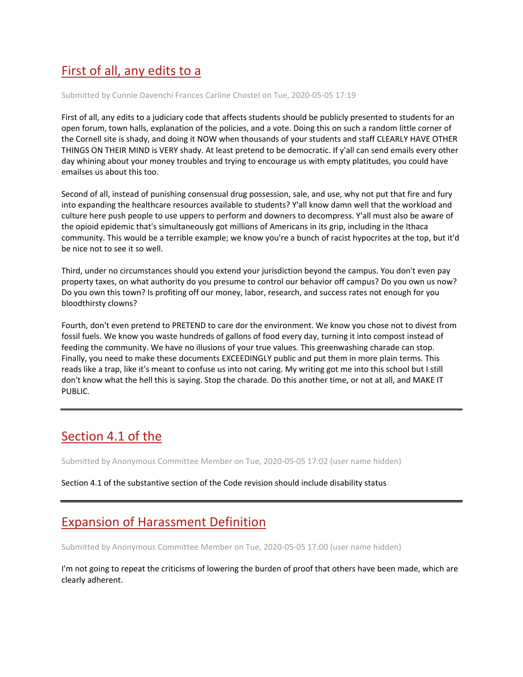# [First of all, any edits to a](https://assembly.cornell.edu/comment/103#comment-103)

Submitted by Cunnie Davenchi Frances Carline Chostel on Tue, 2020-05-05 17:19

First of all, any edits to a judiciary code that affects students should be publicly presented to students for an open forum, town halls, explanation of the policies, and a vote. Doing this on such a random little corner of the Cornell site is shady, and doing it NOW when thousands of your students and staff CLEARLY HAVE OTHER THINGS ON THEIR MIND is VERY shady. At least pretend to be democratic. If y'all can send emails every other day whining about your money troubles and trying to encourage us with empty platitudes, you could have emailses us about this too.

Second of all, instead of punishing consensual drug possession, sale, and use, why not put that fire and fury into expanding the healthcare resources available to students? Y'all know damn well that the workload and culture here push people to use uppers to perform and downers to decompress. Y'all must also be aware of the opioid epidemic that's simultaneously got millions of Americans in its grip, including in the Ithaca community. This would be a terrible example; we know you're a bunch of racist hypocrites at the top, but it'd be nice not to see it so well.

Third, under no circumstances should you extend your jurisdiction beyond the campus. You don't even pay property taxes, on what authority do you presume to control our behavior off campus? Do you own us now? Do you own this town? Is profiting off our money, labor, research, and success rates not enough for you bloodthirsty clowns?

Fourth, don't even pretend to PRETEND to care dor the environment. We know you chose not to divest from fossil fuels. We know you waste hundreds of gallons of food every day, turning it into compost instead of feeding the community. We have no illusions of your true values. This greenwashing charade can stop. Finally, you need to make these documents EXCEEDINGLY public and put them in more plain terms. This reads like a trap, like it's meant to confuse us into not caring. My writing got me into this school but I still don't know what the hell this is saying. Stop the charade. Do this another time, or not at all, and MAKE IT PUBLIC.

# [Section 4.1 of the](https://assembly.cornell.edu/comment/102#comment-102)

Submitted by Anonymous Committee Member on Tue, 2020-05-05 17:02 (user name hidden)

Section 4.1 of the substantive section of the Code revision should include disability status

## [Expansion of Harassment Definition](https://assembly.cornell.edu/comment/101#comment-101)

Submitted by Anonymous Committee Member on Tue, 2020-05-05 17:00 (user name hidden)

I'm not going to repeat the criticisms of lowering the burden of proof that others have been made, which are clearly adherent.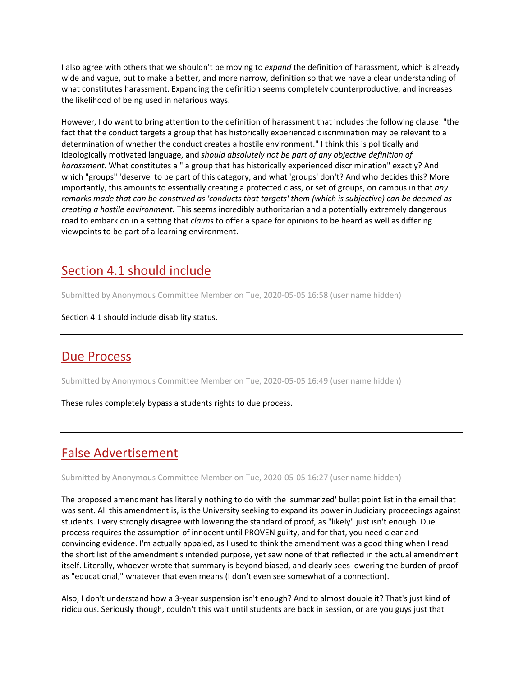I also agree with others that we shouldn't be moving to *expand* the definition of harassment, which is already wide and vague, but to make a better, and more narrow, definition so that we have a clear understanding of what constitutes harassment. Expanding the definition seems completely counterproductive, and increases the likelihood of being used in nefarious ways.

However, I do want to bring attention to the definition of harassment that includes the following clause: "the fact that the conduct targets a group that has historically experienced discrimination may be relevant to a determination of whether the conduct creates a hostile environment." I think this is politically and ideologically motivated language, and *should absolutely not be part of any objective definition of harassment.* What constitutes a " a group that has historically experienced discrimination" exactly? And which "groups" 'deserve' to be part of this category, and what 'groups' don't? And who decides this? More importantly, this amounts to essentially creating a protected class, or set of groups, on campus in that *any remarks made that can be construed as 'conducts that targets' them (which is subjective) can be deemed as creating a hostile environment.* This seems incredibly authoritarian and a potentially extremely dangerous road to embark on in a setting that *claims* to offer a space for opinions to be heard as well as differing viewpoints to be part of a learning environment.

# [Section 4.1 should include](https://assembly.cornell.edu/comment/100#comment-100)

Submitted by Anonymous Committee Member on Tue, 2020-05-05 16:58 (user name hidden)

Section 4.1 should include disability status.

## [Due Process](https://assembly.cornell.edu/comment/99#comment-99)

Submitted by Anonymous Committee Member on Tue, 2020-05-05 16:49 (user name hidden)

These rules completely bypass a students rights to due process.

# [False Advertisement](https://assembly.cornell.edu/comment/98#comment-98)

Submitted by Anonymous Committee Member on Tue, 2020-05-05 16:27 (user name hidden)

The proposed amendment has literally nothing to do with the 'summarized' bullet point list in the email that was sent. All this amendment is, is the University seeking to expand its power in Judiciary proceedings against students. I very strongly disagree with lowering the standard of proof, as "likely" just isn't enough. Due process requires the assumption of innocent until PROVEN guilty, and for that, you need clear and convincing evidence. I'm actually appaled, as I used to think the amendment was a good thing when I read the short list of the amendment's intended purpose, yet saw none of that reflected in the actual amendment itself. Literally, whoever wrote that summary is beyond biased, and clearly sees lowering the burden of proof as "educational," whatever that even means (I don't even see somewhat of a connection).

Also, I don't understand how a 3-year suspension isn't enough? And to almost double it? That's just kind of ridiculous. Seriously though, couldn't this wait until students are back in session, or are you guys just that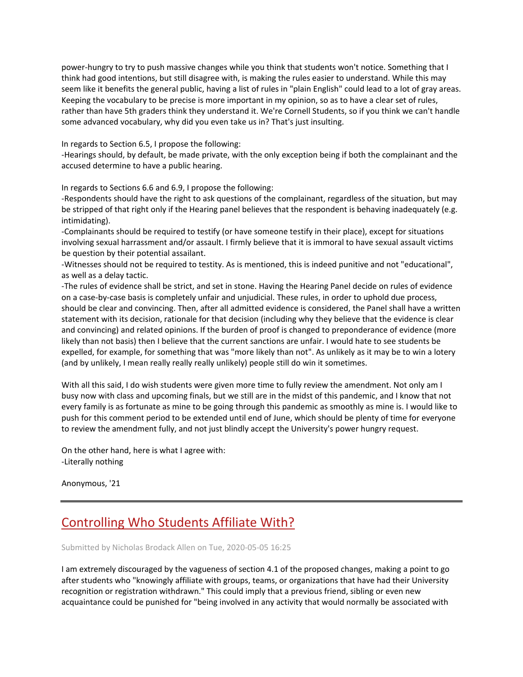power-hungry to try to push massive changes while you think that students won't notice. Something that I think had good intentions, but still disagree with, is making the rules easier to understand. While this may seem like it benefits the general public, having a list of rules in "plain English" could lead to a lot of gray areas. Keeping the vocabulary to be precise is more important in my opinion, so as to have a clear set of rules, rather than have 5th graders think they understand it. We're Cornell Students, so if you think we can't handle some advanced vocabulary, why did you even take us in? That's just insulting.

In regards to Section 6.5, I propose the following:

-Hearings should, by default, be made private, with the only exception being if both the complainant and the accused determine to have a public hearing.

In regards to Sections 6.6 and 6.9, I propose the following:

-Respondents should have the right to ask questions of the complainant, regardless of the situation, but may be stripped of that right only if the Hearing panel believes that the respondent is behaving inadequately (e.g. intimidating).

-Complainants should be required to testify (or have someone testify in their place), except for situations involving sexual harrassment and/or assault. I firmly believe that it is immoral to have sexual assault victims be question by their potential assailant.

-Witnesses should not be required to testity. As is mentioned, this is indeed punitive and not "educational", as well as a delay tactic.

-The rules of evidence shall be strict, and set in stone. Having the Hearing Panel decide on rules of evidence on a case-by-case basis is completely unfair and unjudicial. These rules, in order to uphold due process, should be clear and convincing. Then, after all admitted evidence is considered, the Panel shall have a written statement with its decision, rationale for that decision (including why they believe that the evidence is clear and convincing) and related opinions. If the burden of proof is changed to preponderance of evidence (more likely than not basis) then I believe that the current sanctions are unfair. I would hate to see students be expelled, for example, for something that was "more likely than not". As unlikely as it may be to win a lotery (and by unlikely, I mean really really really unlikely) people still do win it sometimes.

With all this said, I do wish students were given more time to fully review the amendment. Not only am I busy now with class and upcoming finals, but we still are in the midst of this pandemic, and I know that not every family is as fortunate as mine to be going through this pandemic as smoothly as mine is. I would like to push for this comment period to be extended until end of June, which should be plenty of time for everyone to review the amendment fully, and not just blindly accept the University's power hungry request.

On the other hand, here is what I agree with: -Literally nothing

Anonymous, '21

# [Controlling Who Students Affiliate With?](https://assembly.cornell.edu/comment/97#comment-97)

Submitted by Nicholas Brodack Allen on Tue, 2020-05-05 16:25

I am extremely discouraged by the vagueness of section 4.1 of the proposed changes, making a point to go after students who "knowingly affiliate with groups, teams, or organizations that have had their University recognition or registration withdrawn." This could imply that a previous friend, sibling or even new acquaintance could be punished for "being involved in any activity that would normally be associated with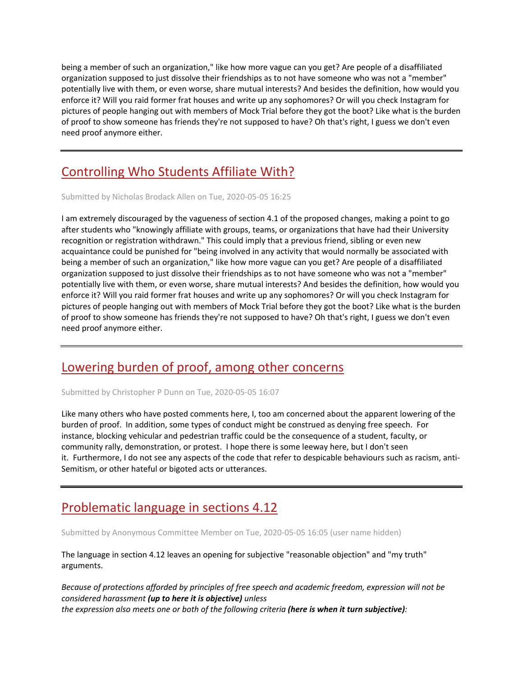being a member of such an organization," like how more vague can you get? Are people of a disaffiliated organization supposed to just dissolve their friendships as to not have someone who was not a "member" potentially live with them, or even worse, share mutual interests? And besides the definition, how would you enforce it? Will you raid former frat houses and write up any sophomores? Or will you check Instagram for pictures of people hanging out with members of Mock Trial before they got the boot? Like what is the burden of proof to show someone has friends they're not supposed to have? Oh that's right, I guess we don't even need proof anymore either.

# [Controlling Who Students Affiliate With?](https://assembly.cornell.edu/comment/96#comment-96)

Submitted by Nicholas Brodack Allen on Tue, 2020-05-05 16:25

I am extremely discouraged by the vagueness of section 4.1 of the proposed changes, making a point to go after students who "knowingly affiliate with groups, teams, or organizations that have had their University recognition or registration withdrawn." This could imply that a previous friend, sibling or even new acquaintance could be punished for "being involved in any activity that would normally be associated with being a member of such an organization," like how more vague can you get? Are people of a disaffiliated organization supposed to just dissolve their friendships as to not have someone who was not a "member" potentially live with them, or even worse, share mutual interests? And besides the definition, how would you enforce it? Will you raid former frat houses and write up any sophomores? Or will you check Instagram for pictures of people hanging out with members of Mock Trial before they got the boot? Like what is the burden of proof to show someone has friends they're not supposed to have? Oh that's right, I guess we don't even need proof anymore either.

## [Lowering burden of proof, among other concerns](https://assembly.cornell.edu/comment/95#comment-95)

Submitted by Christopher P Dunn on Tue, 2020-05-05 16:07

Like many others who have posted comments here, I, too am concerned about the apparent lowering of the burden of proof. In addition, some types of conduct might be construed as denying free speech. For instance, blocking vehicular and pedestrian traffic could be the consequence of a student, faculty, or community rally, demonstration, or protest. I hope there is some leeway here, but I don't seen it. Furthermore, I do not see any aspects of the code that refer to despicable behaviours such as racism, anti-Semitism, or other hateful or bigoted acts or utterances.

## [Problematic language in sections 4.12](https://assembly.cornell.edu/comment/94#comment-94)

Submitted by Anonymous Committee Member on Tue, 2020-05-05 16:05 (user name hidden)

The language in section 4.12 leaves an opening for subjective "reasonable objection" and "my truth" arguments.

*Because of protections afforded by principles of free speech and academic freedom, expression will not be considered harassment (up to here it is objective) unless the expression also meets one or both of the following criteria (here is when it turn subjective):*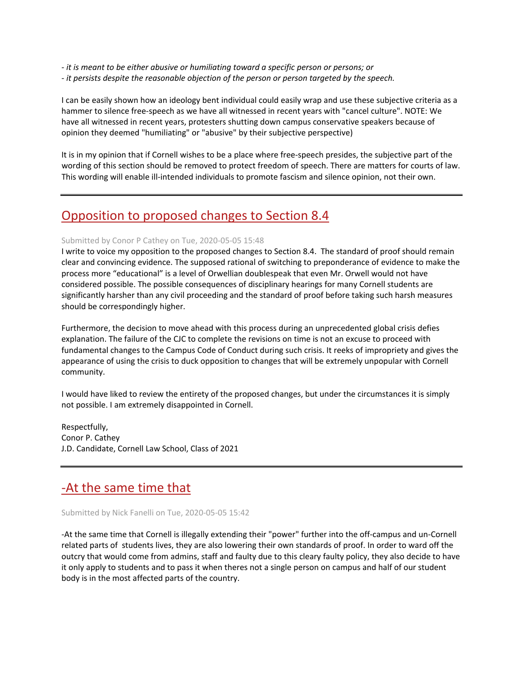*- it is meant to be either abusive or humiliating toward a specific person or persons; or - it persists despite the reasonable objection of the person or person targeted by the speech.*

I can be easily shown how an ideology bent individual could easily wrap and use these subjective criteria as a hammer to silence free-speech as we have all witnessed in recent years with "cancel culture". NOTE: We have all witnessed in recent years, protesters shutting down campus conservative speakers because of opinion they deemed "humiliating" or "abusive" by their subjective perspective)

It is in my opinion that if Cornell wishes to be a place where free-speech presides, the subjective part of the wording of this section should be removed to protect freedom of speech. There are matters for courts of law. This wording will enable ill-intended individuals to promote fascism and silence opinion, not their own.

## [Opposition to proposed changes to Section 8.4](https://assembly.cornell.edu/comment/93#comment-93)

### Submitted by Conor P Cathey on Tue, 2020-05-05 15:48

I write to voice my opposition to the proposed changes to Section 8.4. The standard of proof should remain clear and convincing evidence. The supposed rational of switching to preponderance of evidence to make the process more "educational" is a level of Orwellian doublespeak that even Mr. Orwell would not have considered possible. The possible consequences of disciplinary hearings for many Cornell students are significantly harsher than any civil proceeding and the standard of proof before taking such harsh measures should be correspondingly higher.

Furthermore, the decision to move ahead with this process during an unprecedented global crisis defies explanation. The failure of the CJC to complete the revisions on time is not an excuse to proceed with fundamental changes to the Campus Code of Conduct during such crisis. It reeks of impropriety and gives the appearance of using the crisis to duck opposition to changes that will be extremely unpopular with Cornell community.

I would have liked to review the entirety of the proposed changes, but under the circumstances it is simply not possible. I am extremely disappointed in Cornell.

Respectfully, Conor P. Cathey J.D. Candidate, Cornell Law School, Class of 2021

### [-At the same time that](https://assembly.cornell.edu/comment/92#comment-92)

Submitted by Nick Fanelli on Tue, 2020-05-05 15:42

-At the same time that Cornell is illegally extending their "power" further into the off-campus and un-Cornell related parts of students lives, they are also lowering their own standards of proof. In order to ward off the outcry that would come from admins, staff and faulty due to this cleary faulty policy, they also decide to have it only apply to students and to pass it when theres not a single person on campus and half of our student body is in the most affected parts of the country.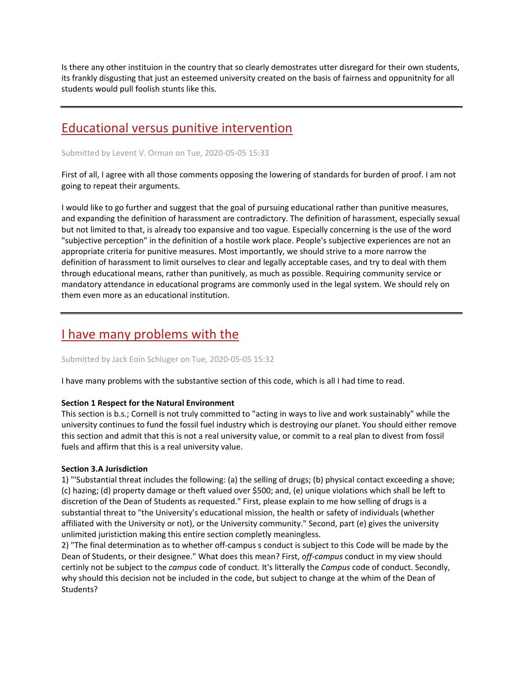Is there any other instituion in the country that so clearly demostrates utter disregard for their own students, its frankly disgusting that just an esteemed university created on the basis of fairness and oppunitnity for all students would pull foolish stunts like this.

## [Educational versus punitive intervention](https://assembly.cornell.edu/comment/91#comment-91)

Submitted by Levent V. Orman on Tue, 2020-05-05 15:33

First of all, I agree with all those comments opposing the lowering of standards for burden of proof. I am not going to repeat their arguments.

I would like to go further and suggest that the goal of pursuing educational rather than punitive measures, and expanding the definition of harassment are contradictory. The definition of harassment, especially sexual but not limited to that, is already too expansive and too vague. Especially concerning is the use of the word "subjective perception" in the definition of a hostile work place. People's subjective experiences are not an appropriate criteria for punitive measures. Most importantly, we should strive to a more narrow the definition of harassment to limit ourselves to clear and legally acceptable cases, and try to deal with them through educational means, rather than punitively, as much as possible. Requiring community service or mandatory attendance in educational programs are commonly used in the legal system. We should rely on them even more as an educational institution.

# [I have many problems with the](https://assembly.cornell.edu/comment/90#comment-90)

Submitted by Jack Eoin Schluger on Tue, 2020-05-05 15:32

I have many problems with the substantive section of this code, which is all I had time to read.

### **Section 1 Respect for the Natural Environment**

This section is b.s.; Cornell is not truly committed to "acting in ways to live and work sustainably" while the university continues to fund the fossil fuel industry which is destroying our planet. You should either remove this section and admit that this is not a real university value, or commit to a real plan to divest from fossil fuels and affirm that this is a real university value.

### **Section 3.A Jurisdiction**

1) "'Substantial threat includes the following: (a) the selling of drugs; (b) physical contact exceeding a shove; (c) hazing; (d) property damage or theft valued over \$500; and, (e) unique violations which shall be left to discretion of the Dean of Students as requested." First, please explain to me how selling of drugs is a substantial threat to "the University's educational mission, the health or safety of individuals (whether affiliated with the University or not), or the University community." Second, part (e) gives the university unlimited juristiction making this entire section completly meaningless.

2) "The final determination as to whether off-campus s conduct is subject to this Code will be made by the Dean of Students, or their designee." What does this mean? First, *off-campus* conduct in my view should certinly not be subject to the *campus* code of conduct. It's litterally the *Campus* code of conduct. Secondly, why should this decision not be included in the code, but subject to change at the whim of the Dean of Students?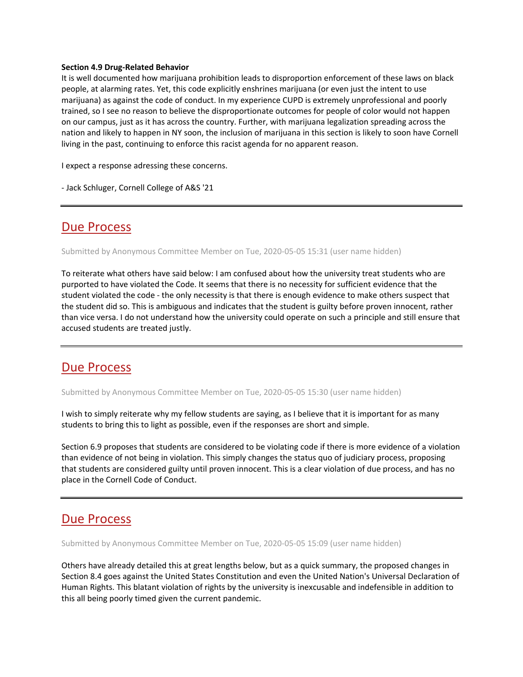#### **Section 4.9 Drug-Related Behavior**

It is well documented how marijuana prohibition leads to disproportion enforcement of these laws on black people, at alarming rates. Yet, this code explicitly enshrines marijuana (or even just the intent to use marijuana) as against the code of conduct. In my experience CUPD is extremely unprofessional and poorly trained, so I see no reason to believe the disproportionate outcomes for people of color would not happen on our campus, just as it has across the country. Further, with marijuana legalization spreading across the nation and likely to happen in NY soon, the inclusion of marijuana in this section is likely to soon have Cornell living in the past, continuing to enforce this racist agenda for no apparent reason.

I expect a response adressing these concerns.

- Jack Schluger, Cornell College of A&S '21

### [Due Process](https://assembly.cornell.edu/comment/89#comment-89)

Submitted by Anonymous Committee Member on Tue, 2020-05-05 15:31 (user name hidden)

To reiterate what others have said below: I am confused about how the university treat students who are purported to have violated the Code. It seems that there is no necessity for sufficient evidence that the student violated the code - the only necessity is that there is enough evidence to make others suspect that the student did so. This is ambiguous and indicates that the student is guilty before proven innocent, rather than vice versa. I do not understand how the university could operate on such a principle and still ensure that accused students are treated justly.

### [Due Process](https://assembly.cornell.edu/comment/88#comment-88)

Submitted by Anonymous Committee Member on Tue, 2020-05-05 15:30 (user name hidden)

I wish to simply reiterate why my fellow students are saying, as I believe that it is important for as many students to bring this to light as possible, even if the responses are short and simple.

Section 6.9 proposes that students are considered to be violating code if there is more evidence of a violation than evidence of not being in violation. This simply changes the status quo of judiciary process, proposing that students are considered guilty until proven innocent. This is a clear violation of due process, and has no place in the Cornell Code of Conduct.

### [Due Process](https://assembly.cornell.edu/comment/87#comment-87)

Submitted by Anonymous Committee Member on Tue, 2020-05-05 15:09 (user name hidden)

Others have already detailed this at great lengths below, but as a quick summary, the proposed changes in Section 8.4 goes against the United States Constitution and even the United Nation's Universal Declaration of Human Rights. This blatant violation of rights by the university is inexcusable and indefensible in addition to this all being poorly timed given the current pandemic.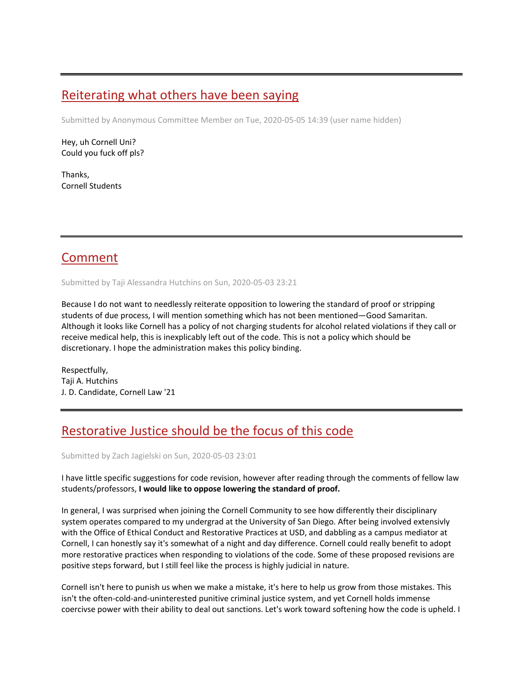## [Reiterating what others have been saying](https://assembly.cornell.edu/comment/86#comment-86)

Submitted by Anonymous Committee Member on Tue, 2020-05-05 14:39 (user name hidden)

Hey, uh Cornell Uni? Could you fuck off pls?

Thanks, Cornell Students

## [Comment](https://assembly.cornell.edu/comment/85#comment-85)

Submitted by Taji Alessandra Hutchins on Sun, 2020-05-03 23:21

Because I do not want to needlessly reiterate opposition to lowering the standard of proof or stripping students of due process, I will mention something which has not been mentioned—Good Samaritan. Although it looks like Cornell has a policy of not charging students for alcohol related violations if they call or receive medical help, this is inexplicably left out of the code. This is not a policy which should be discretionary. I hope the administration makes this policy binding.

Respectfully, Taji A. Hutchins J. D. Candidate, Cornell Law '21

# [Restorative Justice should be the focus of this code](https://assembly.cornell.edu/comment/84#comment-84)

Submitted by Zach Jagielski on Sun, 2020-05-03 23:01

I have little specific suggestions for code revision, however after reading through the comments of fellow law students/professors, **I would like to oppose lowering the standard of proof.**

In general, I was surprised when joining the Cornell Community to see how differently their disciplinary system operates compared to my undergrad at the University of San Diego. After being involved extensivly with the Office of Ethical Conduct and Restorative Practices at USD, and dabbling as a campus mediator at Cornell, I can honestly say it's somewhat of a night and day difference. Cornell could really benefit to adopt more restorative practices when responding to violations of the code. Some of these proposed revisions are positive steps forward, but I still feel like the process is highly judicial in nature.

Cornell isn't here to punish us when we make a mistake, it's here to help us grow from those mistakes. This isn't the often-cold-and-uninterested punitive criminal justice system, and yet Cornell holds immense coercivse power with their ability to deal out sanctions. Let's work toward softening how the code is upheld. I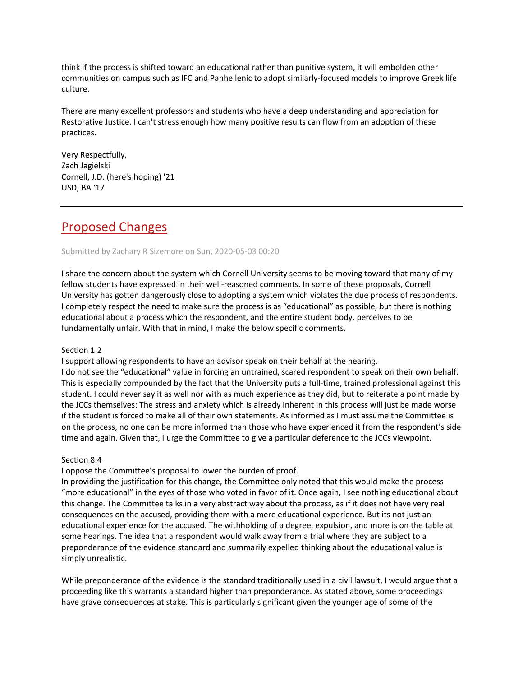think if the process is shifted toward an educational rather than punitive system, it will embolden other communities on campus such as IFC and Panhellenic to adopt similarly-focused models to improve Greek life culture.

There are many excellent professors and students who have a deep understanding and appreciation for Restorative Justice. I can't stress enough how many positive results can flow from an adoption of these practices.

Very Respectfully, Zach Jagielski Cornell, J.D. (here's hoping) '21 USD, BA '17

## [Proposed Changes](https://assembly.cornell.edu/comment/83#comment-83)

### Submitted by Zachary R Sizemore on Sun, 2020-05-03 00:20

I share the concern about the system which Cornell University seems to be moving toward that many of my fellow students have expressed in their well-reasoned comments. In some of these proposals, Cornell University has gotten dangerously close to adopting a system which violates the due process of respondents. I completely respect the need to make sure the process is as "educational" as possible, but there is nothing educational about a process which the respondent, and the entire student body, perceives to be fundamentally unfair. With that in mind, I make the below specific comments.

### Section 1.2

I support allowing respondents to have an advisor speak on their behalf at the hearing.

I do not see the "educational" value in forcing an untrained, scared respondent to speak on their own behalf. This is especially compounded by the fact that the University puts a full-time, trained professional against this student. I could never say it as well nor with as much experience as they did, but to reiterate a point made by the JCCs themselves: The stress and anxiety which is already inherent in this process will just be made worse if the student is forced to make all of their own statements. As informed as I must assume the Committee is on the process, no one can be more informed than those who have experienced it from the respondent's side time and again. Given that, I urge the Committee to give a particular deference to the JCCs viewpoint.

### Section 8.4

I oppose the Committee's proposal to lower the burden of proof.

In providing the justification for this change, the Committee only noted that this would make the process "more educational" in the eyes of those who voted in favor of it. Once again, I see nothing educational about this change. The Committee talks in a very abstract way about the process, as if it does not have very real consequences on the accused, providing them with a mere educational experience. But its not just an educational experience for the accused. The withholding of a degree, expulsion, and more is on the table at some hearings. The idea that a respondent would walk away from a trial where they are subject to a preponderance of the evidence standard and summarily expelled thinking about the educational value is simply unrealistic.

While preponderance of the evidence is the standard traditionally used in a civil lawsuit, I would argue that a proceeding like this warrants a standard higher than preponderance. As stated above, some proceedings have grave consequences at stake. This is particularly significant given the younger age of some of the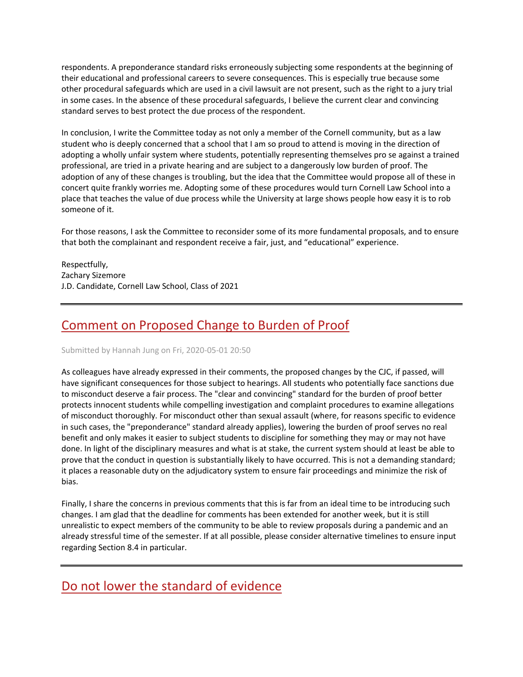respondents. A preponderance standard risks erroneously subjecting some respondents at the beginning of their educational and professional careers to severe consequences. This is especially true because some other procedural safeguards which are used in a civil lawsuit are not present, such as the right to a jury trial in some cases. In the absence of these procedural safeguards, I believe the current clear and convincing standard serves to best protect the due process of the respondent.

In conclusion, I write the Committee today as not only a member of the Cornell community, but as a law student who is deeply concerned that a school that I am so proud to attend is moving in the direction of adopting a wholly unfair system where students, potentially representing themselves pro se against a trained professional, are tried in a private hearing and are subject to a dangerously low burden of proof. The adoption of any of these changes is troubling, but the idea that the Committee would propose all of these in concert quite frankly worries me. Adopting some of these procedures would turn Cornell Law School into a place that teaches the value of due process while the University at large shows people how easy it is to rob someone of it.

For those reasons, I ask the Committee to reconsider some of its more fundamental proposals, and to ensure that both the complainant and respondent receive a fair, just, and "educational" experience.

Respectfully, Zachary Sizemore J.D. Candidate, Cornell Law School, Class of 2021

# [Comment on Proposed Change to Burden of Proof](https://assembly.cornell.edu/comment/82#comment-82)

### Submitted by Hannah Jung on Fri, 2020-05-01 20:50

As colleagues have already expressed in their comments, the proposed changes by the CJC, if passed, will have significant consequences for those subject to hearings. All students who potentially face sanctions due to misconduct deserve a fair process. The "clear and convincing" standard for the burden of proof better protects innocent students while compelling investigation and complaint procedures to examine allegations of misconduct thoroughly. For misconduct other than sexual assault (where, for reasons specific to evidence in such cases, the "preponderance" standard already applies), lowering the burden of proof serves no real benefit and only makes it easier to subject students to discipline for something they may or may not have done. In light of the disciplinary measures and what is at stake, the current system should at least be able to prove that the conduct in question is substantially likely to have occurred. This is not a demanding standard; it places a reasonable duty on the adjudicatory system to ensure fair proceedings and minimize the risk of bias.

Finally, I share the concerns in previous comments that this is far from an ideal time to be introducing such changes. I am glad that the deadline for comments has been extended for another week, but it is still unrealistic to expect members of the community to be able to review proposals during a pandemic and an already stressful time of the semester. If at all possible, please consider alternative timelines to ensure input regarding Section 8.4 in particular.

## [Do not lower the standard of evidence](https://assembly.cornell.edu/comment/81#comment-81)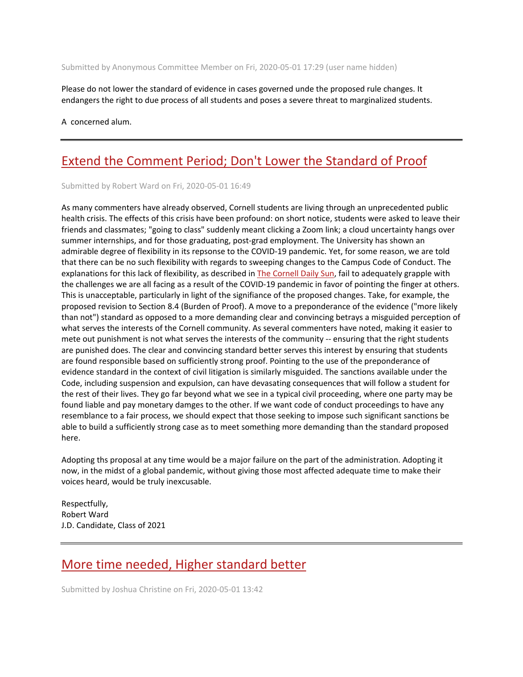Submitted by Anonymous Committee Member on Fri, 2020-05-01 17:29 (user name hidden)

Please do not lower the standard of evidence in cases governed unde the proposed rule changes. It endangers the right to due process of all students and poses a severe threat to marginalized students.

A concerned alum.

## Extend the Comment Period; [Don't Lower the Standard of Proof](https://assembly.cornell.edu/comment/80#comment-80)

Submitted by Robert Ward on Fri, 2020-05-01 16:49

As many commenters have already observed, Cornell students are living through an unprecedented public health crisis. The effects of this crisis have been profound: on short notice, students were asked to leave their friends and classmates; "going to class" suddenly meant clicking a Zoom link; a cloud uncertainty hangs over summer internships, and for those graduating, post-grad employment. The University has shown an admirable degree of flexibility in its repsonse to the COVID-19 pandemic. Yet, for some reason, we are told that there can be no such flexibility with regards to sweeping changes to the Campus Code of Conduct. The explanations for this lack of flexibility, as described in [The Cornell Daily Sun,](https://cornellsun.com/2020/04/29/university-assembly-considers-lowering-evidentiary-standard-in-j-a-proceedings/) fail to adequately grapple with the challenges we are all facing as a result of the COVID-19 pandemic in favor of pointing the finger at others. This is unacceptable, particularly in light of the signifiance of the proposed changes. Take, for example, the proposed revision to Section 8.4 (Burden of Proof). A move to a preponderance of the evidence ("more likely than not") standard as opposed to a more demanding clear and convincing betrays a misguided perception of what serves the interests of the Cornell community. As several commenters have noted, making it easier to mete out punishment is not what serves the interests of the community -- ensuring that the right students are punished does. The clear and convincing standard better serves this interest by ensuring that students are found responsible based on sufficiently strong proof. Pointing to the use of the preponderance of evidence standard in the context of civil litigation is similarly misguided. The sanctions available under the Code, including suspension and expulsion, can have devasating consequences that will follow a student for the rest of their lives. They go far beyond what we see in a typical civil proceeding, where one party may be found liable and pay monetary damges to the other. If we want code of conduct proceedings to have any resemblance to a fair process, we should expect that those seeking to impose such significant sanctions be able to build a sufficiently strong case as to meet something more demanding than the standard proposed here.

Adopting ths proposal at any time would be a major failure on the part of the administration. Adopting it now, in the midst of a global pandemic, without giving those most affected adequate time to make their voices heard, would be truly inexcusable.

Respectfully, Robert Ward J.D. Candidate, Class of 2021

### [More time needed, Higher standard better](https://assembly.cornell.edu/comment/79#comment-79)

Submitted by Joshua Christine on Fri, 2020-05-01 13:42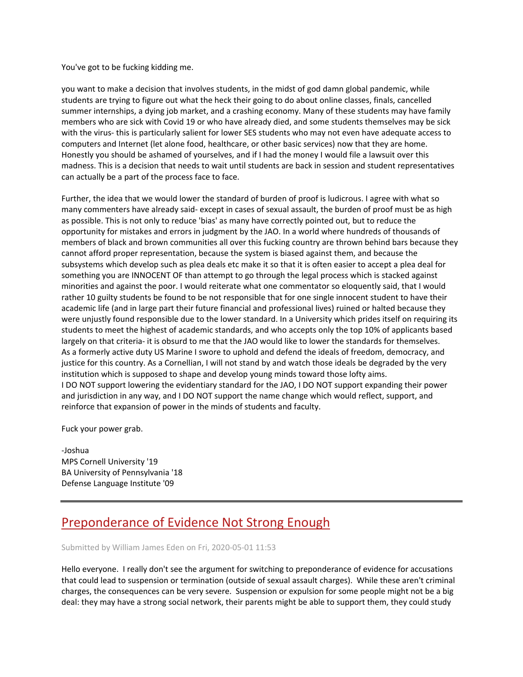You've got to be fucking kidding me.

you want to make a decision that involves students, in the midst of god damn global pandemic, while students are trying to figure out what the heck their going to do about online classes, finals, cancelled summer internships, a dying job market, and a crashing economy. Many of these students may have family members who are sick with Covid 19 or who have already died, and some students themselves may be sick with the virus- this is particularly salient for lower SES students who may not even have adequate access to computers and Internet (let alone food, healthcare, or other basic services) now that they are home. Honestly you should be ashamed of yourselves, and if I had the money I would file a lawsuit over this madness. This is a decision that needs to wait until students are back in session and student representatives can actually be a part of the process face to face.

Further, the idea that we would lower the standard of burden of proof is ludicrous. I agree with what so many commenters have already said- except in cases of sexual assault, the burden of proof must be as high as possible. This is not only to reduce 'bias' as many have correctly pointed out, but to reduce the opportunity for mistakes and errors in judgment by the JAO. In a world where hundreds of thousands of members of black and brown communities all over this fucking country are thrown behind bars because they cannot afford proper representation, because the system is biased against them, and because the subsystems which develop such as plea deals etc make it so that it is often easier to accept a plea deal for something you are INNOCENT OF than attempt to go through the legal process which is stacked against minorities and against the poor. I would reiterate what one commentator so eloquently said, that I would rather 10 guilty students be found to be not responsible that for one single innocent student to have their academic life (and in large part their future financial and professional lives) ruined or halted because they were unjustly found responsible due to the lower standard. In a University which prides itself on requiring its students to meet the highest of academic standards, and who accepts only the top 10% of applicants based largely on that criteria- it is obsurd to me that the JAO would like to lower the standards for themselves. As a formerly active duty US Marine I swore to uphold and defend the ideals of freedom, democracy, and justice for this country. As a Cornellian, I will not stand by and watch those ideals be degraded by the very institution which is supposed to shape and develop young minds toward those lofty aims. I DO NOT support lowering the evidentiary standard for the JAO, I DO NOT support expanding their power and jurisdiction in any way, and I DO NOT support the name change which would reflect, support, and reinforce that expansion of power in the minds of students and faculty.

Fuck your power grab.

-Joshua MPS Cornell University '19 BA University of Pennsylvania '18 Defense Language Institute '09

## [Preponderance of Evidence Not Strong Enough](https://assembly.cornell.edu/comment/78#comment-78)

#### Submitted by William James Eden on Fri, 2020-05-01 11:53

Hello everyone. I really don't see the argument for switching to preponderance of evidence for accusations that could lead to suspension or termination (outside of sexual assault charges). While these aren't criminal charges, the consequences can be very severe. Suspension or expulsion for some people might not be a big deal: they may have a strong social network, their parents might be able to support them, they could study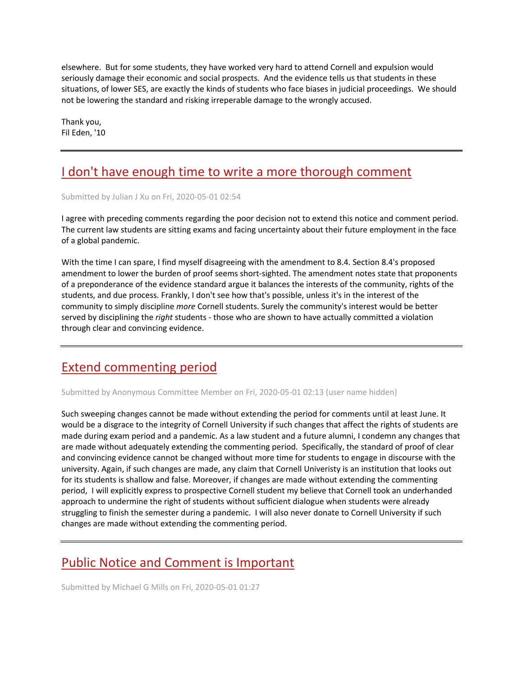elsewhere. But for some students, they have worked very hard to attend Cornell and expulsion would seriously damage their economic and social prospects. And the evidence tells us that students in these situations, of lower SES, are exactly the kinds of students who face biases in judicial proceedings. We should not be lowering the standard and risking irreperable damage to the wrongly accused.

Thank you, Fil Eden, '10

# [I don't have enough time to write a more thorough comment](https://assembly.cornell.edu/comment/77#comment-77)

Submitted by Julian J Xu on Fri, 2020-05-01 02:54

I agree with preceding comments regarding the poor decision not to extend this notice and comment period. The current law students are sitting exams and facing uncertainty about their future employment in the face of a global pandemic.

With the time I can spare, I find myself disagreeing with the amendment to 8.4. Section 8.4's proposed amendment to lower the burden of proof seems short-sighted. The amendment notes state that proponents of a preponderance of the evidence standard argue it balances the interests of the community, rights of the students, and due process. Frankly, I don't see how that's possible, unless it's in the interest of the community to simply discipline *more* Cornell students. Surely the community's interest would be better served by disciplining the *right* students - those who are shown to have actually committed a violation through clear and convincing evidence.

# [Extend commenting period](https://assembly.cornell.edu/comment/76#comment-76)

Submitted by Anonymous Committee Member on Fri, 2020-05-01 02:13 (user name hidden)

Such sweeping changes cannot be made without extending the period for comments until at least June. It would be a disgrace to the integrity of Cornell University if such changes that affect the rights of students are made during exam period and a pandemic. As a law student and a future alumni, I condemn any changes that are made without adequately extending the commenting period. Specifically, the standard of proof of clear and convincing evidence cannot be changed without more time for students to engage in discourse with the university. Again, if such changes are made, any claim that Cornell Univeristy is an institution that looks out for its students is shallow and false. Moreover, if changes are made without extending the commenting period, I will explicitly express to prospective Cornell student my believe that Cornell took an underhanded approach to undermine the right of students without sufficient dialogue when students were already struggling to finish the semester during a pandemic. I will also never donate to Cornell University if such changes are made without extending the commenting period.

# [Public Notice and Comment is Important](https://assembly.cornell.edu/comment/75#comment-75)

Submitted by Michael G Mills on Fri, 2020-05-01 01:27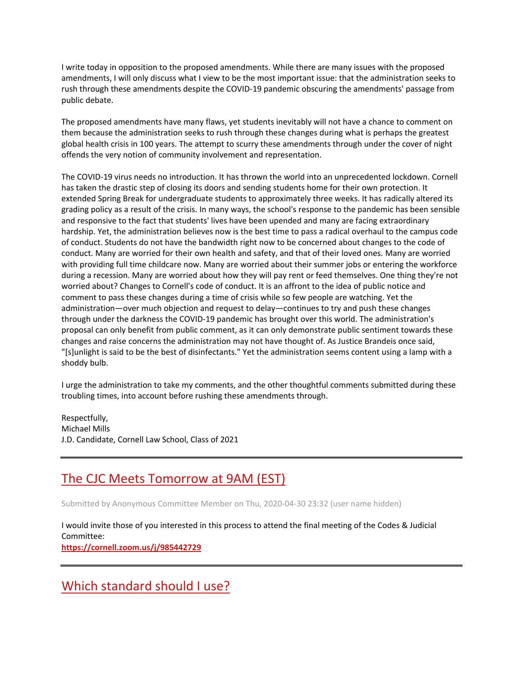I write today in opposition to the proposed amendments. While there are many issues with the proposed amendments, I will only discuss what I view to be the most important issue: that the administration seeks to rush through these amendments despite the COVID-19 pandemic obscuring the amendments' passage from public debate.

The proposed amendments have many flaws, yet students inevitably will not have a chance to comment on them because the administration seeks to rush through these changes during what is perhaps the greatest global health crisis in 100 years. The attempt to scurry these amendments through under the cover of night offends the very notion of community involvement and representation.

The COVID-19 virus needs no introduction. It has thrown the world into an unprecedented lockdown. Cornell has taken the drastic step of closing its doors and sending students home for their own protection. It extended Spring Break for undergraduate students to approximately three weeks. It has radically altered its grading policy as a result of the crisis. In many ways, the school's response to the pandemic has been sensible and responsive to the fact that students' lives have been upended and many are facing extraordinary hardship. Yet, the administration believes now is the best time to pass a radical overhaul to the campus code of conduct. Students do not have the bandwidth right now to be concerned about changes to the code of conduct. Many are worried for their own health and safety, and that of their loved ones. Many are worried with providing full time childcare now. Many are worried about their summer jobs or entering the workforce during a recession. Many are worried about how they will pay rent or feed themselves. One thing they're not worried about? Changes to Cornell's code of conduct. It is an affront to the idea of public notice and comment to pass these changes during a time of crisis while so few people are watching. Yet the administration—over much objection and request to delay—continues to try and push these changes through under the darkness the COVID-19 pandemic has brought over this world. The administration's proposal can only benefit from public comment, as it can only demonstrate public sentiment towards these changes and raise concerns the administration may not have thought of. As Justice Brandeis once said, "[s]unlight is said to be the best of disinfectants." Yet the administration seems content using a lamp with a shoddy bulb.

I urge the administration to take my comments, and the other thoughtful comments submitted during these troubling times, into account before rushing these amendments through.

Respectfully, Michael Mills J.D. Candidate, Cornell Law School, Class of 2021

## [The CJC Meets Tomorrow at 9AM \(EST\)](https://assembly.cornell.edu/comment/74#comment-74)

Submitted by Anonymous Committee Member on Thu, 2020-04-30 23:32 (user name hidden)

I would invite those of you interested in this process to attend the final meeting of the Codes & Judicial Committee: **<https://cornell.zoom.us/j/985442729>**

[Which standard should I use?](https://assembly.cornell.edu/comment/73#comment-73)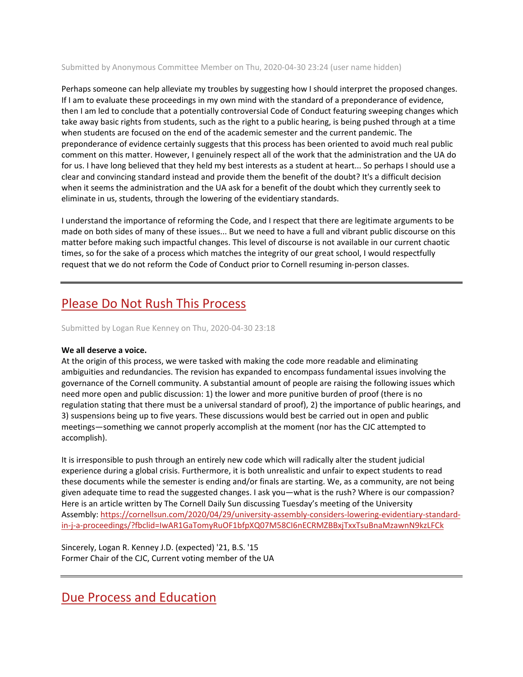#### Submitted by Anonymous Committee Member on Thu, 2020-04-30 23:24 (user name hidden)

Perhaps someone can help alleviate my troubles by suggesting how I should interpret the proposed changes. If I am to evaluate these proceedings in my own mind with the standard of a preponderance of evidence, then I am led to conclude that a potentially controversial Code of Conduct featuring sweeping changes which take away basic rights from students, such as the right to a public hearing, is being pushed through at a time when students are focused on the end of the academic semester and the current pandemic. The preponderance of evidence certainly suggests that this process has been oriented to avoid much real public comment on this matter. However, I genuinely respect all of the work that the administration and the UA do for us. I have long believed that they held my best interests as a student at heart... So perhaps I should use a clear and convincing standard instead and provide them the benefit of the doubt? It's a difficult decision when it seems the administration and the UA ask for a benefit of the doubt which they currently seek to eliminate in us, students, through the lowering of the evidentiary standards.

I understand the importance of reforming the Code, and I respect that there are legitimate arguments to be made on both sides of many of these issues... But we need to have a full and vibrant public discourse on this matter before making such impactful changes. This level of discourse is not available in our current chaotic times, so for the sake of a process which matches the integrity of our great school, I would respectfully request that we do not reform the Code of Conduct prior to Cornell resuming in-person classes.

### [Please Do Not Rush This Process](https://assembly.cornell.edu/comment/72#comment-72)

Submitted by Logan Rue Kenney on Thu, 2020-04-30 23:18

### **We all deserve a voice.**

At the origin of this process, we were tasked with making the code more readable and eliminating ambiguities and redundancies. The revision has expanded to encompass fundamental issues involving the governance of the Cornell community. A substantial amount of people are raising the following issues which need more open and public discussion: 1) the lower and more punitive burden of proof (there is no regulation stating that there must be a universal standard of proof), 2) the importance of public hearings, and 3) suspensions being up to five years. These discussions would best be carried out in open and public meetings—something we cannot properly accomplish at the moment (nor has the CJC attempted to accomplish).

It is irresponsible to push through an entirely new code which will radically alter the student judicial experience during a global crisis. Furthermore, it is both unrealistic and unfair to expect students to read these documents while the semester is ending and/or finals are starting. We, as a community, are not being given adequate time to read the suggested changes. I ask you—what is the rush? Where is our compassion? Here is an article written by The Cornell Daily Sun discussing Tuesday's meeting of the University Assembly: [https://cornellsun.com/2020/04/29/university-assembly-considers-lowering-evidentiary-standard](https://cornellsun.com/2020/04/29/university-assembly-considers-lowering-evidentiary-standard-in-j-a-proceedings/?fbclid=IwAR1GaTomyRuOF1bfpXQ07M58CI6nECRMZBBxjTxxTsuBnaMzawnN9kzLFCk)[in-j-a-proceedings/?fbclid=IwAR1GaTomyRuOF1bfpXQ07M58CI6nECRMZBBxjTxxTsuBnaMzawnN9kzLFCk](https://cornellsun.com/2020/04/29/university-assembly-considers-lowering-evidentiary-standard-in-j-a-proceedings/?fbclid=IwAR1GaTomyRuOF1bfpXQ07M58CI6nECRMZBBxjTxxTsuBnaMzawnN9kzLFCk)

Sincerely, Logan R. Kenney J.D. (expected) '21, B.S. '15 Former Chair of the CJC, Current voting member of the UA

### [Due Process and Education](https://assembly.cornell.edu/comment/71#comment-71)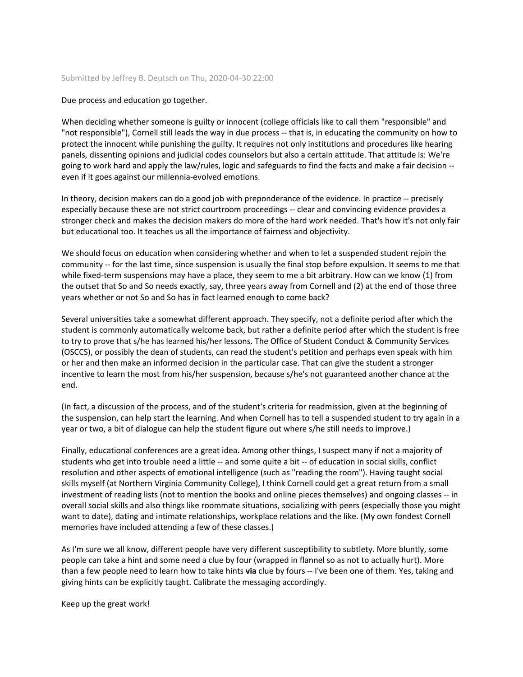#### Submitted by Jeffrey B. Deutsch on Thu, 2020-04-30 22:00

#### Due process and education go together.

When deciding whether someone is guilty or innocent (college officials like to call them "responsible" and "not responsible"), Cornell still leads the way in due process -- that is, in educating the community on how to protect the innocent while punishing the guilty. It requires not only institutions and procedures like hearing panels, dissenting opinions and judicial codes counselors but also a certain attitude. That attitude is: We're going to work hard and apply the law/rules, logic and safeguards to find the facts and make a fair decision - even if it goes against our millennia-evolved emotions.

In theory, decision makers can do a good job with preponderance of the evidence. In practice -- precisely especially because these are not strict courtroom proceedings -- clear and convincing evidence provides a stronger check and makes the decision makers do more of the hard work needed. That's how it's not only fair but educational too. It teaches us all the importance of fairness and objectivity.

We should focus on education when considering whether and when to let a suspended student rejoin the community -- for the last time, since suspension is usually the final stop before expulsion. It seems to me that while fixed-term suspensions may have a place, they seem to me a bit arbitrary. How can we know (1) from the outset that So and So needs exactly, say, three years away from Cornell and (2) at the end of those three years whether or not So and So has in fact learned enough to come back?

Several universities take a somewhat different approach. They specify, not a definite period after which the student is commonly automatically welcome back, but rather a definite period after which the student is free to try to prove that s/he has learned his/her lessons. The Office of Student Conduct & Community Services (OSCCS), or possibly the dean of students, can read the student's petition and perhaps even speak with him or her and then make an informed decision in the particular case. That can give the student a stronger incentive to learn the most from his/her suspension, because s/he's not guaranteed another chance at the end.

(In fact, a discussion of the process, and of the student's criteria for readmission, given at the beginning of the suspension, can help start the learning. And when Cornell has to tell a suspended student to try again in a year or two, a bit of dialogue can help the student figure out where s/he still needs to improve.)

Finally, educational conferences are a great idea. Among other things, I suspect many if not a majority of students who get into trouble need a little -- and some quite a bit -- of education in social skills, conflict resolution and other aspects of emotional intelligence (such as "reading the room"). Having taught social skills myself (at Northern Virginia Community College), I think Cornell could get a great return from a small investment of reading lists (not to mention the books and online pieces themselves) and ongoing classes -- in overall social skills and also things like roommate situations, socializing with peers (especially those you might want to date), dating and intimate relationships, workplace relations and the like. (My own fondest Cornell memories have included attending a few of these classes.)

As I'm sure we all know, different people have very different susceptibility to subtlety. More bluntly, some people can take a hint and some need a clue by four (wrapped in flannel so as not to actually hurt). More than a few people need to learn how to take hints **via** clue by fours -- I've been one of them. Yes, taking and giving hints can be explicitly taught. Calibrate the messaging accordingly.

Keep up the great work!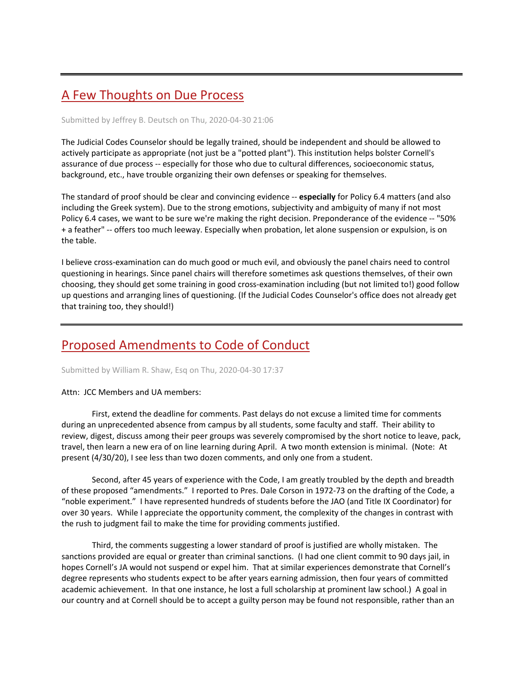# [A Few Thoughts on Due Process](https://assembly.cornell.edu/comment/70#comment-70)

#### Submitted by Jeffrey B. Deutsch on Thu, 2020-04-30 21:06

The Judicial Codes Counselor should be legally trained, should be independent and should be allowed to actively participate as appropriate (not just be a "potted plant"). This institution helps bolster Cornell's assurance of due process -- especially for those who due to cultural differences, socioeconomic status, background, etc., have trouble organizing their own defenses or speaking for themselves.

The standard of proof should be clear and convincing evidence -- **especially** for Policy 6.4 matters (and also including the Greek system). Due to the strong emotions, subjectivity and ambiguity of many if not most Policy 6.4 cases, we want to be sure we're making the right decision. Preponderance of the evidence -- "50% + a feather" -- offers too much leeway. Especially when probation, let alone suspension or expulsion, is on the table.

I believe cross-examination can do much good or much evil, and obviously the panel chairs need to control questioning in hearings. Since panel chairs will therefore sometimes ask questions themselves, of their own choosing, they should get some training in good cross-examination including (but not limited to!) good follow up questions and arranging lines of questioning. (If the Judicial Codes Counselor's office does not already get that training too, they should!)

### [Proposed Amendments to Code of Conduct](https://assembly.cornell.edu/comment/69#comment-69)

Submitted by William R. Shaw, Esq on Thu, 2020-04-30 17:37

#### Attn: JCC Members and UA members:

 First, extend the deadline for comments. Past delays do not excuse a limited time for comments during an unprecedented absence from campus by all students, some faculty and staff. Their ability to review, digest, discuss among their peer groups was severely compromised by the short notice to leave, pack, travel, then learn a new era of on line learning during April. A two month extension is minimal. (Note: At present (4/30/20), I see less than two dozen comments, and only one from a student.

 Second, after 45 years of experience with the Code, I am greatly troubled by the depth and breadth of these proposed "amendments." I reported to Pres. Dale Corson in 1972-73 on the drafting of the Code, a "noble experiment." I have represented hundreds of students before the JAO (and Title IX Coordinator) for over 30 years. While I appreciate the opportunity comment, the complexity of the changes in contrast with the rush to judgment fail to make the time for providing comments justified.

 Third, the comments suggesting a lower standard of proof is justified are wholly mistaken. The sanctions provided are equal or greater than criminal sanctions. (I had one client commit to 90 days jail, in hopes Cornell's JA would not suspend or expel him. That at similar experiences demonstrate that Cornell's degree represents who students expect to be after years earning admission, then four years of committed academic achievement. In that one instance, he lost a full scholarship at prominent law school.) A goal in our country and at Cornell should be to accept a guilty person may be found not responsible, rather than an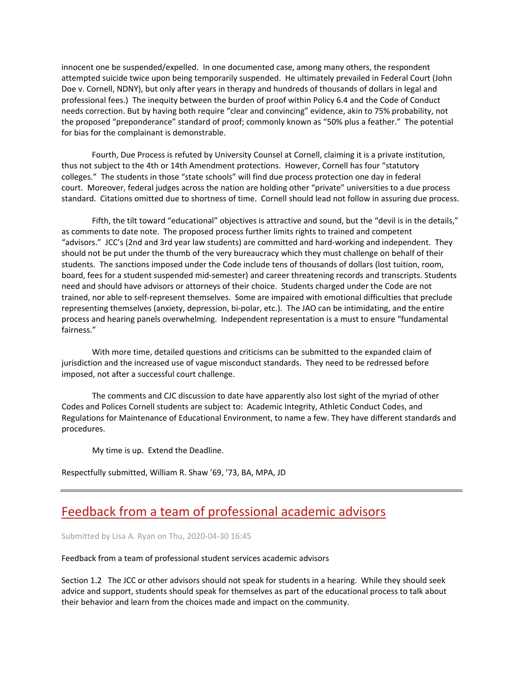innocent one be suspended/expelled. In one documented case, among many others, the respondent attempted suicide twice upon being temporarily suspended. He ultimately prevailed in Federal Court (John Doe v. Cornell, NDNY), but only after years in therapy and hundreds of thousands of dollars in legal and professional fees.) The inequity between the burden of proof within Policy 6.4 and the Code of Conduct needs correction. But by having both require "clear and convincing" evidence, akin to 75% probability, not the proposed "preponderance" standard of proof; commonly known as "50% plus a feather." The potential for bias for the complainant is demonstrable.

 Fourth, Due Process is refuted by University Counsel at Cornell, claiming it is a private institution, thus not subject to the 4th or 14th Amendment protections. However, Cornell has four "statutory colleges." The students in those "state schools" will find due process protection one day in federal court. Moreover, federal judges across the nation are holding other "private" universities to a due process standard. Citations omitted due to shortness of time. Cornell should lead not follow in assuring due process.

 Fifth, the tilt toward "educational" objectives is attractive and sound, but the "devil is in the details," as comments to date note. The proposed process further limits rights to trained and competent "advisors." JCC's (2nd and 3rd year law students) are committed and hard-working and independent. They should not be put under the thumb of the very bureaucracy which they must challenge on behalf of their students. The sanctions imposed under the Code include tens of thousands of dollars (lost tuition, room, board, fees for a student suspended mid-semester) and career threatening records and transcripts. Students need and should have advisors or attorneys of their choice. Students charged under the Code are not trained, nor able to self-represent themselves. Some are impaired with emotional difficulties that preclude representing themselves (anxiety, depression, bi-polar, etc.). The JAO can be intimidating, and the entire process and hearing panels overwhelming. Independent representation is a must to ensure "fundamental fairness."

 With more time, detailed questions and criticisms can be submitted to the expanded claim of jurisdiction and the increased use of vague misconduct standards. They need to be redressed before imposed, not after a successful court challenge.

 The comments and CJC discussion to date have apparently also lost sight of the myriad of other Codes and Polices Cornell students are subject to: Academic Integrity, Athletic Conduct Codes, and Regulations for Maintenance of Educational Environment, to name a few. They have different standards and procedures.

My time is up. Extend the Deadline.

Respectfully submitted, William R. Shaw '69, '73, BA, MPA, JD

## [Feedback from a team of professional academic advisors](https://assembly.cornell.edu/comment/68#comment-68)

Submitted by Lisa A. Ryan on Thu, 2020-04-30 16:45

Feedback from a team of professional student services academic advisors

Section 1.2 The JCC or other advisors should not speak for students in a hearing. While they should seek advice and support, students should speak for themselves as part of the educational process to talk about their behavior and learn from the choices made and impact on the community.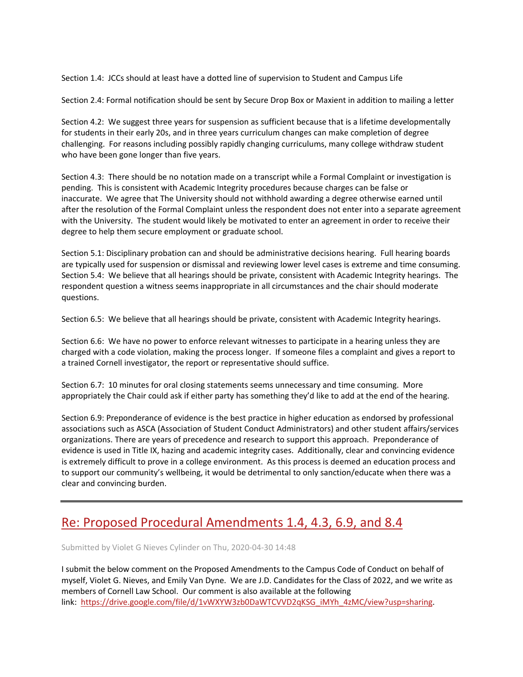Section 1.4: JCCs should at least have a dotted line of supervision to Student and Campus Life

Section 2.4: Formal notification should be sent by Secure Drop Box or Maxient in addition to mailing a letter

Section 4.2: We suggest three years for suspension as sufficient because that is a lifetime developmentally for students in their early 20s, and in three years curriculum changes can make completion of degree challenging. For reasons including possibly rapidly changing curriculums, many college withdraw student who have been gone longer than five years.

Section 4.3: There should be no notation made on a transcript while a Formal Complaint or investigation is pending. This is consistent with Academic Integrity procedures because charges can be false or inaccurate. We agree that The University should not withhold awarding a degree otherwise earned until after the resolution of the Formal Complaint unless the respondent does not enter into a separate agreement with the University. The student would likely be motivated to enter an agreement in order to receive their degree to help them secure employment or graduate school.

Section 5.1: Disciplinary probation can and should be administrative decisions hearing. Full hearing boards are typically used for suspension or dismissal and reviewing lower level cases is extreme and time consuming. Section 5.4: We believe that all hearings should be private, consistent with Academic Integrity hearings. The respondent question a witness seems inappropriate in all circumstances and the chair should moderate questions.

Section 6.5: We believe that all hearings should be private, consistent with Academic Integrity hearings.

Section 6.6: We have no power to enforce relevant witnesses to participate in a hearing unless they are charged with a code violation, making the process longer. If someone files a complaint and gives a report to a trained Cornell investigator, the report or representative should suffice.

Section 6.7: 10 minutes for oral closing statements seems unnecessary and time consuming. More appropriately the Chair could ask if either party has something they'd like to add at the end of the hearing.

Section 6.9: Preponderance of evidence is the best practice in higher education as endorsed by professional associations such as ASCA (Association of Student Conduct Administrators) and other student affairs/services organizations. There are years of precedence and research to support this approach. Preponderance of evidence is used in Title IX, hazing and academic integrity cases. Additionally, clear and convincing evidence is extremely difficult to prove in a college environment. As this process is deemed an education process and to support our community's wellbeing, it would be detrimental to only sanction/educate when there was a clear and convincing burden.

## Re: Proposed Procedural [Amendments 1.4, 4.3, 6.9, and 8.4](https://assembly.cornell.edu/comment/67#comment-67)

Submitted by Violet G Nieves Cylinder on Thu, 2020-04-30 14:48

I submit the below comment on the Proposed Amendments to the Campus Code of Conduct on behalf of myself, Violet G. Nieves, and Emily Van Dyne. We are J.D. Candidates for the Class of 2022, and we write as members of Cornell Law School. Our comment is also available at the following link: [https://drive.google.com/file/d/1vWXYW3zb0DaWTCVVD2qKSG\\_iMYh\\_4zMC/view?usp=sharing.](https://drive.google.com/file/d/1vWXYW3zb0DaWTCVVD2qKSG_iMYh_4zMC/view?usp=sharing)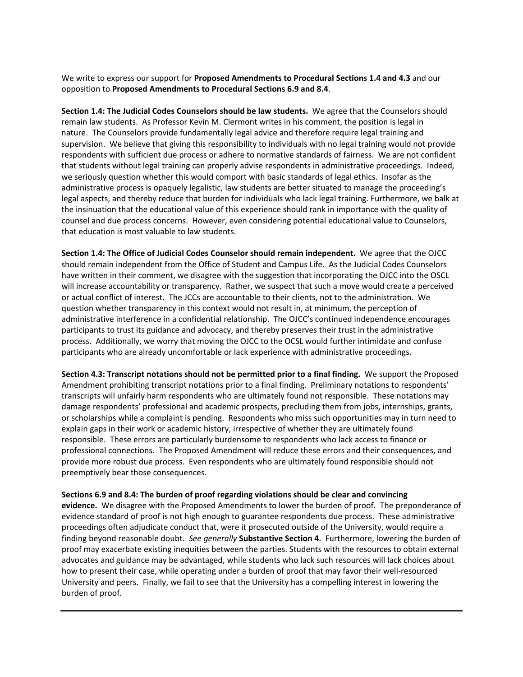We write to express our support for **Proposed Amendments to Procedural Sections 1.4 and 4.3** and our opposition to **Proposed Amendments to Procedural Sections 6.9 and 8.4**.

**Section 1.4: The Judicial Codes Counselors should be law students.** We agree that the Counselors should remain law students. As Professor Kevin M. Clermont writes in his comment, the position is legal in nature. The Counselors provide fundamentally legal advice and therefore require legal training and supervision. We believe that giving this responsibility to individuals with no legal training would not provide respondents with sufficient due process or adhere to normative standards of fairness. We are not confident that students without legal training can properly advise respondents in administrative proceedings. Indeed, we seriously question whether this would comport with basic standards of legal ethics. Insofar as the administrative process is opaquely legalistic, law students are better situated to manage the proceeding's legal aspects, and thereby reduce that burden for individuals who lack legal training. Furthermore, we balk at the insinuation that the educational value of this experience should rank in importance with the quality of counsel and due process concerns. However, even considering potential educational value to Counselors, that education is most valuable to law students.

**Section 1.4: The Office of Judicial Codes Counselor should remain independent.** We agree that the OJCC should remain independent from the Office of Student and Campus Life. As the Judicial Codes Counselors have written in their comment, we disagree with the suggestion that incorporating the OJCC into the OSCL will increase accountability or transparency. Rather, we suspect that such a move would create a perceived or actual conflict of interest. The JCCs are accountable to their clients, not to the administration. We question whether transparency in this context would not result in, at minimum, the perception of administrative interference in a confidential relationship. The OJCC's continued independence encourages participants to trust its guidance and advocacy, and thereby preserves their trust in the administrative process. Additionally, we worry that moving the OJCC to the OCSL would further intimidate and confuse participants who are already uncomfortable or lack experience with administrative proceedings.

**Section 4.3: Transcript notations should not be permitted prior to a final finding.** We support the Proposed Amendment prohibiting transcript notations prior to a final finding. Preliminary notations to respondents' transcripts will unfairly harm respondents who are ultimately found not responsible. These notations may damage respondents' professional and academic prospects, precluding them from jobs, internships, grants, or scholarships while a complaint is pending. Respondents who miss such opportunities may in turn need to explain gaps in their work or academic history, irrespective of whether they are ultimately found responsible. These errors are particularly burdensome to respondents who lack access to finance or professional connections. The Proposed Amendment will reduce these errors and their consequences, and provide more robust due process. Even respondents who are ultimately found responsible should not preemptively bear those consequences.

**Sections 6.9 and 8.4: The burden of proof regarding violations should be clear and convincing** 

**evidence.** We disagree with the Proposed Amendments to lower the burden of proof. The preponderance of evidence standard of proof is not high enough to guarantee respondents due process. These administrative proceedings often adjudicate conduct that, were it prosecuted outside of the University, would require a finding beyond reasonable doubt. *See generally* **Substantive Section 4**. Furthermore, lowering the burden of proof may exacerbate existing inequities between the parties. Students with the resources to obtain external advocates and guidance may be advantaged, while students who lack such resources will lack choices about how to present their case, while operating under a burden of proof that may favor their well-resourced University and peers. Finally, we fail to see that the University has a compelling interest in lowering the burden of proof.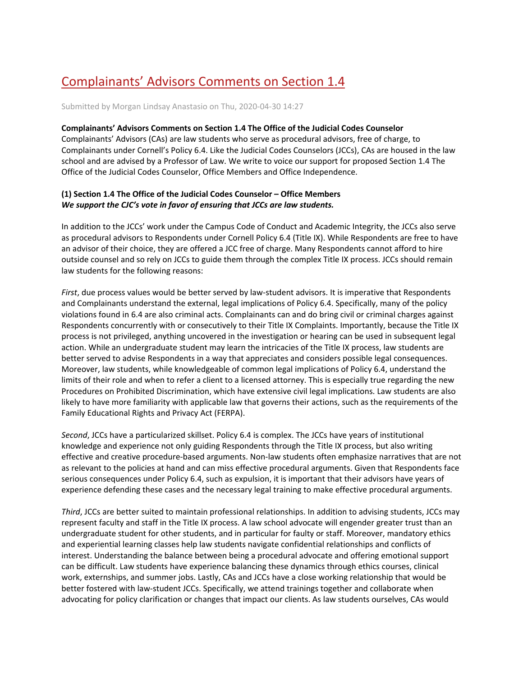# [Complainants' Advisors Comments on Section 1.4](https://assembly.cornell.edu/comment/66#comment-66)

Submitted by Morgan Lindsay Anastasio on Thu, 2020-04-30 14:27

#### **Complainants' Advisors Comments on Section 1.4 The Office of the Judicial Codes Counselor**

Complainants' Advisors (CAs) are law students who serve as procedural advisors, free of charge, to Complainants under Cornell's Policy 6.4. Like the Judicial Codes Counselors (JCCs), CAs are housed in the law school and are advised by a Professor of Law. We write to voice our support for proposed Section 1.4 The Office of the Judicial Codes Counselor, Office Members and Office Independence.

### **(1) Section 1.4 The Office of the Judicial Codes Counselor – Office Members**  *We support the CJC's vote in favor of ensuring that JCCs are law students.*

In addition to the JCCs' work under the Campus Code of Conduct and Academic Integrity, the JCCs also serve as procedural advisors to Respondents under Cornell Policy 6.4 (Title IX). While Respondents are free to have an advisor of their choice, they are offered a JCC free of charge. Many Respondents cannot afford to hire outside counsel and so rely on JCCs to guide them through the complex Title IX process. JCCs should remain law students for the following reasons:

*First*, due process values would be better served by law-student advisors. It is imperative that Respondents and Complainants understand the external, legal implications of Policy 6.4. Specifically, many of the policy violations found in 6.4 are also criminal acts. Complainants can and do bring civil or criminal charges against Respondents concurrently with or consecutively to their Title IX Complaints. Importantly, because the Title IX process is not privileged, anything uncovered in the investigation or hearing can be used in subsequent legal action. While an undergraduate student may learn the intricacies of the Title IX process, law students are better served to advise Respondents in a way that appreciates and considers possible legal consequences. Moreover, law students, while knowledgeable of common legal implications of Policy 6.4, understand the limits of their role and when to refer a client to a licensed attorney. This is especially true regarding the new Procedures on Prohibited Discrimination, which have extensive civil legal implications. Law students are also likely to have more familiarity with applicable law that governs their actions, such as the requirements of the Family Educational Rights and Privacy Act (FERPA).

*Second*, JCCs have a particularized skillset. Policy 6.4 is complex. The JCCs have years of institutional knowledge and experience not only guiding Respondents through the Title IX process, but also writing effective and creative procedure-based arguments. Non-law students often emphasize narratives that are not as relevant to the policies at hand and can miss effective procedural arguments. Given that Respondents face serious consequences under Policy 6.4, such as expulsion, it is important that their advisors have years of experience defending these cases and the necessary legal training to make effective procedural arguments.

*Third*, JCCs are better suited to maintain professional relationships. In addition to advising students, JCCs may represent faculty and staff in the Title IX process. A law school advocate will engender greater trust than an undergraduate student for other students, and in particular for faulty or staff. Moreover, mandatory ethics and experiential learning classes help law students navigate confidential relationships and conflicts of interest. Understanding the balance between being a procedural advocate and offering emotional support can be difficult. Law students have experience balancing these dynamics through ethics courses, clinical work, externships, and summer jobs. Lastly, CAs and JCCs have a close working relationship that would be better fostered with law-student JCCs. Specifically, we attend trainings together and collaborate when advocating for policy clarification or changes that impact our clients. As law students ourselves, CAs would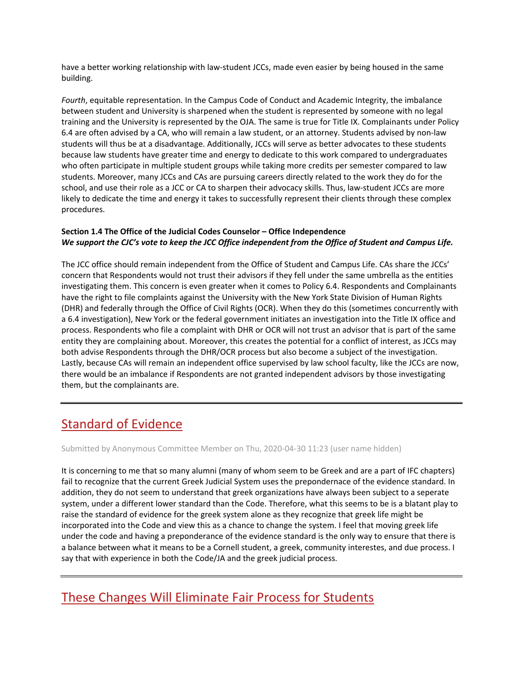have a better working relationship with law-student JCCs, made even easier by being housed in the same building.

*Fourth*, equitable representation. In the Campus Code of Conduct and Academic Integrity, the imbalance between student and University is sharpened when the student is represented by someone with no legal training and the University is represented by the OJA. The same is true for Title IX. Complainants under Policy 6.4 are often advised by a CA, who will remain a law student, or an attorney. Students advised by non-law students will thus be at a disadvantage. Additionally, JCCs will serve as better advocates to these students because law students have greater time and energy to dedicate to this work compared to undergraduates who often participate in multiple student groups while taking more credits per semester compared to law students. Moreover, many JCCs and CAs are pursuing careers directly related to the work they do for the school, and use their role as a JCC or CA to sharpen their advocacy skills. Thus, law-student JCCs are more likely to dedicate the time and energy it takes to successfully represent their clients through these complex procedures.

### **Section 1.4 The Office of the Judicial Codes Counselor – Office Independence** *We support the CJC's vote to keep the JCC Office independent from the Office of Student and Campus Life.*

The JCC office should remain independent from the Office of Student and Campus Life. CAs share the JCCs' concern that Respondents would not trust their advisors if they fell under the same umbrella as the entities investigating them. This concern is even greater when it comes to Policy 6.4. Respondents and Complainants have the right to file complaints against the University with the New York State Division of Human Rights (DHR) and federally through the Office of Civil Rights (OCR). When they do this (sometimes concurrently with a 6.4 investigation), New York or the federal government initiates an investigation into the Title IX office and process. Respondents who file a complaint with DHR or OCR will not trust an advisor that is part of the same entity they are complaining about. Moreover, this creates the potential for a conflict of interest, as JCCs may both advise Respondents through the DHR/OCR process but also become a subject of the investigation. Lastly, because CAs will remain an independent office supervised by law school faculty, like the JCCs are now, there would be an imbalance if Respondents are not granted independent advisors by those investigating them, but the complainants are.

# [Standard of Evidence](https://assembly.cornell.edu/comment/65#comment-65)

Submitted by Anonymous Committee Member on Thu, 2020-04-30 11:23 (user name hidden)

It is concerning to me that so many alumni (many of whom seem to be Greek and are a part of IFC chapters) fail to recognize that the current Greek Judicial System uses the prepondernace of the evidence standard. In addition, they do not seem to understand that greek organizations have always been subject to a seperate system, under a different lower standard than the Code. Therefore, what this seems to be is a blatant play to raise the standard of evidence for the greek system alone as they recognize that greek life might be incorporated into the Code and view this as a chance to change the system. I feel that moving greek life under the code and having a preponderance of the evidence standard is the only way to ensure that there is a balance between what it means to be a Cornell student, a greek, community interestes, and due process. I say that with experience in both the Code/JA and the greek judicial process.

## [These Changes Will Eliminate Fair Process for Students](https://assembly.cornell.edu/comment/64#comment-64)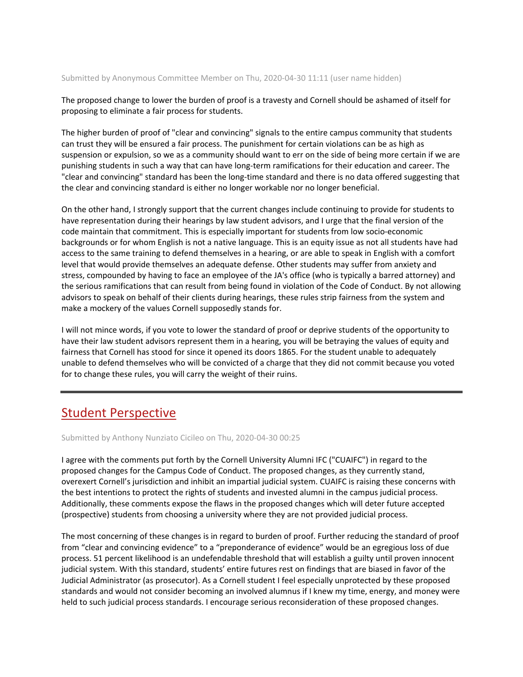### Submitted by Anonymous Committee Member on Thu, 2020-04-30 11:11 (user name hidden)

The proposed change to lower the burden of proof is a travesty and Cornell should be ashamed of itself for proposing to eliminate a fair process for students.

The higher burden of proof of "clear and convincing" signals to the entire campus community that students can trust they will be ensured a fair process. The punishment for certain violations can be as high as suspension or expulsion, so we as a community should want to err on the side of being more certain if we are punishing students in such a way that can have long-term ramifications for their education and career. The "clear and convincing" standard has been the long-time standard and there is no data offered suggesting that the clear and convincing standard is either no longer workable nor no longer beneficial.

On the other hand, I strongly support that the current changes include continuing to provide for students to have representation during their hearings by law student advisors, and I urge that the final version of the code maintain that commitment. This is especially important for students from low socio-economic backgrounds or for whom English is not a native language. This is an equity issue as not all students have had access to the same training to defend themselves in a hearing, or are able to speak in English with a comfort level that would provide themselves an adequate defense. Other students may suffer from anxiety and stress, compounded by having to face an employee of the JA's office (who is typically a barred attorney) and the serious ramifications that can result from being found in violation of the Code of Conduct. By not allowing advisors to speak on behalf of their clients during hearings, these rules strip fairness from the system and make a mockery of the values Cornell supposedly stands for.

I will not mince words, if you vote to lower the standard of proof or deprive students of the opportunity to have their law student advisors represent them in a hearing, you will be betraying the values of equity and fairness that Cornell has stood for since it opened its doors 1865. For the student unable to adequately unable to defend themselves who will be convicted of a charge that they did not commit because you voted for to change these rules, you will carry the weight of their ruins.

## [Student Perspective](https://assembly.cornell.edu/comment/63#comment-63)

Submitted by Anthony Nunziato Cicileo on Thu, 2020-04-30 00:25

I agree with the comments put forth by the Cornell University Alumni IFC ("CUAIFC") in regard to the proposed changes for the Campus Code of Conduct. The proposed changes, as they currently stand, overexert Cornell's jurisdiction and inhibit an impartial judicial system. CUAIFC is raising these concerns with the best intentions to protect the rights of students and invested alumni in the campus judicial process. Additionally, these comments expose the flaws in the proposed changes which will deter future accepted (prospective) students from choosing a university where they are not provided judicial process.

The most concerning of these changes is in regard to burden of proof. Further reducing the standard of proof from "clear and convincing evidence" to a "preponderance of evidence" would be an egregious loss of due process. 51 percent likelihood is an undefendable threshold that will establish a guilty until proven innocent judicial system. With this standard, students' entire futures rest on findings that are biased in favor of the Judicial Administrator (as prosecutor). As a Cornell student I feel especially unprotected by these proposed standards and would not consider becoming an involved alumnus if I knew my time, energy, and money were held to such judicial process standards. I encourage serious reconsideration of these proposed changes.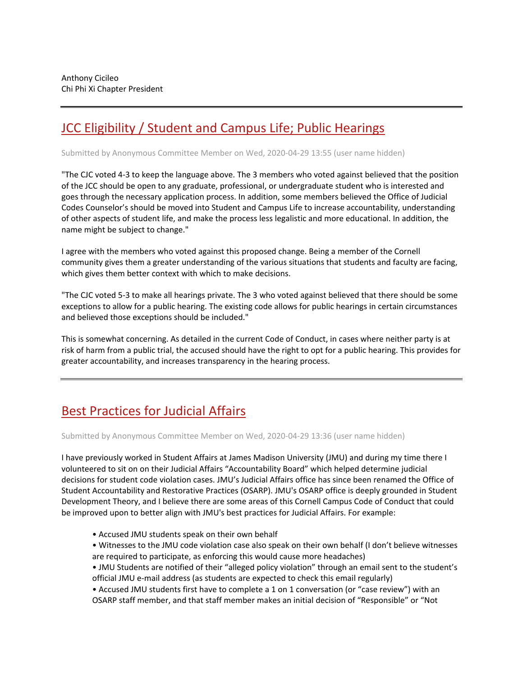# [JCC Eligibility / Student and Campus Life; Public Hearings](https://assembly.cornell.edu/comment/62#comment-62)

Submitted by Anonymous Committee Member on Wed, 2020-04-29 13:55 (user name hidden)

"The CJC voted 4-3 to keep the language above. The 3 members who voted against believed that the position of the JCC should be open to any graduate, professional, or undergraduate student who is interested and goes through the necessary application process. In addition, some members believed the Office of Judicial Codes Counselor's should be moved into Student and Campus Life to increase accountability, understanding of other aspects of student life, and make the process less legalistic and more educational. In addition, the name might be subject to change."

I agree with the members who voted against this proposed change. Being a member of the Cornell community gives them a greater understanding of the various situations that students and faculty are facing, which gives them better context with which to make decisions.

"The CJC voted 5-3 to make all hearings private. The 3 who voted against believed that there should be some exceptions to allow for a public hearing. The existing code allows for public hearings in certain circumstances and believed those exceptions should be included."

This is somewhat concerning. As detailed in the current Code of Conduct, in cases where neither party is at risk of harm from a public trial, the accused should have the right to opt for a public hearing. This provides for greater accountability, and increases transparency in the hearing process.

# [Best Practices for Judicial Affairs](https://assembly.cornell.edu/comment/61#comment-61)

Submitted by Anonymous Committee Member on Wed, 2020-04-29 13:36 (user name hidden)

I have previously worked in Student Affairs at James Madison University (JMU) and during my time there I volunteered to sit on on their Judicial Affairs "Accountability Board" which helped determine judicial decisions for student code violation cases. JMU's Judicial Affairs office has since been renamed the Office of Student Accountability and Restorative Practices (OSARP). JMU's OSARP office is deeply grounded in Student Development Theory, and I believe there are some areas of this Cornell Campus Code of Conduct that could be improved upon to better align with JMU's best practices for Judicial Affairs. For example:

- Accused JMU students speak on their own behalf
- Witnesses to the JMU code violation case also speak on their own behalf (I don't believe witnesses are required to participate, as enforcing this would cause more headaches)
- JMU Students are notified of their "alleged policy violation" through an email sent to the student's official JMU e-mail address (as students are expected to check this email regularly)
- Accused JMU students first have to complete a 1 on 1 conversation (or "case review") with an OSARP staff member, and that staff member makes an initial decision of "Responsible" or "Not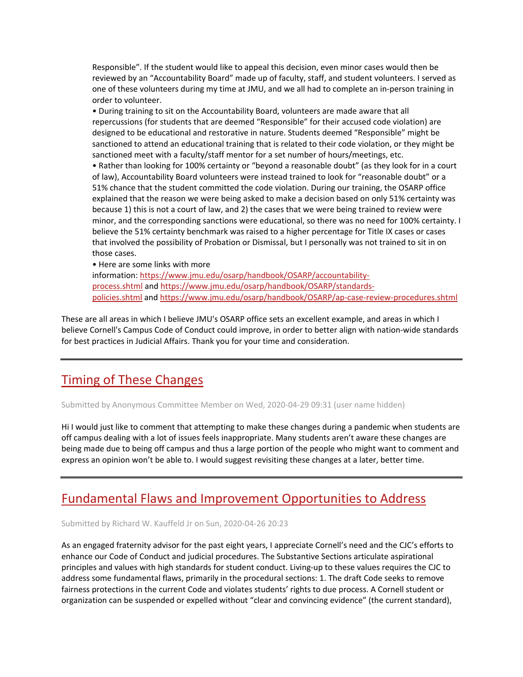Responsible". If the student would like to appeal this decision, even minor cases would then be reviewed by an "Accountability Board" made up of faculty, staff, and student volunteers. I served as one of these volunteers during my time at JMU, and we all had to complete an in-person training in order to volunteer.

• During training to sit on the Accountability Board, volunteers are made aware that all repercussions (for students that are deemed "Responsible" for their accused code violation) are designed to be educational and restorative in nature. Students deemed "Responsible" might be sanctioned to attend an educational training that is related to their code violation, or they might be sanctioned meet with a faculty/staff mentor for a set number of hours/meetings, etc. • Rather than looking for 100% certainty or "beyond a reasonable doubt" (as they look for in a court of law), Accountability Board volunteers were instead trained to look for "reasonable doubt" or a 51% chance that the student committed the code violation. During our training, the OSARP office explained that the reason we were being asked to make a decision based on only 51% certainty was because 1) this is not a court of law, and 2) the cases that we were being trained to review were minor, and the corresponding sanctions were educational, so there was no need for 100% certainty. I believe the 51% certainty benchmark was raised to a higher percentage for Title IX cases or cases that involved the possibility of Probation or Dismissal, but I personally was not trained to sit in on those cases.

• Here are some links with more information: [https://www.jmu.edu/osarp/handbook/OSARP/accountability](https://www.jmu.edu/osarp/handbook/OSARP/accountability-process.shtml)[process.shtml](https://www.jmu.edu/osarp/handbook/OSARP/accountability-process.shtml) and [https://www.jmu.edu/osarp/handbook/OSARP/standards](https://www.jmu.edu/osarp/handbook/OSARP/standards-policies.shtml)[policies.shtml](https://www.jmu.edu/osarp/handbook/OSARP/standards-policies.shtml) an[d https://www.jmu.edu/osarp/handbook/OSARP/ap-case-review-procedures.shtml](https://www.jmu.edu/osarp/handbook/OSARP/ap-case-review-procedures.shtml)

These are all areas in which I believe JMU's OSARP office sets an excellent example, and areas in which I believe Cornell's Campus Code of Conduct could improve, in order to better align with nation-wide standards for best practices in Judicial Affairs. Thank you for your time and consideration.

# [Timing of These Changes](https://assembly.cornell.edu/comment/60#comment-60)

Submitted by Anonymous Committee Member on Wed, 2020-04-29 09:31 (user name hidden)

Hi I would just like to comment that attempting to make these changes during a pandemic when students are off campus dealing with a lot of issues feels inappropriate. Many students aren't aware these changes are being made due to being off campus and thus a large portion of the people who might want to comment and express an opinion won't be able to. I would suggest revisiting these changes at a later, better time.

## [Fundamental Flaws and Improvement Opportunities to Address](https://assembly.cornell.edu/comment/57#comment-57)

Submitted by Richard W. Kauffeld Jr on Sun, 2020-04-26 20:23

As an engaged fraternity advisor for the past eight years, I appreciate Cornell's need and the CJC's efforts to enhance our Code of Conduct and judicial procedures. The Substantive Sections articulate aspirational principles and values with high standards for student conduct. Living-up to these values requires the CJC to address some fundamental flaws, primarily in the procedural sections: 1. The draft Code seeks to remove fairness protections in the current Code and violates students' rights to due process. A Cornell student or organization can be suspended or expelled without "clear and convincing evidence" (the current standard),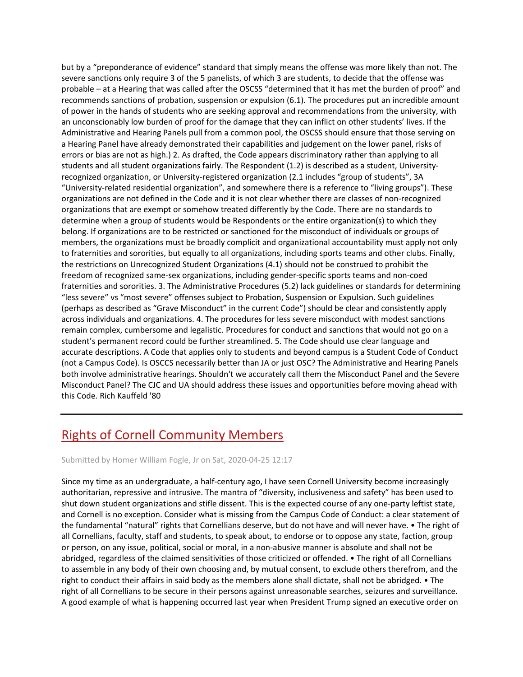but by a "preponderance of evidence" standard that simply means the offense was more likely than not. The severe sanctions only require 3 of the 5 panelists, of which 3 are students, to decide that the offense was probable – at a Hearing that was called after the OSCSS "determined that it has met the burden of proof" and recommends sanctions of probation, suspension or expulsion (6.1). The procedures put an incredible amount of power in the hands of students who are seeking approval and recommendations from the university, with an unconscionably low burden of proof for the damage that they can inflict on other students' lives. If the Administrative and Hearing Panels pull from a common pool, the OSCSS should ensure that those serving on a Hearing Panel have already demonstrated their capabilities and judgement on the lower panel, risks of errors or bias are not as high.) 2. As drafted, the Code appears discriminatory rather than applying to all students and all student organizations fairly. The Respondent (1.2) is described as a student, Universityrecognized organization, or University-registered organization (2.1 includes "group of students", 3A "University-related residential organization", and somewhere there is a reference to "living groups"). These organizations are not defined in the Code and it is not clear whether there are classes of non-recognized organizations that are exempt or somehow treated differently by the Code. There are no standards to determine when a group of students would be Respondents or the entire organization(s) to which they belong. If organizations are to be restricted or sanctioned for the misconduct of individuals or groups of members, the organizations must be broadly complicit and organizational accountability must apply not only to fraternities and sororities, but equally to all organizations, including sports teams and other clubs. Finally, the restrictions on Unrecognized Student Organizations (4.1) should not be construed to prohibit the freedom of recognized same-sex organizations, including gender-specific sports teams and non-coed fraternities and sororities. 3. The Administrative Procedures (5.2) lack guidelines or standards for determining "less severe" vs "most severe" offenses subject to Probation, Suspension or Expulsion. Such guidelines (perhaps as described as "Grave Misconduct" in the current Code") should be clear and consistently apply across individuals and organizations. 4. The procedures for less severe misconduct with modest sanctions remain complex, cumbersome and legalistic. Procedures for conduct and sanctions that would not go on a student's permanent record could be further streamlined. 5. The Code should use clear language and accurate descriptions. A Code that applies only to students and beyond campus is a Student Code of Conduct (not a Campus Code). Is OSCCS necessarily better than JA or just OSC? The Administrative and Hearing Panels both involve administrative hearings. Shouldn't we accurately call them the Misconduct Panel and the Severe Misconduct Panel? The CJC and UA should address these issues and opportunities before moving ahead with this Code. Rich Kauffeld '80

# [Rights of Cornell Community Members](https://assembly.cornell.edu/comment/56#comment-56)

Submitted by Homer William Fogle, Jr on Sat, 2020-04-25 12:17

Since my time as an undergraduate, a half-century ago, I have seen Cornell University become increasingly authoritarian, repressive and intrusive. The mantra of "diversity, inclusiveness and safety" has been used to shut down student organizations and stifle dissent. This is the expected course of any one-party leftist state, and Cornell is no exception. Consider what is missing from the Campus Code of Conduct: a clear statement of the fundamental "natural" rights that Cornellians deserve, but do not have and will never have. • The right of all Cornellians, faculty, staff and students, to speak about, to endorse or to oppose any state, faction, group or person, on any issue, political, social or moral, in a non-abusive manner is absolute and shall not be abridged, regardless of the claimed sensitivities of those criticized or offended. • The right of all Cornellians to assemble in any body of their own choosing and, by mutual consent, to exclude others therefrom, and the right to conduct their affairs in said body as the members alone shall dictate, shall not be abridged. • The right of all Cornellians to be secure in their persons against unreasonable searches, seizures and surveillance. A good example of what is happening occurred last year when President Trump signed an executive order on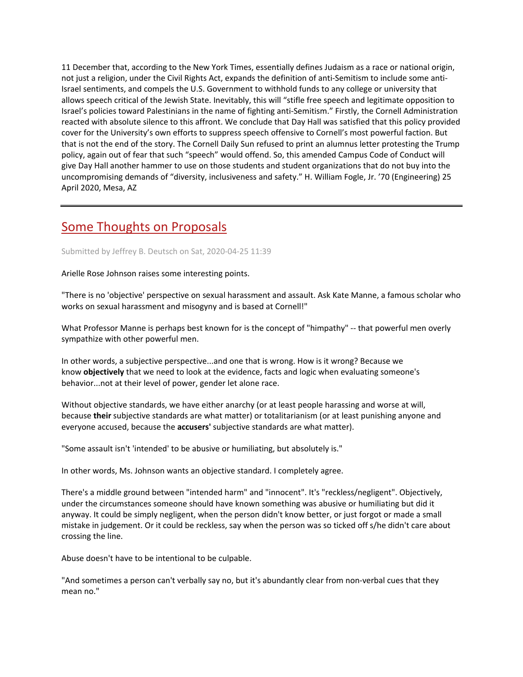11 December that, according to the New York Times, essentially defines Judaism as a race or national origin, not just a religion, under the Civil Rights Act, expands the definition of anti-Semitism to include some anti-Israel sentiments, and compels the U.S. Government to withhold funds to any college or university that allows speech critical of the Jewish State. Inevitably, this will "stifle free speech and legitimate opposition to Israel's policies toward Palestinians in the name of fighting anti-Semitism." Firstly, the Cornell Administration reacted with absolute silence to this affront. We conclude that Day Hall was satisfied that this policy provided cover for the University's own efforts to suppress speech offensive to Cornell's most powerful faction. But that is not the end of the story. The Cornell Daily Sun refused to print an alumnus letter protesting the Trump policy, again out of fear that such "speech" would offend. So, this amended Campus Code of Conduct will give Day Hall another hammer to use on those students and student organizations that do not buy into the uncompromising demands of "diversity, inclusiveness and safety." H. William Fogle, Jr. '70 (Engineering) 25 April 2020, Mesa, AZ

## [Some Thoughts on Proposals](https://assembly.cornell.edu/comment/55#comment-55)

### Submitted by Jeffrey B. Deutsch on Sat, 2020-04-25 11:39

Arielle Rose Johnson raises some interesting points.

"There is no 'objective' perspective on sexual harassment and assault. Ask Kate Manne, a famous scholar who works on sexual harassment and misogyny and is based at Cornell!"

What Professor Manne is perhaps best known for is the concept of "himpathy" -- that powerful men overly sympathize with other powerful men.

In other words, a subjective perspective...and one that is wrong. How is it wrong? Because we know **objectively** that we need to look at the evidence, facts and logic when evaluating someone's behavior...not at their level of power, gender let alone race.

Without objective standards, we have either anarchy (or at least people harassing and worse at will, because **their** subjective standards are what matter) or totalitarianism (or at least punishing anyone and everyone accused, because the **accusers'** subjective standards are what matter).

"Some assault isn't 'intended' to be abusive or humiliating, but absolutely is."

In other words, Ms. Johnson wants an objective standard. I completely agree.

There's a middle ground between "intended harm" and "innocent". It's "reckless/negligent". Objectively, under the circumstances someone should have known something was abusive or humiliating but did it anyway. It could be simply negligent, when the person didn't know better, or just forgot or made a small mistake in judgement. Or it could be reckless, say when the person was so ticked off s/he didn't care about crossing the line.

Abuse doesn't have to be intentional to be culpable.

"And sometimes a person can't verbally say no, but it's abundantly clear from non-verbal cues that they mean no."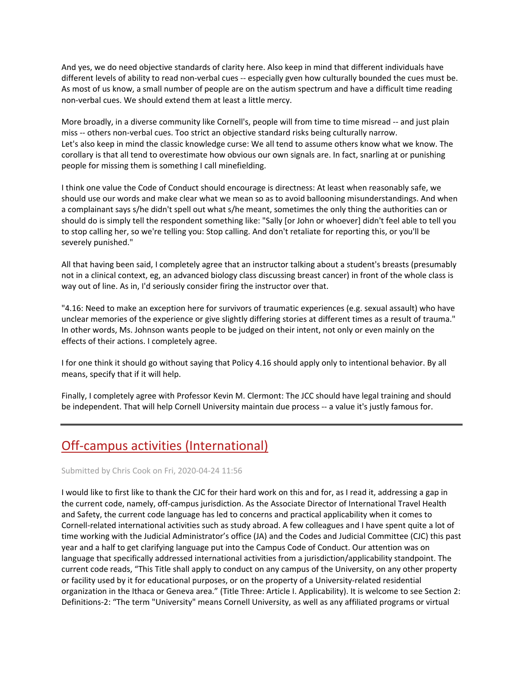And yes, we do need objective standards of clarity here. Also keep in mind that different individuals have different levels of ability to read non-verbal cues -- especially gven how culturally bounded the cues must be. As most of us know, a small number of people are on the autism spectrum and have a difficult time reading non-verbal cues. We should extend them at least a little mercy.

More broadly, in a diverse community like Cornell's, people will from time to time misread -- and just plain miss -- others non-verbal cues. Too strict an objective standard risks being culturally narrow. Let's also keep in mind the classic knowledge curse: We all tend to assume others know what we know. The corollary is that all tend to overestimate how obvious our own signals are. In fact, snarling at or punishing people for missing them is something I call minefielding.

I think one value the Code of Conduct should encourage is directness: At least when reasonably safe, we should use our words and make clear what we mean so as to avoid ballooning misunderstandings. And when a complainant says s/he didn't spell out what s/he meant, sometimes the only thing the authorities can or should do is simply tell the respondent something like: "Sally [or John or whoever] didn't feel able to tell you to stop calling her, so we're telling you: Stop calling. And don't retaliate for reporting this, or you'll be severely punished."

All that having been said, I completely agree that an instructor talking about a student's breasts (presumably not in a clinical context, eg, an advanced biology class discussing breast cancer) in front of the whole class is way out of line. As in, I'd seriously consider firing the instructor over that.

"4.16: Need to make an exception here for survivors of traumatic experiences (e.g. sexual assault) who have unclear memories of the experience or give slightly differing stories at different times as a result of trauma." In other words, Ms. Johnson wants people to be judged on their intent, not only or even mainly on the effects of their actions. I completely agree.

I for one think it should go without saying that Policy 4.16 should apply only to intentional behavior. By all means, specify that if it will help.

Finally, I completely agree with Professor Kevin M. Clermont: The JCC should have legal training and should be independent. That will help Cornell University maintain due process -- a value it's justly famous for.

# [Off-campus activities \(International\)](https://assembly.cornell.edu/comment/54#comment-54)

Submitted by Chris Cook on Fri, 2020-04-24 11:56

I would like to first like to thank the CJC for their hard work on this and for, as I read it, addressing a gap in the current code, namely, off-campus jurisdiction. As the Associate Director of International Travel Health and Safety, the current code language has led to concerns and practical applicability when it comes to Cornell-related international activities such as study abroad. A few colleagues and I have spent quite a lot of time working with the Judicial Administrator's office (JA) and the Codes and Judicial Committee (CJC) this past year and a half to get clarifying language put into the Campus Code of Conduct. Our attention was on language that specifically addressed international activities from a jurisdiction/applicability standpoint. The current code reads, "This Title shall apply to conduct on any campus of the University, on any other property or facility used by it for educational purposes, or on the property of a University-related residential organization in the Ithaca or Geneva area." (Title Three: Article I. Applicability). It is welcome to see Section 2: Definitions-2: "The term "University" means Cornell University, as well as any affiliated programs or virtual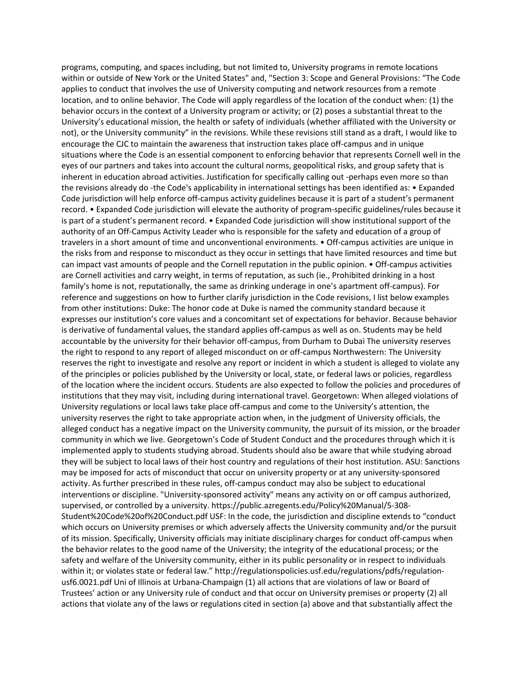programs, computing, and spaces including, but not limited to, University programs in remote locations within or outside of New York or the United States" and, "Section 3: Scope and General Provisions: "The Code applies to conduct that involves the use of University computing and network resources from a remote location, and to online behavior. The Code will apply regardless of the location of the conduct when: (1) the behavior occurs in the context of a University program or activity; or (2) poses a substantial threat to the University's educational mission, the health or safety of individuals (whether affiliated with the University or not), or the University community" in the revisions. While these revisions still stand as a draft, I would like to encourage the CJC to maintain the awareness that instruction takes place off-campus and in unique situations where the Code is an essential component to enforcing behavior that represents Cornell well in the eyes of our partners and takes into account the cultural norms, geopolitical risks, and group safety that is inherent in education abroad activities. Justification for specifically calling out -perhaps even more so than the revisions already do -the Code's applicability in international settings has been identified as: • Expanded Code jurisdiction will help enforce off-campus activity guidelines because it is part of a student's permanent record. • Expanded Code jurisdiction will elevate the authority of program-specific guidelines/rules because it is part of a student's permanent record. • Expanded Code jurisdiction will show institutional support of the authority of an Off-Campus Activity Leader who is responsible for the safety and education of a group of travelers in a short amount of time and unconventional environments. • Off-campus activities are unique in the risks from and response to misconduct as they occur in settings that have limited resources and time but can impact vast amounts of people and the Cornell reputation in the public opinion. • Off-campus activities are Cornell activities and carry weight, in terms of reputation, as such (ie., Prohibited drinking in a host family's home is not, reputationally, the same as drinking underage in one's apartment off-campus). For reference and suggestions on how to further clarify jurisdiction in the Code revisions, I list below examples from other institutions: Duke: The honor code at Duke is named the community standard because it expresses our institution's core values and a concomitant set of expectations for behavior. Because behavior is derivative of fundamental values, the standard applies off-campus as well as on. Students may be held accountable by the university for their behavior off-campus, from Durham to Dubai The university reserves the right to respond to any report of alleged misconduct on or off-campus Northwestern: The University reserves the right to investigate and resolve any report or incident in which a student is alleged to violate any of the principles or policies published by the University or local, state, or federal laws or policies, regardless of the location where the incident occurs. Students are also expected to follow the policies and procedures of institutions that they may visit, including during international travel. Georgetown: When alleged violations of University regulations or local laws take place off-campus and come to the University's attention, the university reserves the right to take appropriate action when, in the judgment of University officials, the alleged conduct has a negative impact on the University community, the pursuit of its mission, or the broader community in which we live. Georgetown's Code of Student Conduct and the procedures through which it is implemented apply to students studying abroad. Students should also be aware that while studying abroad they will be subject to local laws of their host country and regulations of their host institution. ASU: Sanctions may be imposed for acts of misconduct that occur on university property or at any university-sponsored activity. As further prescribed in these rules, off-campus conduct may also be subject to educational interventions or discipline. "University-sponsored activity" means any activity on or off campus authorized, supervised, or controlled by a university. https://public.azregents.edu/Policy%20Manual/5-308- Student%20Code%20of%20Conduct.pdf USF: In the code, the jurisdiction and discipline extends to "conduct which occurs on University premises or which adversely affects the University community and/or the pursuit of its mission. Specifically, University officials may initiate disciplinary charges for conduct off-campus when the behavior relates to the good name of the University; the integrity of the educational process; or the safety and welfare of the University community, either in its public personality or in respect to individuals within it; or violates state or federal law." http://regulationspolicies.usf.edu/regulations/pdfs/regulationusf6.0021.pdf Uni of Illinois at Urbana-Champaign (1) all actions that are violations of law or Board of Trustees' action or any University rule of conduct and that occur on University premises or property (2) all actions that violate any of the laws or regulations cited in section (a) above and that substantially affect the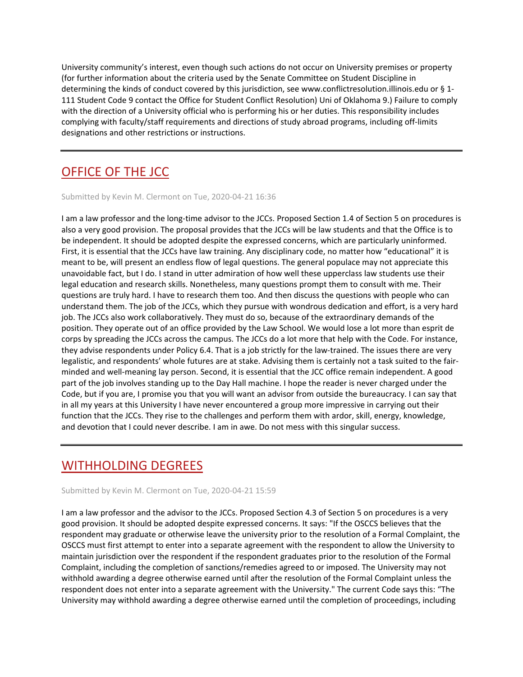University community's interest, even though such actions do not occur on University premises or property (for further information about the criteria used by the Senate Committee on Student Discipline in determining the kinds of conduct covered by this jurisdiction, see www.conflictresolution.illinois.edu or § 1- 111 Student Code 9 contact the Office for Student Conflict Resolution) Uni of Oklahoma 9.) Failure to comply with the direction of a University official who is performing his or her duties. This responsibility includes complying with faculty/staff requirements and directions of study abroad programs, including off-limits designations and other restrictions or instructions.

# [OFFICE OF THE JCC](https://assembly.cornell.edu/comment/53#comment-53)

Submitted by Kevin M. Clermont on Tue, 2020-04-21 16:36

I am a law professor and the long-time advisor to the JCCs. Proposed Section 1.4 of Section 5 on procedures is also a very good provision. The proposal provides that the JCCs will be law students and that the Office is to be independent. It should be adopted despite the expressed concerns, which are particularly uninformed. First, it is essential that the JCCs have law training. Any disciplinary code, no matter how "educational" it is meant to be, will present an endless flow of legal questions. The general populace may not appreciate this unavoidable fact, but I do. I stand in utter admiration of how well these upperclass law students use their legal education and research skills. Nonetheless, many questions prompt them to consult with me. Their questions are truly hard. I have to research them too. And then discuss the questions with people who can understand them. The job of the JCCs, which they pursue with wondrous dedication and effort, is a very hard job. The JCCs also work collaboratively. They must do so, because of the extraordinary demands of the position. They operate out of an office provided by the Law School. We would lose a lot more than esprit de corps by spreading the JCCs across the campus. The JCCs do a lot more that help with the Code. For instance, they advise respondents under Policy 6.4. That is a job strictly for the law-trained. The issues there are very legalistic, and respondents' whole futures are at stake. Advising them is certainly not a task suited to the fairminded and well-meaning lay person. Second, it is essential that the JCC office remain independent. A good part of the job involves standing up to the Day Hall machine. I hope the reader is never charged under the Code, but if you are, I promise you that you will want an advisor from outside the bureaucracy. I can say that in all my years at this University I have never encountered a group more impressive in carrying out their function that the JCCs. They rise to the challenges and perform them with ardor, skill, energy, knowledge, and devotion that I could never describe. I am in awe. Do not mess with this singular success.

# [WITHHOLDING DEGREES](https://assembly.cornell.edu/comment/52#comment-52)

Submitted by Kevin M. Clermont on Tue, 2020-04-21 15:59

I am a law professor and the advisor to the JCCs. Proposed Section 4.3 of Section 5 on procedures is a very good provision. It should be adopted despite expressed concerns. It says: "If the OSCCS believes that the respondent may graduate or otherwise leave the university prior to the resolution of a Formal Complaint, the OSCCS must first attempt to enter into a separate agreement with the respondent to allow the University to maintain jurisdiction over the respondent if the respondent graduates prior to the resolution of the Formal Complaint, including the completion of sanctions/remedies agreed to or imposed. The University may not withhold awarding a degree otherwise earned until after the resolution of the Formal Complaint unless the respondent does not enter into a separate agreement with the University." The current Code says this: "The University may withhold awarding a degree otherwise earned until the completion of proceedings, including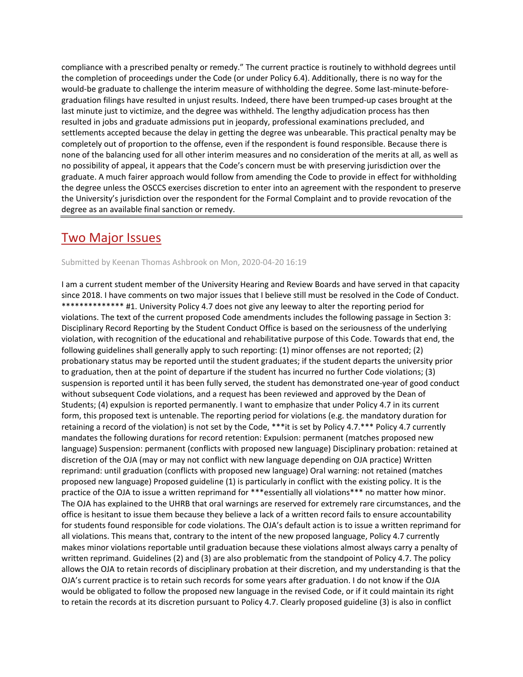compliance with a prescribed penalty or remedy." The current practice is routinely to withhold degrees until the completion of proceedings under the Code (or under Policy 6.4). Additionally, there is no way for the would-be graduate to challenge the interim measure of withholding the degree. Some last-minute-beforegraduation filings have resulted in unjust results. Indeed, there have been trumped-up cases brought at the last minute just to victimize, and the degree was withheld. The lengthy adjudication process has then resulted in jobs and graduate admissions put in jeopardy, professional examinations precluded, and settlements accepted because the delay in getting the degree was unbearable. This practical penalty may be completely out of proportion to the offense, even if the respondent is found responsible. Because there is none of the balancing used for all other interim measures and no consideration of the merits at all, as well as no possibility of appeal, it appears that the Code's concern must be with preserving jurisdiction over the graduate. A much fairer approach would follow from amending the Code to provide in effect for withholding the degree unless the OSCCS exercises discretion to enter into an agreement with the respondent to preserve the University's jurisdiction over the respondent for the Formal Complaint and to provide revocation of the degree as an available final sanction or remedy.

## [Two Major Issues](https://assembly.cornell.edu/comment/51#comment-51)

### Submitted by Keenan Thomas Ashbrook on Mon, 2020-04-20 16:19

I am a current student member of the University Hearing and Review Boards and have served in that capacity since 2018. I have comments on two major issues that I believe still must be resolved in the Code of Conduct. \*\*\*\*\*\*\*\*\*\*\*\*\*\* #1. University Policy 4.7 does not give any leeway to alter the reporting period for violations. The text of the current proposed Code amendments includes the following passage in Section 3: Disciplinary Record Reporting by the Student Conduct Office is based on the seriousness of the underlying violation, with recognition of the educational and rehabilitative purpose of this Code. Towards that end, the following guidelines shall generally apply to such reporting: (1) minor offenses are not reported; (2) probationary status may be reported until the student graduates; if the student departs the university prior to graduation, then at the point of departure if the student has incurred no further Code violations; (3) suspension is reported until it has been fully served, the student has demonstrated one-year of good conduct without subsequent Code violations, and a request has been reviewed and approved by the Dean of Students; (4) expulsion is reported permanently. I want to emphasize that under Policy 4.7 in its current form, this proposed text is untenable. The reporting period for violations (e.g. the mandatory duration for retaining a record of the violation) is not set by the Code, \*\*\*it is set by Policy 4.7.\*\*\* Policy 4.7 currently mandates the following durations for record retention: Expulsion: permanent (matches proposed new language) Suspension: permanent (conflicts with proposed new language) Disciplinary probation: retained at discretion of the OJA (may or may not conflict with new language depending on OJA practice) Written reprimand: until graduation (conflicts with proposed new language) Oral warning: not retained (matches proposed new language) Proposed guideline (1) is particularly in conflict with the existing policy. It is the practice of the OJA to issue a written reprimand for \*\*\*essentially all violations\*\*\* no matter how minor. The OJA has explained to the UHRB that oral warnings are reserved for extremely rare circumstances, and the office is hesitant to issue them because they believe a lack of a written record fails to ensure accountability for students found responsible for code violations. The OJA's default action is to issue a written reprimand for all violations. This means that, contrary to the intent of the new proposed language, Policy 4.7 currently makes minor violations reportable until graduation because these violations almost always carry a penalty of written reprimand. Guidelines (2) and (3) are also problematic from the standpoint of Policy 4.7. The policy allows the OJA to retain records of disciplinary probation at their discretion, and my understanding is that the OJA's current practice is to retain such records for some years after graduation. I do not know if the OJA would be obligated to follow the proposed new language in the revised Code, or if it could maintain its right to retain the records at its discretion pursuant to Policy 4.7. Clearly proposed guideline (3) is also in conflict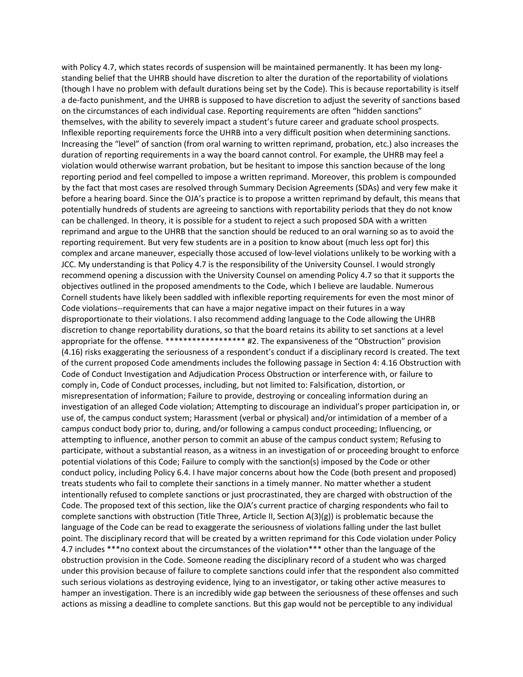with Policy 4.7, which states records of suspension will be maintained permanently. It has been my longstanding belief that the UHRB should have discretion to alter the duration of the reportability of violations (though I have no problem with default durations being set by the Code). This is because reportability is itself a de-facto punishment, and the UHRB is supposed to have discretion to adjust the severity of sanctions based on the circumstances of each individual case. Reporting requirements are often "hidden sanctions" themselves, with the ability to severely impact a student's future career and graduate school prospects. Inflexible reporting requirements force the UHRB into a very difficult position when determining sanctions. Increasing the "level" of sanction (from oral warning to written reprimand, probation, etc.) also increases the duration of reporting requirements in a way the board cannot control. For example, the UHRB may feel a violation would otherwise warrant probation, but be hesitant to impose this sanction because of the long reporting period and feel compelled to impose a written reprimand. Moreover, this problem is compounded by the fact that most cases are resolved through Summary Decision Agreements (SDAs) and very few make it before a hearing board. Since the OJA's practice is to propose a written reprimand by default, this means that potentially hundreds of students are agreeing to sanctions with reportability periods that they do not know can be challenged. In theory, it is possible for a student to reject a such proposed SDA with a written reprimand and argue to the UHRB that the sanction should be reduced to an oral warning so as to avoid the reporting requirement. But very few students are in a position to know about (much less opt for) this complex and arcane maneuver, especially those accused of low-level violations unlikely to be working with a JCC. My understanding is that Policy 4.7 is the responsibility of the University Counsel. I would strongly recommend opening a discussion with the University Counsel on amending Policy 4.7 so that it supports the objectives outlined in the proposed amendments to the Code, which I believe are laudable. Numerous Cornell students have likely been saddled with inflexible reporting requirements for even the most minor of Code violations--requirements that can have a major negative impact on their futures in a way disproportionate to their violations. I also recommend adding language to the Code allowing the UHRB discretion to change reportability durations, so that the board retains its ability to set sanctions at a level appropriate for the offense. \*\*\*\*\*\*\*\*\*\*\*\*\*\*\*\*\*\* #2. The expansiveness of the "Obstruction" provision (4.16) risks exaggerating the seriousness of a respondent's conduct if a disciplinary record Is created. The text of the current proposed Code amendments includes the following passage in Section 4: 4.16 Obstruction with Code of Conduct Investigation and Adjudication Process Obstruction or interference with, or failure to comply in, Code of Conduct processes, including, but not limited to: Falsification, distortion, or misrepresentation of information; Failure to provide, destroying or concealing information during an investigation of an alleged Code violation; Attempting to discourage an individual's proper participation in, or use of, the campus conduct system; Harassment (verbal or physical) and/or intimidation of a member of a campus conduct body prior to, during, and/or following a campus conduct proceeding; Influencing, or attempting to influence, another person to commit an abuse of the campus conduct system; Refusing to participate, without a substantial reason, as a witness in an investigation of or proceeding brought to enforce potential violations of this Code; Failure to comply with the sanction(s) imposed by the Code or other conduct policy, including Policy 6.4. I have major concerns about how the Code (both present and proposed) treats students who fail to complete their sanctions in a timely manner. No matter whether a student intentionally refused to complete sanctions or just procrastinated, they are charged with obstruction of the Code. The proposed text of this section, like the OJA's current practice of charging respondents who fail to complete sanctions with obstruction (Title Three, Article II, Section  $A(3)(g)$ ) is problematic because the language of the Code can be read to exaggerate the seriousness of violations falling under the last bullet point. The disciplinary record that will be created by a written reprimand for this Code violation under Policy 4.7 includes \*\*\*no context about the circumstances of the violation\*\*\* other than the language of the obstruction provision in the Code. Someone reading the disciplinary record of a student who was charged under this provision because of failure to complete sanctions could infer that the respondent also committed such serious violations as destroying evidence, lying to an investigator, or taking other active measures to hamper an investigation. There is an incredibly wide gap between the seriousness of these offenses and such actions as missing a deadline to complete sanctions. But this gap would not be perceptible to any individual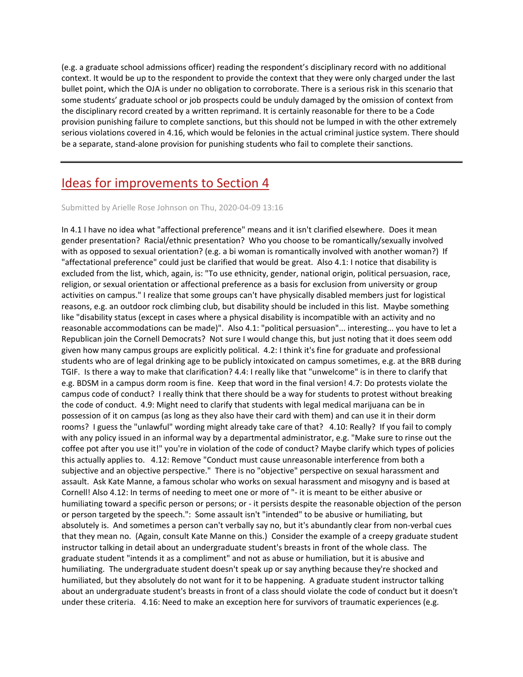(e.g. a graduate school admissions officer) reading the respondent's disciplinary record with no additional context. It would be up to the respondent to provide the context that they were only charged under the last bullet point, which the OJA is under no obligation to corroborate. There is a serious risk in this scenario that some students' graduate school or job prospects could be unduly damaged by the omission of context from the disciplinary record created by a written reprimand. It is certainly reasonable for there to be a Code provision punishing failure to complete sanctions, but this should not be lumped in with the other extremely serious violations covered in 4.16, which would be felonies in the actual criminal justice system. There should be a separate, stand-alone provision for punishing students who fail to complete their sanctions.

## [Ideas for improvements to Section 4](https://assembly.cornell.edu/comment/50#comment-50)

#### Submitted by Arielle Rose Johnson on Thu, 2020-04-09 13:16

In 4.1 I have no idea what "affectional preference" means and it isn't clarified elsewhere. Does it mean gender presentation? Racial/ethnic presentation? Who you choose to be romantically/sexually involved with as opposed to sexual orientation? (e.g. a bi woman is romantically involved with another woman?) If "affectational preference" could just be clarified that would be great. Also 4.1: I notice that disability is excluded from the list, which, again, is: "To use ethnicity, gender, national origin, political persuasion, race, religion, or sexual orientation or affectional preference as a basis for exclusion from university or group activities on campus." I realize that some groups can't have physically disabled members just for logistical reasons, e.g. an outdoor rock climbing club, but disability should be included in this list. Maybe something like "disability status (except in cases where a physical disability is incompatible with an activity and no reasonable accommodations can be made)". Also 4.1: "political persuasion"... interesting... you have to let a Republican join the Cornell Democrats? Not sure I would change this, but just noting that it does seem odd given how many campus groups are explicitly political. 4.2: I think it's fine for graduate and professional students who are of legal drinking age to be publicly intoxicated on campus sometimes, e.g. at the BRB during TGIF. Is there a way to make that clarification? 4.4: I really like that "unwelcome" is in there to clarify that e.g. BDSM in a campus dorm room is fine. Keep that word in the final version! 4.7: Do protests violate the campus code of conduct? I really think that there should be a way for students to protest without breaking the code of conduct. 4.9: Might need to clarify that students with legal medical marijuana can be in possession of it on campus (as long as they also have their card with them) and can use it in their dorm rooms? I guess the "unlawful" wording might already take care of that? 4.10: Really? If you fail to comply with any policy issued in an informal way by a departmental administrator, e.g. "Make sure to rinse out the coffee pot after you use it!" you're in violation of the code of conduct? Maybe clarify which types of policies this actually applies to. 4.12: Remove "Conduct must cause unreasonable interference from both a subjective and an objective perspective." There is no "objective" perspective on sexual harassment and assault. Ask Kate Manne, a famous scholar who works on sexual harassment and misogyny and is based at Cornell! Also 4.12: In terms of needing to meet one or more of "- it is meant to be either abusive or humiliating toward a specific person or persons; or - it persists despite the reasonable objection of the person or person targeted by the speech.": Some assault isn't "intended" to be abusive or humiliating, but absolutely is. And sometimes a person can't verbally say no, but it's abundantly clear from non-verbal cues that they mean no. (Again, consult Kate Manne on this.) Consider the example of a creepy graduate student instructor talking in detail about an undergraduate student's breasts in front of the whole class. The graduate student "intends it as a compliment" and not as abuse or humiliation, but it is abusive and humiliating. The undergraduate student doesn't speak up or say anything because they're shocked and humiliated, but they absolutely do not want for it to be happening. A graduate student instructor talking about an undergraduate student's breasts in front of a class should violate the code of conduct but it doesn't under these criteria. 4.16: Need to make an exception here for survivors of traumatic experiences (e.g.